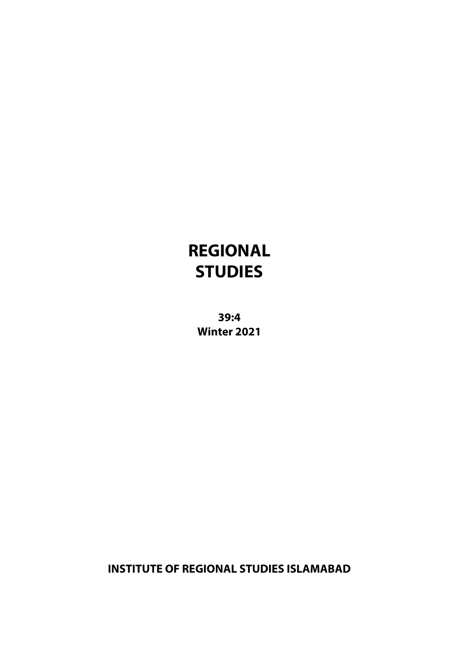# **REGIONAL STUDIES**

**39:4 Winter 2021**

**INSTITUTE OF REGIONAL STUDIES ISLAMABAD**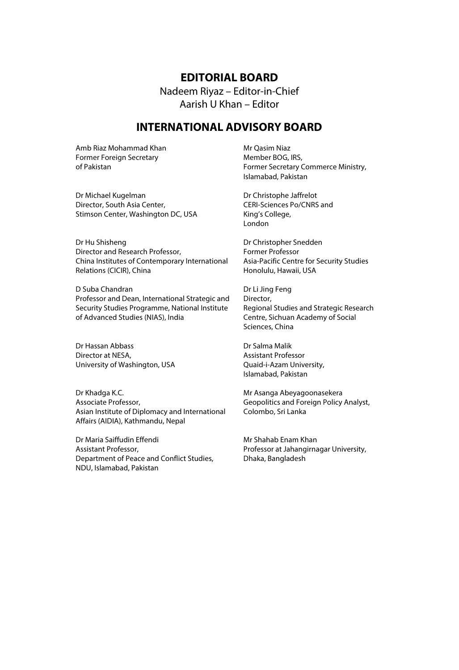#### **EDITORIAL BOARD**

Nadeem Riyaz – Editor-in-Chief Aarish U Khan – Editor

### **INTERNATIONAL ADVISORY BOARD**

Amb Riaz Mohammad Khan Former Foreign Secretary of Pakistan

Dr Michael Kugelman Director, South Asia Center, Stimson Center, Washington DC, USA

Dr Hu Shisheng Director and Research Professor, China Institutes of Contemporary International Relations (CICIR), China

D Suba Chandran Professor and Dean, International Strategic and Security Studies Programme, National Institute of Advanced Studies (NIAS), India

Dr Hassan Abbass Director at NESA, University of Washington, USA

Dr Khadga K.C. Associate Professor, Asian Institute of Diplomacy and International Affairs (AIDIA), Kathmandu, Nepal

Dr Maria Saiffudin Effendi Assistant Professor, Department of Peace and Conflict Studies, NDU, Islamabad, Pakistan

Mr Qasim Niaz Member BOG, IRS, Former Secretary Commerce Ministry, Islamabad, Pakistan

Dr Christophe Jaffrelot CERI-Sciences Po/CNRS and King's College, London

Dr Christopher Snedden Former Professor Asia-Pacific Centre for Security Studies Honolulu, Hawaii, USA

Dr Li Jing Feng Director, Regional Studies and Strategic Research Centre, Sichuan Academy of Social Sciences, China

Dr Salma Malik Assistant Professor Quaid-i-Azam University, Islamabad, Pakistan

Mr Asanga Abeyagoonasekera Geopolitics and Foreign Policy Analyst, Colombo, Sri Lanka

Mr Shahab Enam Khan Professor at Jahangirnagar University, Dhaka, Bangladesh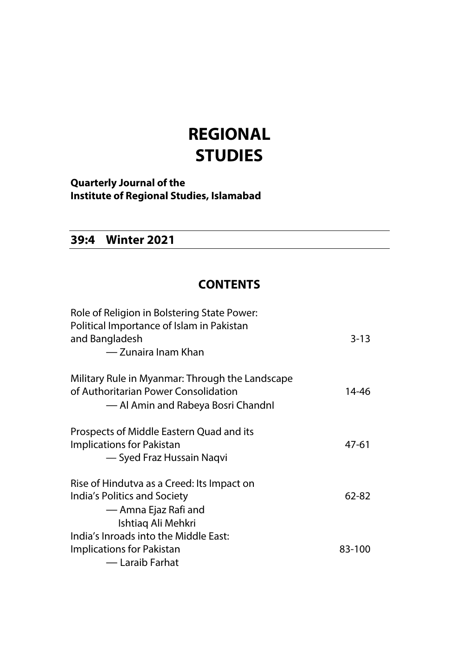# **REGIONAL STUDIES**

**Quarterly Journal of the Institute of Regional Studies, Islamabad**

## **39:4 Winter 2021**

## **CONTENTS**

| Role of Religion in Bolstering State Power:<br>Political Importance of Islam in Pakistan<br>and Bangladesh<br>— Zunaira Inam Khan | $3 - 13$ |
|-----------------------------------------------------------------------------------------------------------------------------------|----------|
| Military Rule in Myanmar: Through the Landscape<br>of Authoritarian Power Consolidation<br>— Al Amin and Rabeya Bosri Chandnl     | 14-46    |
| Prospects of Middle Eastern Quad and its<br><b>Implications for Pakistan</b><br>— Syed Fraz Hussain Naqvi                         | 47-61    |
| Rise of Hindutva as a Creed: Its Impact on<br>India's Politics and Society<br>— Amna Ejaz Rafi and<br>Ishtiag Ali Mehkri          | 62-82    |
| India's Inroads into the Middle East:<br>Implications for Pakistan<br>— Laraib Farhat                                             | 83-100   |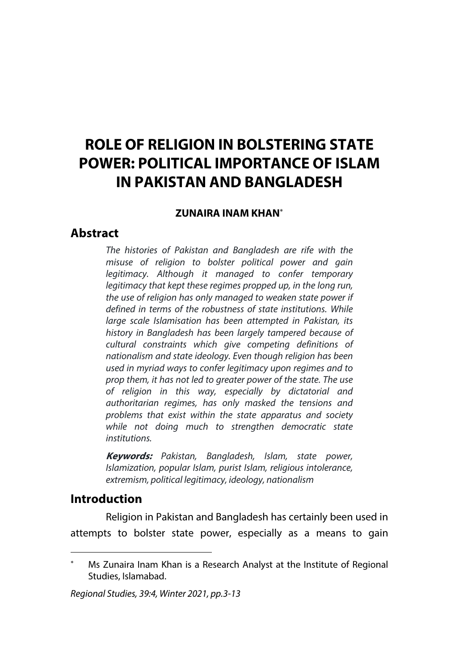## **ROLE OF RELIGION IN BOLSTERING STATE POWER: POLITICAL IMPORTANCE OF ISLAM IN PAKISTAN AND BANGLADESH**

#### **ZUNAIRA INAM KHAN**\*

#### **Abstract**

*The histories of Pakistan and Bangladesh are rife with the misuse of religion to bolster political power and gain legitimacy. Although it managed to confer temporary legitimacy that kept these regimes propped up, in the long run, the use of religion has only managed to weaken state power if defined in terms of the robustness of state institutions. While large scale Islamisation has been attempted in Pakistan, its history in Bangladesh has been largely tampered because of cultural constraints which give competing definitions of nationalism and state ideology. Even though religion has been used in myriad ways to confer legitimacy upon regimes and to prop them, it has not led to greater power of the state. The use of religion in this way, especially by dictatorial and authoritarian regimes, has only masked the tensions and problems that exist within the state apparatus and society while not doing much to strengthen democratic state institutions.*

**Keywords:** *Pakistan, Bangladesh, Islam, state power, Islamization, popular Islam, purist Islam, religious intolerance, extremism, political legitimacy, ideology, nationalism*

### **Introduction**

Religion in Pakistan and Bangladesh has certainly been used in attempts to bolster state power, especially as a means to gain

Ms Zunaira Inam Khan is a Research Analyst at the Institute of Regional Studies, Islamabad.

*Regional Studies, 39:4, Winter 2021, pp.3-13*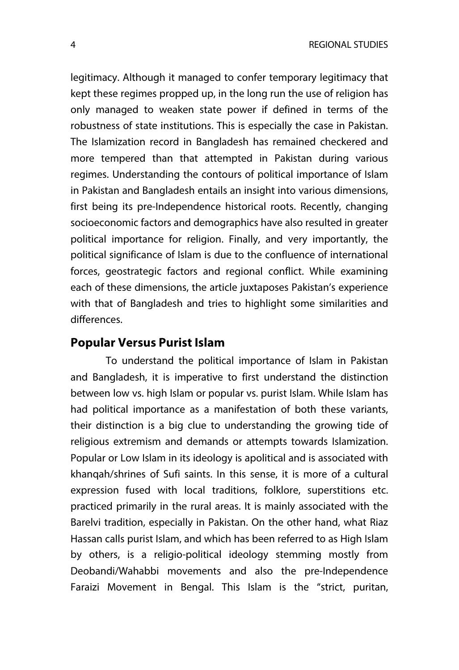legitimacy. Although it managed to confer temporary legitimacy that kept these regimes propped up, in the long run the use of religion has only managed to weaken state power if defined in terms of the robustness of state institutions. This is especially the case in Pakistan. The Islamization record in Bangladesh has remained checkered and more tempered than that attempted in Pakistan during various regimes. Understanding the contours of political importance of Islam in Pakistan and Bangladesh entails an insight into various dimensions, first being its pre-Independence historical roots. Recently, changing socioeconomic factors and demographics have also resulted in greater political importance for religion. Finally, and very importantly, the political significance of Islam is due to the confluence of international forces, geostrategic factors and regional conflict. While examining each of these dimensions, the article juxtaposes Pakistan's experience with that of Bangladesh and tries to highlight some similarities and differences.

### **Popular Versus Purist Islam**

To understand the political importance of Islam in Pakistan and Bangladesh, it is imperative to first understand the distinction between low vs. high Islam or popular vs. purist Islam. While Islam has had political importance as a manifestation of both these variants, their distinction is a big clue to understanding the growing tide of religious extremism and demands or attempts towards Islamization. Popular or Low Islam in its ideology is apolitical and is associated with khanqah/shrines of Sufi saints. In this sense, it is more of a cultural expression fused with local traditions, folklore, superstitions etc. practiced primarily in the rural areas. It is mainly associated with the Barelvi tradition, especially in Pakistan. On the other hand, what Riaz Hassan calls purist Islam, and which has been referred to as High Islam by others, is a religio-political ideology stemming mostly from Deobandi/Wahabbi movements and also the pre-Independence Faraizi Movement in Bengal. This Islam is the "strict, puritan,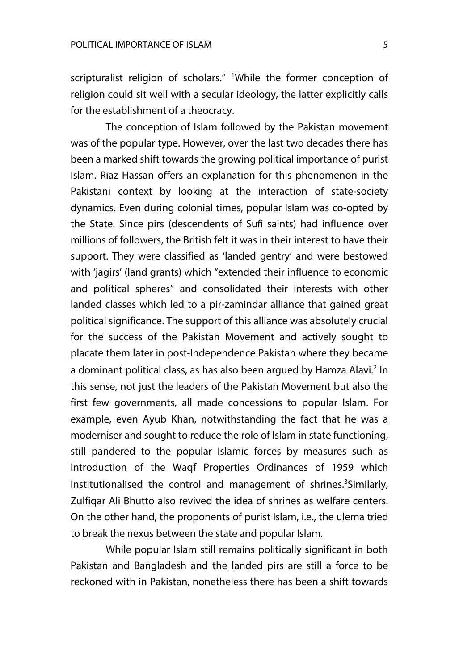scripturalist religion of scholars." <sup>1</sup>While the former conception of religion could sit well with a secular ideology, the latter explicitly calls for the establishment of a theocracy.

The conception of Islam followed by the Pakistan movement was of the popular type. However, over the last two decades there has been a marked shift towards the growing political importance of purist Islam. Riaz Hassan offers an explanation for this phenomenon in the Pakistani context by looking at the interaction of state-society dynamics. Even during colonial times, popular Islam was co-opted by the State. Since pirs (descendents of Sufi saints) had influence over millions of followers, the British felt it was in their interest to have their support. They were classified as 'landed gentry' and were bestowed with 'jagirs' (land grants) which "extended their influence to economic and political spheres" and consolidated their interests with other landed classes which led to a pir-zamindar alliance that gained great political significance. The support of this alliance was absolutely crucial for the success of the Pakistan Movement and actively sought to placate them later in post-Independence Pakistan where they became a dominant political class, as has also been arqued by Hamza Alavi.<sup>2</sup> In this sense, not just the leaders of the Pakistan Movement but also the first few governments, all made concessions to popular Islam. For example, even Ayub Khan, notwithstanding the fact that he was a moderniser and sought to reduce the role of Islam in state functioning, still pandered to the popular Islamic forces by measures such as introduction of the Waqf Properties Ordinances of 1959 which institutionalised the control and management of shrines.<sup>3</sup>Similarly, Zulfiqar Ali Bhutto also revived the idea of shrines as welfare centers. On the other hand, the proponents of purist Islam, i.e., the ulema tried to break the nexus between the state and popular Islam.

While popular Islam still remains politically significant in both Pakistan and Bangladesh and the landed pirs are still a force to be reckoned with in Pakistan, nonetheless there has been a shift towards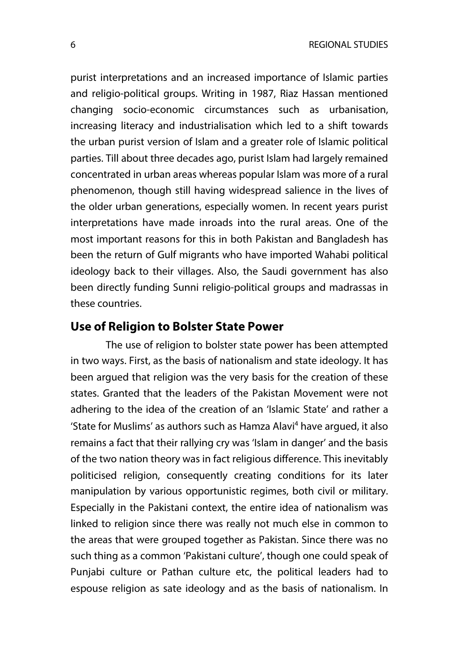purist interpretations and an increased importance of Islamic parties and religio-political groups. Writing in 1987, Riaz Hassan mentioned changing socio-economic circumstances such as urbanisation, increasing literacy and industrialisation which led to a shift towards the urban purist version of Islam and a greater role of Islamic political parties. Till about three decades ago, purist Islam had largely remained concentrated in urban areas whereas popular Islam was more of a rural phenomenon, though still having widespread salience in the lives of the older urban generations, especially women. In recent years purist interpretations have made inroads into the rural areas. One of the most important reasons for this in both Pakistan and Bangladesh has been the return of Gulf migrants who have imported Wahabi political ideology back to their villages. Also, the Saudi government has also been directly funding Sunni religio-political groups and madrassas in these countries.

### **Use of Religion to Bolster State Power**

The use of religion to bolster state power has been attempted in two ways. First, as the basis of nationalism and state ideology. It has been argued that religion was the very basis for the creation of these states. Granted that the leaders of the Pakistan Movement were not adhering to the idea of the creation of an 'Islamic State' and rather a 'State for Muslims' as authors such as Hamza Alavi<sup>4</sup> have argued, it also remains a fact that their rallying cry was 'Islam in danger' and the basis of the two nation theory was in fact religious difference. This inevitably politicised religion, consequently creating conditions for its later manipulation by various opportunistic regimes, both civil or military. Especially in the Pakistani context, the entire idea of nationalism was linked to religion since there was really not much else in common to the areas that were grouped together as Pakistan. Since there was no such thing as a common 'Pakistani culture', though one could speak of Punjabi culture or Pathan culture etc, the political leaders had to espouse religion as sate ideology and as the basis of nationalism. In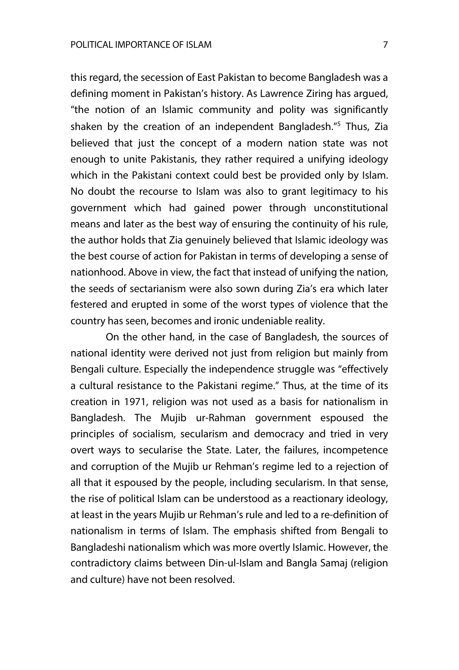this regard, the secession of East Pakistan to become Bangladesh was a defining moment in Pakistan's history. As Lawrence Ziring has argued, "the notion of an Islamic community and polity was significantly shaken by the creation of an independent Bangladesh."<sup>5</sup> Thus, Zia believed that just the concept of a modern nation state was not enough to unite Pakistanis, they rather required a unifying ideology which in the Pakistani context could best be provided only by Islam. No doubt the recourse to Islam was also to grant legitimacy to his government which had gained power through unconstitutional means and later as the best way of ensuring the continuity of his rule, the author holds that Zia genuinely believed that Islamic ideology was the best course of action for Pakistan in terms of developing a sense of nationhood. Above in view, the fact that instead of unifying the nation, the seeds of sectarianism were also sown during Zia's era which later festered and erupted in some of the worst types of violence that the country has seen, becomes and ironic undeniable reality.

On the other hand, in the case of Bangladesh, the sources of national identity were derived not just from religion but mainly from Bengali culture. Especially the independence struggle was "effectively a cultural resistance to the Pakistani regime." Thus, at the time of its creation in 1971, religion was not used as a basis for nationalism in Bangladesh. The Mujib ur-Rahman government espoused the principles of socialism, secularism and democracy and tried in very overt ways to secularise the State. Later, the failures, incompetence and corruption of the Mujib ur Rehman's regime led to a rejection of all that it espoused by the people, including secularism. In that sense, the rise of political Islam can be understood as a reactionary ideology, at least in the years Mujib ur Rehman's rule and led to a re-definition of nationalism in terms of Islam. The emphasis shifted from Bengali to Bangladeshi nationalism which was more overtly Islamic. However, the contradictory claims between Din-ul-Islam and Bangla Samaj (religion and culture) have not been resolved.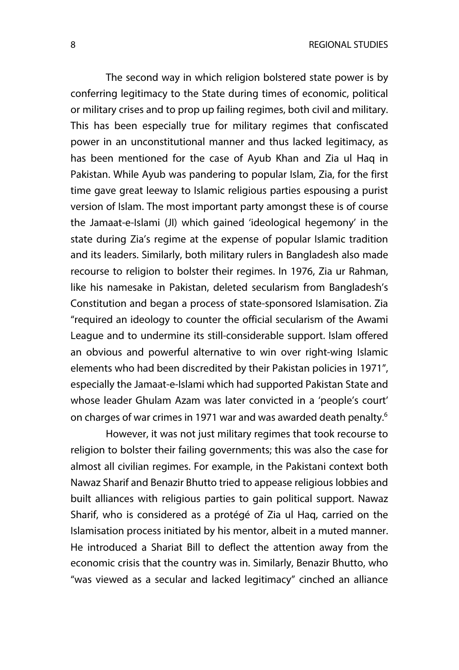The second way in which religion bolstered state power is by conferring legitimacy to the State during times of economic, political or military crises and to prop up failing regimes, both civil and military. This has been especially true for military regimes that confiscated power in an unconstitutional manner and thus lacked legitimacy, as has been mentioned for the case of Ayub Khan and Zia ul Haq in Pakistan. While Ayub was pandering to popular Islam, Zia, for the first time gave great leeway to Islamic religious parties espousing a purist version of Islam. The most important party amongst these is of course the Jamaat-e-Islami (JI) which gained 'ideological hegemony' in the state during Zia's regime at the expense of popular Islamic tradition and its leaders. Similarly, both military rulers in Bangladesh also made recourse to religion to bolster their regimes. In 1976, Zia ur Rahman, like his namesake in Pakistan, deleted secularism from Bangladesh's Constitution and began a process of state-sponsored Islamisation. Zia "required an ideology to counter the official secularism of the Awami League and to undermine its still-considerable support. Islam offered an obvious and powerful alternative to win over right-wing Islamic elements who had been discredited by their Pakistan policies in 1971", especially the Jamaat-e-Islami which had supported Pakistan State and whose leader Ghulam Azam was later convicted in a 'people's court' on charges of war crimes in 1971 war and was awarded death penalty.<sup>6</sup>

However, it was not just military regimes that took recourse to religion to bolster their failing governments; this was also the case for almost all civilian regimes. For example, in the Pakistani context both Nawaz Sharif and Benazir Bhutto tried to appease religious lobbies and built alliances with religious parties to gain political support. Nawaz Sharif, who is considered as a protégé of Zia ul Haq, carried on the Islamisation process initiated by his mentor, albeit in a muted manner. He introduced a Shariat Bill to deflect the attention away from the economic crisis that the country was in. Similarly, Benazir Bhutto, who "was viewed as a secular and lacked legitimacy" cinched an alliance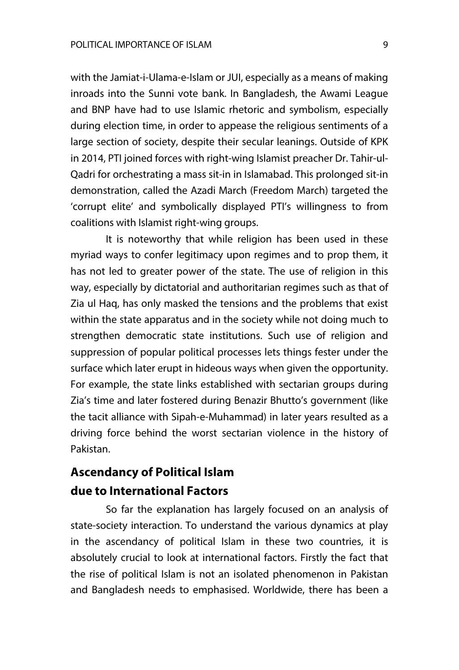with the Jamiat-i-Ulama-e-Islam or JUI, especially as a means of making inroads into the Sunni vote bank. In Bangladesh, the Awami League and BNP have had to use Islamic rhetoric and symbolism, especially during election time, in order to appease the religious sentiments of a large section of society, despite their secular leanings. Outside of KPK in 2014, PTI joined forces with right-wing Islamist preacher Dr. Tahir-ul-Qadri for orchestrating a mass sit-in in Islamabad. This prolonged sit-in demonstration, called the Azadi March (Freedom March) targeted the 'corrupt elite' and symbolically displayed PTI's willingness to from coalitions with Islamist right-wing groups.

It is noteworthy that while religion has been used in these myriad ways to confer legitimacy upon regimes and to prop them, it has not led to greater power of the state. The use of religion in this way, especially by dictatorial and authoritarian regimes such as that of Zia ul Haq, has only masked the tensions and the problems that exist within the state apparatus and in the society while not doing much to strengthen democratic state institutions. Such use of religion and suppression of popular political processes lets things fester under the surface which later erupt in hideous ways when given the opportunity. For example, the state links established with sectarian groups during Zia's time and later fostered during Benazir Bhutto's government (like the tacit alliance with Sipah-e-Muhammad) in later years resulted as a driving force behind the worst sectarian violence in the history of Pakistan.

## **Ascendancy of Political Islam due to International Factors**

So far the explanation has largely focused on an analysis of state-society interaction. To understand the various dynamics at play in the ascendancy of political Islam in these two countries, it is absolutely crucial to look at international factors. Firstly the fact that the rise of political Islam is not an isolated phenomenon in Pakistan and Bangladesh needs to emphasised. Worldwide, there has been a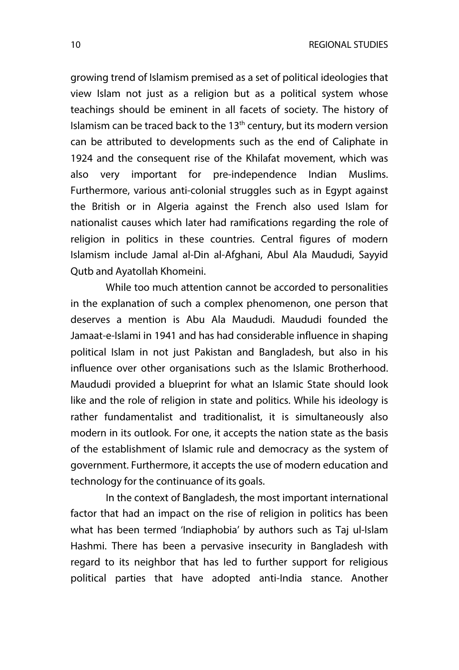growing trend of Islamism premised as a set of political ideologies that view Islam not just as a religion but as a political system whose teachings should be eminent in all facets of society. The history of Islamism can be traced back to the  $13<sup>th</sup>$  century, but its modern version can be attributed to developments such as the end of Caliphate in 1924 and the consequent rise of the Khilafat movement, which was also very important for pre-independence Indian Muslims. Furthermore, various anti-colonial struggles such as in Egypt against the British or in Algeria against the French also used Islam for nationalist causes which later had ramifications regarding the role of religion in politics in these countries. Central figures of modern Islamism include Jamal al-Din al-Afghani, Abul Ala Maududi, Sayyid Qutb and Ayatollah Khomeini.

While too much attention cannot be accorded to personalities in the explanation of such a complex phenomenon, one person that deserves a mention is Abu Ala Maududi. Maududi founded the Jamaat-e-Islami in 1941 and has had considerable influence in shaping political Islam in not just Pakistan and Bangladesh, but also in his influence over other organisations such as the Islamic Brotherhood. Maududi provided a blueprint for what an Islamic State should look like and the role of religion in state and politics. While his ideology is rather fundamentalist and traditionalist, it is simultaneously also modern in its outlook. For one, it accepts the nation state as the basis of the establishment of Islamic rule and democracy as the system of government. Furthermore, it accepts the use of modern education and technology for the continuance of its goals.

In the context of Bangladesh, the most important international factor that had an impact on the rise of religion in politics has been what has been termed 'Indiaphobia' by authors such as Taj ul-Islam Hashmi. There has been a pervasive insecurity in Bangladesh with regard to its neighbor that has led to further support for religious political parties that have adopted anti-India stance. Another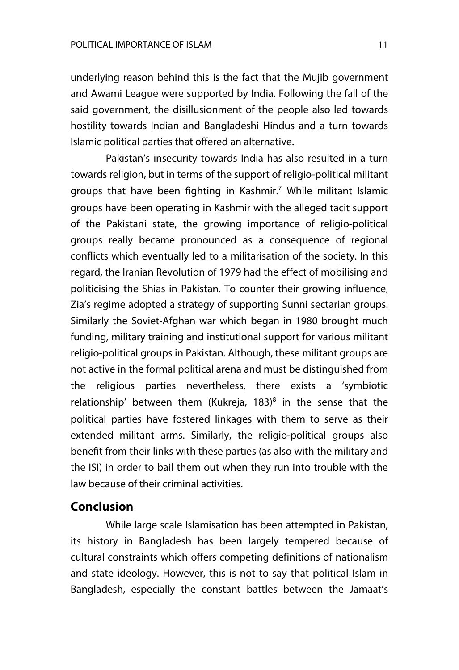underlying reason behind this is the fact that the Mujib government and Awami League were supported by India. Following the fall of the said government, the disillusionment of the people also led towards hostility towards Indian and Bangladeshi Hindus and a turn towards Islamic political parties that offered an alternative.

Pakistan's insecurity towards India has also resulted in a turn towards religion, but in terms of the support of religio-political militant groups that have been fighting in Kashmir.<sup>7</sup> While militant Islamic groups have been operating in Kashmir with the alleged tacit support of the Pakistani state, the growing importance of religio-political groups really became pronounced as a consequence of regional conflicts which eventually led to a militarisation of the society. In this regard, the Iranian Revolution of 1979 had the effect of mobilising and politicising the Shias in Pakistan. To counter their growing influence, Zia's regime adopted a strategy of supporting Sunni sectarian groups. Similarly the Soviet-Afghan war which began in 1980 brought much funding, military training and institutional support for various militant religio-political groups in Pakistan. Although, these militant groups are not active in the formal political arena and must be distinguished from the religious parties nevertheless, there exists a 'symbiotic relationship' between them (Kukreja,  $183$ )<sup>8</sup> in the sense that the political parties have fostered linkages with them to serve as their extended militant arms. Similarly, the religio-political groups also benefit from their links with these parties (as also with the military and the ISI) in order to bail them out when they run into trouble with the law because of their criminal activities.

## **Conclusion**

While large scale Islamisation has been attempted in Pakistan, its history in Bangladesh has been largely tempered because of cultural constraints which offers competing definitions of nationalism and state ideology. However, this is not to say that political Islam in Bangladesh, especially the constant battles between the Jamaat's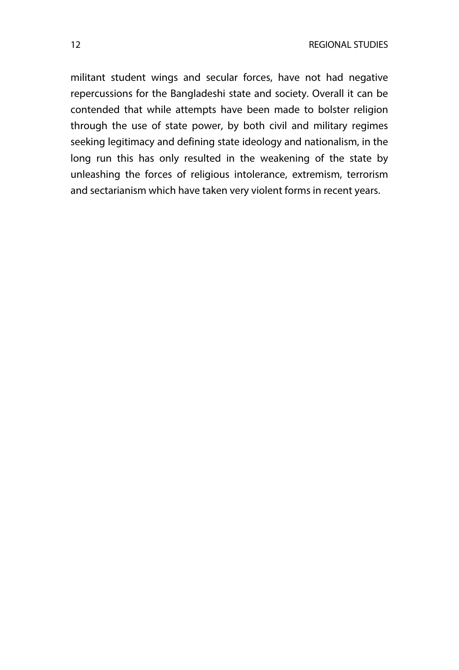militant student wings and secular forces, have not had negative repercussions for the Bangladeshi state and society. Overall it can be contended that while attempts have been made to bolster religion through the use of state power, by both civil and military regimes seeking legitimacy and defining state ideology and nationalism, in the long run this has only resulted in the weakening of the state by unleashing the forces of religious intolerance, extremism, terrorism and sectarianism which have taken very violent forms in recent years.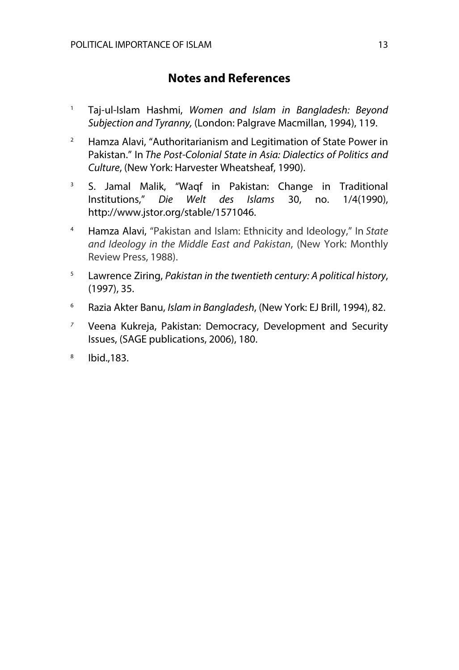## **Notes and References**

- <sup>1</sup> Taj-ul-Islam Hashmi, *Women and Islam in Bangladesh: Beyond Subjection and Tyranny,* (London: Palgrave Macmillan, 1994), 119.
- <sup>2</sup> Hamza Alavi, "Authoritarianism and Legitimation of State Power in Pakistan." In *The Post-Colonial State in Asia: Dialectics of Politics and Culture*, (New York: Harvester Wheatsheaf, 1990).
- <sup>3</sup> S. Jamal Malik, "Waqf in Pakistan: Change in Traditional Institutions," *Die Welt des Islams* 30, no. 1/4(1990), http://www.jstor.org/stable/1571046.
- <sup>4</sup> Hamza Alavi, "Pakistan and Islam: Ethnicity and Ideology," In *State and Ideology in the Middle East and Pakistan*, (New York: Monthly Review Press, 1988).
- <sup>5</sup> Lawrence Ziring, *Pakistan in the twentieth century: A political history*, (1997), 35.
- <sup>6</sup> Razia Akter Banu, *Islam in Bangladesh*, (New York: EJ Brill, 1994), 82.
- *<sup>7</sup>* Veena Kukreja, Pakistan: Democracy, Development and Security Issues, (SAGE publications, 2006), 180.
- <sup>8</sup> Ibid.,183.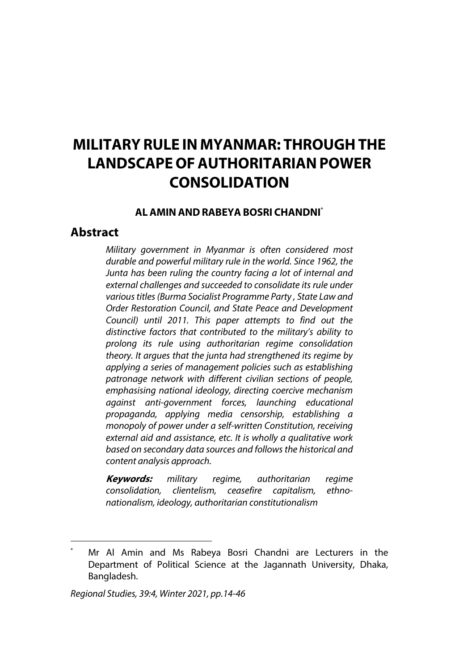## **MILITARY RULE IN MYANMAR: THROUGHTHE LANDSCAPE OFAUTHORITARIANPOWER CONSOLIDATION**

#### **ALAMINANDRABEYABOSRI CHANDNI**\*

## **Abstract**

*Military government in Myanmar is often considered most durable and powerful military rule in the world. Since 1962, the Junta has been ruling the country facing a lot of internal and external challenges and succeeded to consolidate its rule under various titles [\(Burma Socialist Programme Party](https://en.wikipedia.org/wiki/Burma_Socialist_Programme_Party) , State Law and Order Restoration Council, and State Peace and Development Council) until 2011. This paper attempts to find out the distinctive factors that contributed to the military's ability to prolong its rule using authoritarian regime consolidation theory. It argues that the junta had strengthened its regime by applying a series of management policies such as establishing patronage network with different civilian sections of people, emphasising national ideology, directing coercive mechanism against anti-government forces, launching educational propaganda, applying media censorship, establishing a monopoly of power under a self-written Constitution, receiving external aid and assistance, etc. It is wholly a qualitative work based on secondary data sources and follows the historical and content analysis approach.*

**Keywords:** *military regime, authoritarian regime consolidation, clientelism, ceasefire capitalism, ethnonationalism, ideology, authoritarian constitutionalism*

Mr Al Amin and Ms Rabeya Bosri Chandni are Lecturers in the Department of Political Science at the Jagannath University, Dhaka, Bangladesh.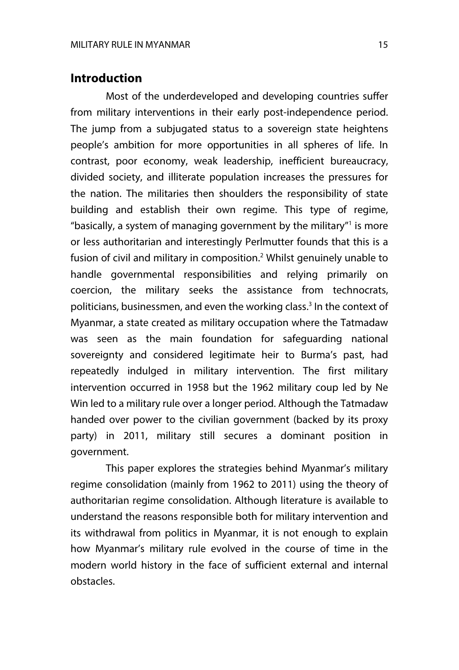## **Introduction**

Most of the underdeveloped and developing countries suffer from military interventions in their early post-independence period. The jump from a subjugated status to a sovereign state heightens people's ambition for more opportunities in all spheres of life. In contrast, poor economy, weak leadership, inefficient bureaucracy, divided society, and illiterate population increases the pressures for the nation. The militaries then shoulders the responsibility of state building and establish their own regime. This type of regime, "basically, a system of managing government by the military $n$  is more or less authoritarian and interestingly Perlmutter founds that this is a fusion of civil and military in composition.<sup>2</sup> Whilst genuinely unable to handle governmental responsibilities and relying primarily on coercion, the military seeks the assistance from technocrats, politicians, businessmen, and even the working class.<sup>3</sup> In the context of Myanmar, a state created as military occupation where the Tatmadaw was seen as the main foundation for safeguarding national sovereignty and considered legitimate heir to Burma's past, had repeatedly indulged in military intervention. The first military intervention occurred in 1958 but the 1962 military coup led by Ne Win led to a military rule over a longer period. Although the Tatmadaw handed over power to the civilian government (backed by its proxy party) in 2011, military still secures a dominant position in government.

This paper explores the strategies behind Myanmar's military regime consolidation (mainly from 1962 to 2011) using the theory of authoritarian regime consolidation. Although literature is available to understand the reasons responsible both for military intervention and its withdrawal from politics in Myanmar, it is not enough to explain how Myanmar's military rule evolved in the course of time in the modern world history in the face of sufficient external and internal obstacles.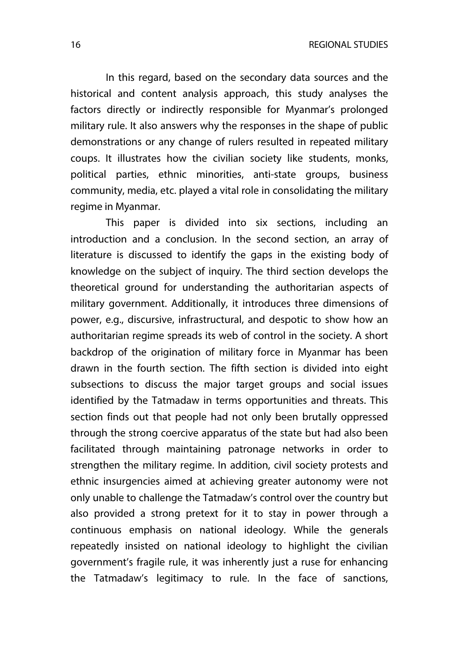16 REGIONAL STUDIES

In this regard, based on the secondary data sources and the historical and content analysis approach, this study analyses the factors directly or indirectly responsible for Myanmar's prolonged military rule. It also answers why the responses in the shape of public demonstrations or any change of rulers resulted in repeated military coups. It illustrates how the civilian society like students, monks, political parties, ethnic minorities, anti-state groups, business community, media, etc. played a vital role in consolidating the military regime in Myanmar.

This paper is divided into six sections, including an introduction and a conclusion. In the second section, an array of literature is discussed to identify the gaps in the existing body of knowledge on the subject of inquiry. The third section develops the theoretical ground for understanding the authoritarian aspects of military government. Additionally, it introduces three dimensions of power, e.g., discursive, infrastructural, and despotic to show how an authoritarian regime spreads its web of control in the society. A short backdrop of the origination of military force in Myanmar has been drawn in the fourth section. The fifth section is divided into eight subsections to discuss the major target groups and social issues identified by the Tatmadaw in terms opportunities and threats. This section finds out that people had not only been brutally oppressed through the strong coercive apparatus of the state but had also been facilitated through maintaining patronage networks in order to strengthen the military regime. In addition, civil society protests and ethnic insurgencies aimed at achieving greater autonomy were not only unable to challenge the Tatmadaw's control over the country but also provided a strong pretext for it to stay in power through a continuous emphasis on national ideology. While the generals repeatedly insisted on national ideology to highlight the civilian government's fragile rule, it was inherently just a ruse for enhancing the Tatmadaw's legitimacy to rule. In the face of sanctions,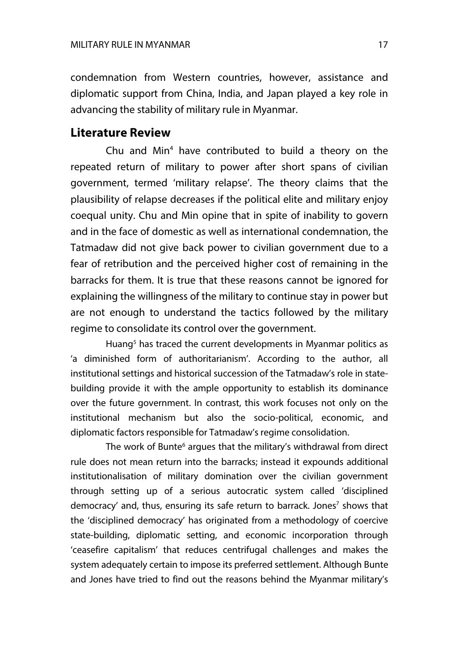condemnation from Western countries, however, assistance and diplomatic support from China, India, and Japan played a key role in advancing the stability of military rule in Myanmar.

#### **Literature Review**

Chu and Min<sup>4</sup> have contributed to build a theory on the repeated return of military to power after short spans of civilian government, termed 'military relapse'. The theory claims that the plausibility of relapse decreases if the political elite and military enjoy coequal unity. Chu and Min opine that in spite of inability to govern and in the face of domestic as well as international condemnation, the Tatmadaw did not give back power to civilian government due to a fear of retribution and the perceived higher cost of remaining in the barracks for them. It is true that these reasons cannot be ignored for explaining the willingness of the military to continue stay in power but are not enough to understand the tactics followed by the military regime to consolidate its control over the government.

Huang<sup>5</sup> has traced the current developments in Myanmar politics as 'a diminished form of authoritarianism'. According to the author, all institutional settings and historical succession of the Tatmadaw's role in statebuilding provide it with the ample opportunity to establish its dominance over the future government. In contrast, this work focuses not only on the institutional mechanism but also the socio-political, economic, and diplomatic factors responsible for Tatmadaw's regime consolidation.

The work of Bunte<sup>6</sup> argues that the military's withdrawal from direct rule does not mean return into the barracks; instead it expounds additional institutionalisation of military domination over the civilian government through setting up of a serious autocratic system called 'disciplined democracy' and, thus, ensuring its safe return to barrack. Jones<sup>7</sup> shows that the 'disciplined democracy' has originated from a methodology of coercive state-building, diplomatic setting, and economic incorporation through 'ceasefire capitalism' that reduces centrifugal challenges and makes the system adequately certain to impose its preferred settlement. Although Bunte and Jones have tried to find out the reasons behind the Myanmar military's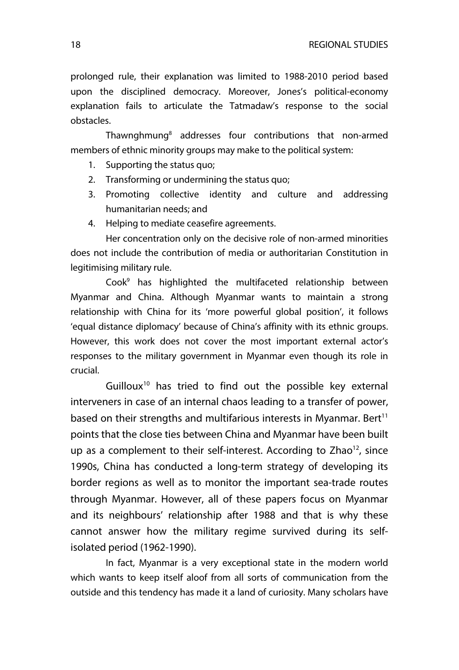prolonged rule, their explanation was limited to 1988-2010 period based upon the disciplined democracy. Moreover, Jones's political-economy explanation fails to articulate the Tatmadaw's response to the social obstacles.

Thawnghmung8 addresses four contributions that non-armed members of ethnic minority groups may make to the political system:

- 1. Supporting the status quo;
- 2. Transforming or undermining the status quo;
- 3. Promoting collective identity and culture and addressing humanitarian needs; and
- 4. Helping to mediate ceasefire agreements.

Her concentration only on the decisive role of non-armed minorities does not include the contribution of media or authoritarian Constitution in legitimising military rule.

 $Cook<sup>9</sup>$  has highlighted the multifaceted relationship between Myanmar and China. Although Myanmar wants to maintain a strong relationship with China for its 'more powerful global position', it follows 'equal distance diplomacy' because of China's affinity with its ethnic groups. However, this work does not cover the most important external actor's responses to the military government in Myanmar even though its role in crucial.

Guilloux<sup>10</sup> has tried to find out the possible key external interveners in case of an internal chaos leading to a transfer of power, based on their strengths and multifarious interests in Myanmar. Bert $11$ points that the close ties between China and Myanmar have been built up as a complement to their self-interest. According to  $Zhao<sup>12</sup>$ , since 1990s, China has conducted a long-term strategy of developing its border regions as well as to monitor the important sea-trade routes through Myanmar. However, all of these papers focus on Myanmar and its neighbours' relationship after 1988 and that is why these cannot answer how the military regime survived during its selfisolated period (1962-1990).

In fact, Myanmar is a very exceptional state in the modern world which wants to keep itself aloof from all sorts of communication from the outside and this tendency has made it a land of curiosity. Many scholars have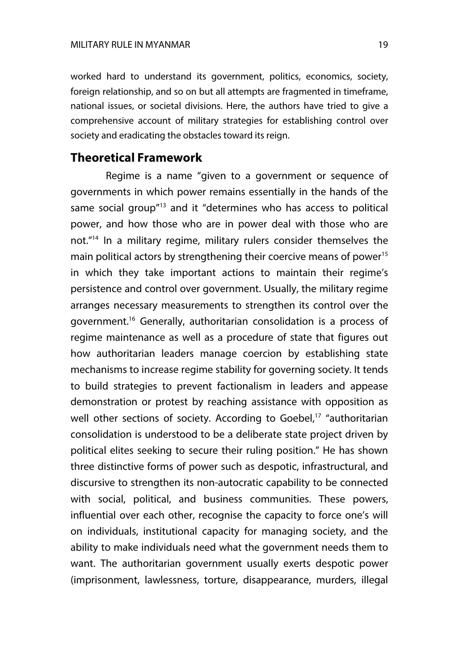worked hard to understand its government, politics, economics, society, foreign relationship, and so on but all attempts are fragmented in timeframe, national issues, or societal divisions. Here, the authors have tried to give a comprehensive account of military strategies for establishing control over society and eradicating the obstacles toward its reign.

## **Theoretical Framework**

Regime is a name "given to a government or sequence of governments in which power remains essentially in the hands of the same social group<sup>"13</sup> and it "determines who has access to political power, and how those who are in power deal with those who are not."14 In a military regime, military rulers consider themselves the main political actors by strengthening their coercive means of power<sup>15</sup> in which they take important actions to maintain their regime's persistence and control over government. Usually, the military regime arranges necessary measurements to strengthen its control over the government.16 Generally, authoritarian consolidation is a process of regime maintenance as well as a procedure of state that figures out how authoritarian leaders manage coercion by establishing state mechanisms to increase regime stability for governing society. It tends to build strategies to prevent factionalism in leaders and appease demonstration or protest by reaching assistance with opposition as well other sections of society. According to Goebel,<sup>17</sup> "authoritarian consolidation is understood to be a deliberate state project driven by political elites seeking to secure their ruling position." He has shown three distinctive forms of power such as despotic, infrastructural, and discursive to strengthen its non-autocratic capability to be connected with social, political, and business communities. These powers, influential over each other, recognise the capacity to force one's will on individuals, institutional capacity for managing society, and the ability to make individuals need what the government needs them to want. The authoritarian government usually exerts despotic power (imprisonment, lawlessness, torture, disappearance, murders, illegal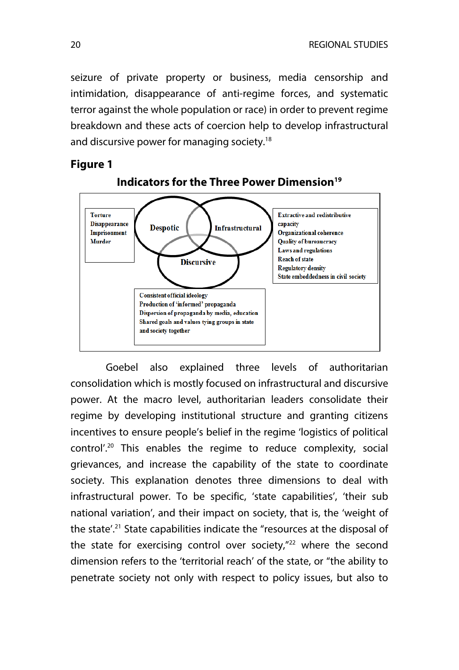seizure of private property or business, media censorship and intimidation, disappearance of anti-regime forces, and systematic terror against the whole population or race) in order to prevent regime breakdown and these acts of coercion help to develop infrastructural and discursive power for managing society.<sup>18</sup>

#### **Figure 1**



#### **Indicators for the Three Power Dimension**<sup>19</sup>

Goebel also explained three levels of authoritarian consolidation which is mostly focused on infrastructural and discursive power. At the macro level, authoritarian leaders consolidate their regime by developing institutional structure and granting citizens incentives to ensure people's belief in the regime 'logistics of political control'.<sup>20</sup> This enables the regime to reduce complexity, social grievances, and increase the capability of the state to coordinate society. This explanation denotes three dimensions to deal with infrastructural power. To be specific, 'state capabilities', 'their sub national variation', and their impact on society, that is, the 'weight of the state<sup>'.21</sup> State capabilities indicate the "resources at the disposal of the state for exercising control over society,"<sup>22</sup> where the second dimension refers to the 'territorial reach' of the state, or "the ability to penetrate society not only with respect to policy issues, but also to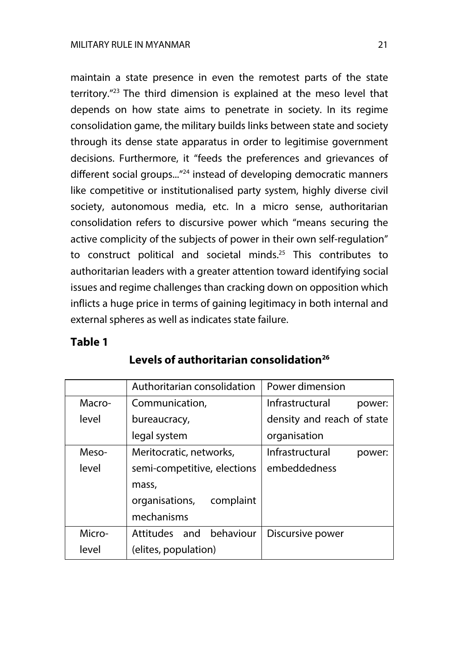maintain a state presence in even the remotest parts of the state territory."23 The third dimension is explained at the meso level that depends on how state aims to penetrate in society. In its regime consolidation game, the military builds links between state and society through its dense state apparatus in order to legitimise government decisions. Furthermore, it "feeds the preferences and grievances of different social groups...<sup>"24</sup> instead of developing democratic manners like competitive or institutionalised party system, highly diverse civil society, autonomous media, etc. In a micro sense, authoritarian consolidation refers to discursive power which "means securing the active complicity of the subjects of power in their own self-regulation" to construct political and societal minds.<sup>25</sup> This contributes to authoritarian leaders with a greater attention toward identifying social issues and regime challenges than cracking down on opposition which inflicts a huge price in terms of gaining legitimacy in both internal and external spheres as well as indicates state failure.

## **Table 1**

|        | Authoritarian consolidation | Power dimension            |
|--------|-----------------------------|----------------------------|
| Macro- | Communication,              | Infrastructural<br>power:  |
| level  | bureaucracy,                | density and reach of state |
|        | legal system                | organisation               |
| Meso-  | Meritocratic, networks,     | Infrastructural<br>power:  |
| level  | semi-competitive, elections | embeddedness               |
|        | mass,                       |                            |
|        | organisations,<br>complaint |                            |
|        | mechanisms                  |                            |
| Micro- | Attitudes and<br>behaviour  | Discursive power           |
| level  | (elites, population)        |                            |

## Levels of authoritarian consolidation<sup>26</sup>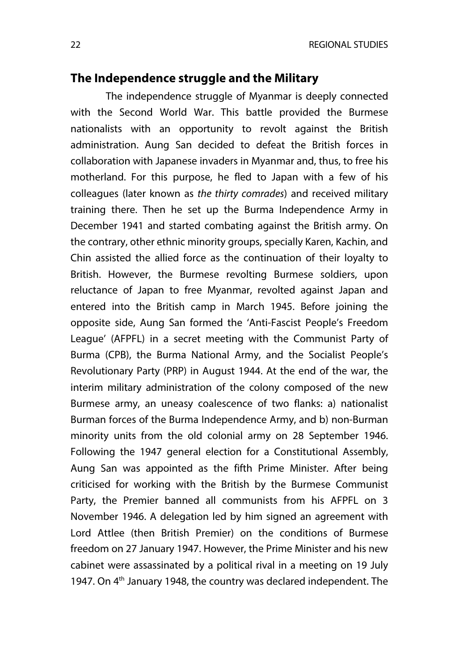#### **The Independence struggle and the Military**

The independence struggle of Myanmar is deeply connected with the Second World War. This battle provided the Burmese nationalists with an opportunity to revolt against the British administration. Aung San decided to defeat the British forces in collaboration with Japanese invaders in Myanmar and, thus, to free his motherland. For this purpose, he fled to Japan with a few of his colleagues (later known as *the thirty comrades*) and received military training there. Then he set up the Burma Independence Army in December 1941 and started combating against the British army. On the contrary, other ethnic minority groups, specially Karen, Kachin, and Chin assisted the allied force as the continuation of their loyalty to British. However, the Burmese revolting Burmese soldiers, upon reluctance of Japan to free Myanmar, revolted against Japan and entered into the British camp in March 1945. Before joining the opposite side, Aung San formed the 'Anti-Fascist People's Freedom League' (AFPFL) in a secret meeting with the Communist Party of Burma (CPB), the Burma National Army, and the Socialist People's Revolutionary Party (PRP) in August 1944. At the end of the war, the interim military administration of the colony composed of the new Burmese army, an uneasy coalescence of two flanks: a) nationalist Burman forces of the Burma Independence Army, and b) non-Burman minority units from the old colonial army on 28 September 1946. Following the 1947 general election for a Constitutional Assembly, Aung San was appointed as the fifth Prime Minister. After being criticised for working with the British by the Burmese Communist Party, the Premier banned all communists from his AFPFL on 3 November 1946. A delegation led by him signed an agreement with Lord Attlee (then British Premier) on the conditions of Burmese freedom on 27 January 1947. However, the Prime Minister and his new cabinet were assassinated by a political rival in a meeting on 19 July 1947. On 4<sup>th</sup> January 1948, the country was declared independent. The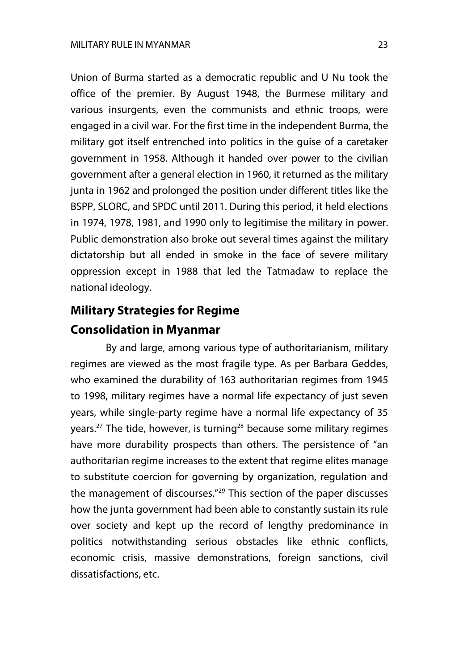Union of Burma started as a democratic republic and U Nu took the office of the premier. By August 1948, the Burmese military and various insurgents, even the communists and ethnic troops, were engaged in a civil war. For the first time in the independent Burma, the military got itself entrenched into politics in the guise of a caretaker government in 1958. Although it handed over power to the civilian government after a general election in 1960, it returned as the military junta in 1962 and prolonged the position under different titles like the BSPP, SLORC, and SPDC until 2011. During this period, it held elections in 1974, 1978, 1981, and 1990 only to legitimise the military in power. Public demonstration also broke out several times against the military dictatorship but all ended in smoke in the face of severe military oppression except in 1988 that led the Tatmadaw to replace the national ideology.

## **Military Strategies for Regime Consolidation in Myanmar**

By and large, among various type of authoritarianism, military regimes are viewed as the most fragile type. As per Barbara Geddes, who examined the durability of 163 authoritarian regimes from 1945 to 1998, military regimes have a normal life expectancy of just seven years, while single-party regime have a normal life expectancy of 35 years.<sup>27</sup> The tide, however, is turning<sup>28</sup> because some military regimes have more durability prospects than others. The persistence of "an authoritarian regime increases to the extent that regime elites manage to substitute coercion for governing by organization, regulation and the management of discourses."29 This section of the paper discusses how the junta government had been able to constantly sustain its rule over society and kept up the record of lengthy predominance in politics notwithstanding serious obstacles like ethnic conflicts, economic crisis, massive demonstrations, foreign sanctions, civil dissatisfactions, etc.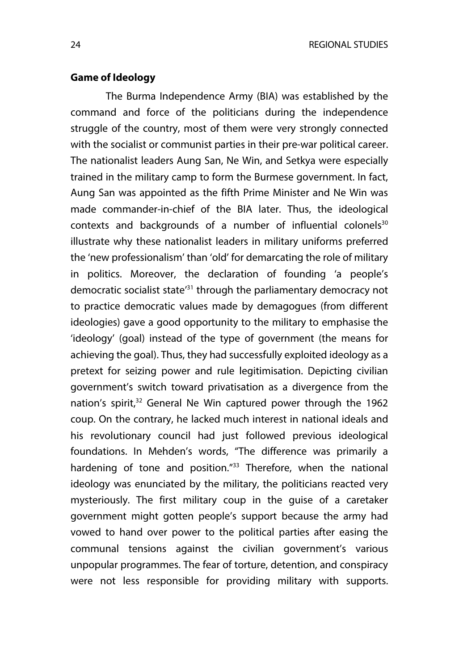#### **Game of Ideology**

The Burma Independence Army (BIA) was established by the command and force of the politicians during the independence struggle of the country, most of them were very strongly connected with the socialist or communist parties in their pre-war political career. The nationalist leaders Aung San, Ne Win, and Setkya were especially trained in the military camp to form the Burmese government. In fact, Aung San was appointed as the fifth Prime Minister and Ne Win was made commander-in-chief of the BIA later. Thus, the ideological contexts and backgrounds of a number of influential colonels<sup>30</sup> illustrate why these nationalist leaders in military uniforms preferred the 'new professionalism' than 'old' for demarcating the role of military in politics. Moreover, the declaration of founding 'a people's democratic socialist state<sup>31</sup> through the parliamentary democracy not to practice democratic values made by demagogues (from different ideologies) gave a good opportunity to the military to emphasise the 'ideology' (goal) instead of the type of government (the means for achieving the goal). Thus, they had successfully exploited ideology as a pretext for seizing power and rule legitimisation. Depicting civilian government's switch toward privatisation as a divergence from the nation's spirit,<sup>32</sup> General Ne Win captured power through the 1962 coup. On the contrary, he lacked much interest in national ideals and his revolutionary council had just followed previous ideological foundations. In Mehden's words, "The difference was primarily a hardening of tone and position."<sup>33</sup> Therefore, when the national ideology was enunciated by the military, the politicians reacted very mysteriously. The first military coup in the guise of a caretaker government might gotten people's support because the army had vowed to hand over power to the political parties after easing the communal tensions against the civilian government's various unpopular programmes. The fear of torture, detention, and conspiracy were not less responsible for providing military with supports.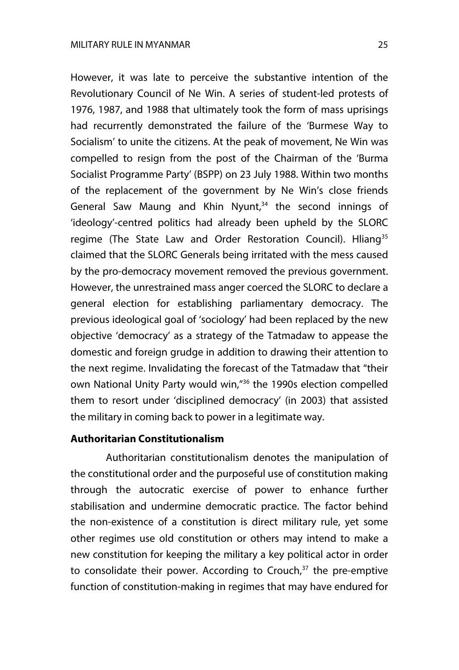However, it was late to perceive the substantive intention of the Revolutionary Council of Ne Win. A series of student-led protests of 1976, 1987, and 1988 that ultimately took the form of mass uprisings had recurrently demonstrated the failure of the 'Burmese Way to Socialism' to unite the citizens. At the peak of movement, Ne Win was compelled to resign from the post of the Chairman of the 'Burma Socialist Programme Party' (BSPP) on 23 July 1988. Within two months of the replacement of the government by Ne Win's close friends General Saw Maung and Khin Nyunt, $34$  the second innings of 'ideology'-centred politics had already been upheld by the SLORC regime (The State Law and Order Restoration Council). Hliang<sup>35</sup> claimed that the SLORC Generals being irritated with the mess caused by the pro-democracy movement removed the previous government. However, the unrestrained mass anger coerced the SLORC to declare a general election for establishing parliamentary democracy. The previous ideological goal of 'sociology' had been replaced by the new objective 'democracy' as a strategy of the Tatmadaw to appease the domestic and foreign grudge in addition to drawing their attention to the next regime. Invalidating the forecast of the Tatmadaw that "their own National Unity Party would win,"36 the 1990s election compelled them to resort under 'disciplined democracy' (in 2003) that assisted the military in coming back to power in a legitimate way.

#### **Authoritarian Constitutionalism**

Authoritarian constitutionalism denotes the manipulation of the constitutional order and the purposeful use of constitution making through the autocratic exercise of power to enhance further stabilisation and undermine democratic practice. The factor behind the non-existence of a constitution is direct military rule, yet some other regimes use old constitution or others may intend to make a new constitution for keeping the military a key political actor in order to consolidate their power. According to Crouch, $37$  the pre-emptive function of constitution-making in regimes that may have endured for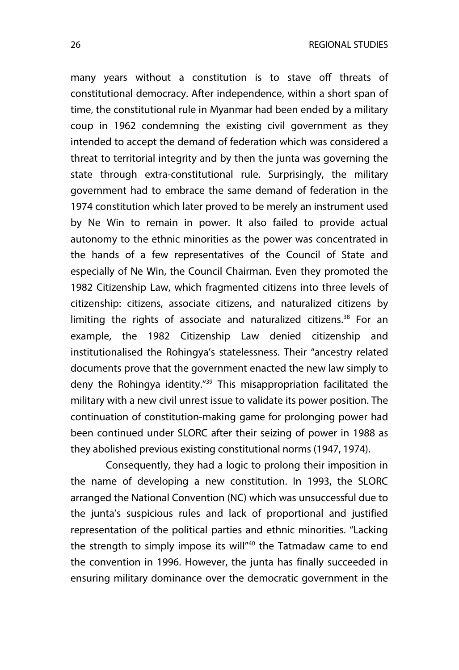many years without a constitution is to stave off threats of constitutional democracy. After independence, within a short span of time, the constitutional rule in Myanmar had been ended by a military coup in 1962 condemning the existing civil government as they intended to accept the demand of federation which was considered a threat to territorial integrity and by then the junta was governing the state through extra-constitutional rule. Surprisingly, the military government had to embrace the same demand of federation in the 1974 constitution which later proved to be merely an instrument used by Ne Win to remain in power. It also failed to provide actual autonomy to the ethnic minorities as the power was concentrated in the hands of a few representatives of the Council of State and especially of Ne Win, the Council Chairman. Even they promoted the 1982 Citizenship Law, which fragmented citizens into three levels of citizenship: citizens, associate citizens, and naturalized citizens by limiting the rights of associate and naturalized citizens. $38$  For an example, the 1982 Citizenship Law denied citizenship and institutionalised the Rohingya's statelessness. Their "ancestry related documents prove that the government enacted the new law simply to deny the Rohingya identity."39 This misappropriation facilitated the military with a new civil unrest issue to validate its power position. The continuation of constitution-making game for prolonging power had been continued under SLORC after their seizing of power in 1988 as they abolished previous existing constitutional norms (1947, 1974).

Consequently, they had a logic to prolong their imposition in the name of developing a new constitution. In 1993, the SLORC arranged the National Convention (NC) which was unsuccessful due to the junta's suspicious rules and lack of proportional and justified representation of the political parties and ethnic minorities. "Lacking the strength to simply impose its will<sup>"40</sup> the Tatmadaw came to end the convention in 1996. However, the junta has finally succeeded in ensuring military dominance over the democratic government in the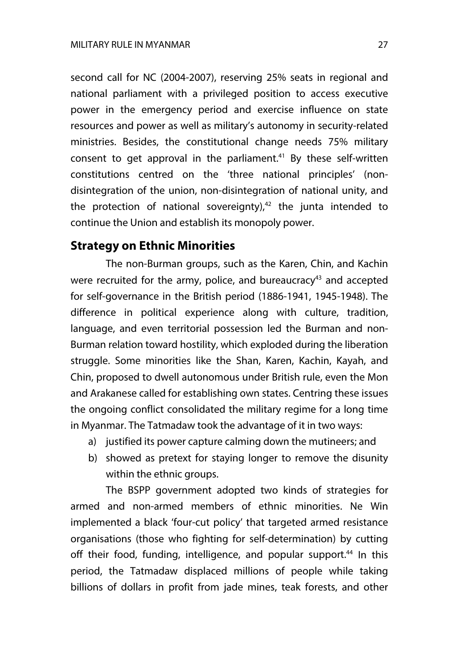second call for NC (2004-2007), reserving 25% seats in regional and national parliament with a privileged position to access executive power in the emergency period and exercise influence on state resources and power as well as military's autonomy in security-related ministries. Besides, the constitutional change needs 75% military consent to get approval in the parliament.<sup>41</sup> By these self-written constitutions centred on the 'three national principles' (nondisintegration of the union, non-disintegration of national unity, and the protection of national sovereignty), $42$  the junta intended to continue the Union and establish its monopoly power.

## **Strategy on Ethnic Minorities**

The non-Burman groups, such as the Karen, Chin, and Kachin were recruited for the army, police, and bureaucracy<sup>43</sup> and accepted for self-governance in the British period (1886-1941, 1945-1948). The difference in political experience along with culture, tradition, language, and even territorial possession led the Burman and non-Burman relation toward hostility, which exploded during the liberation struggle. Some minorities like the Shan, Karen, Kachin, Kayah, and Chin, proposed to dwell autonomous under British rule, even the Mon and Arakanese called for establishing own states. Centring these issues the ongoing conflict consolidated the military regime for a long time in Myanmar. The Tatmadaw took the advantage of it in two ways:

- a) justified its power capture calming down the mutineers; and
- b) showed as pretext for staying longer to remove the disunity within the ethnic groups.

The BSPP government adopted two kinds of strategies for armed and non-armed members of ethnic minorities. Ne Win implemented a black 'four-cut policy' that targeted armed resistance organisations (those who fighting for self-determination) by cutting off their food, funding, intelligence, and popular support.<sup>44</sup> In this period, the Tatmadaw displaced millions of people while taking billions of dollars in profit from jade mines, teak forests, and other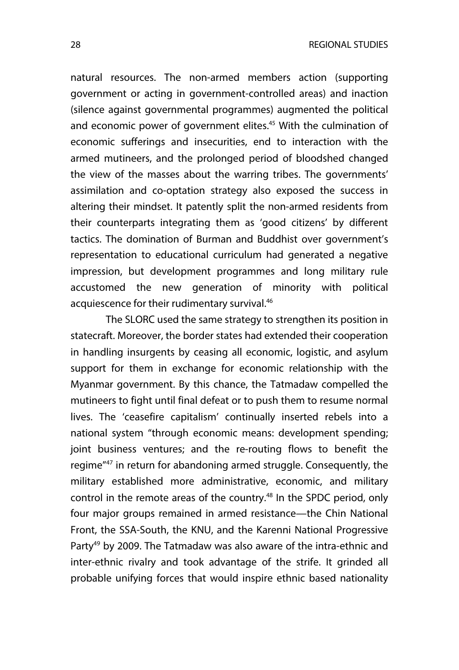natural resources. The non-armed members action (supporting government or acting in government-controlled areas) and inaction (silence against governmental programmes) augmented the political and economic power of government elites.<sup>45</sup> With the culmination of economic sufferings and insecurities, end to interaction with the armed mutineers, and the prolonged period of bloodshed changed the view of the masses about the warring tribes. The governments' assimilation and co-optation strategy also exposed the success in altering their mindset. It patently split the non-armed residents from their counterparts integrating them as 'good citizens' by different tactics. The domination of Burman and Buddhist over government's representation to educational curriculum had generated a negative impression, but development programmes and long military rule accustomed the new generation of minority with political acquiescence for their rudimentary survival.<sup>46</sup>

The SLORC used the same strategy to strengthen its position in statecraft. Moreover, the border states had extended their cooperation in handling insurgents by ceasing all economic, logistic, and asylum support for them in exchange for economic relationship with the Myanmar government. By this chance, the Tatmadaw compelled the mutineers to fight until final defeat or to push them to resume normal lives. The 'ceasefire capitalism' continually inserted rebels into a national system "through economic means: development spending; joint business ventures; and the re-routing flows to benefit the regime"47 in return for abandoning armed struggle. Consequently, the military established more administrative, economic, and military control in the remote areas of the country.<sup>48</sup> In the SPDC period, only four major groups remained in armed resistance—the Chin National Front, the SSA-South, the KNU, and the Karenni National Progressive Party<sup>49</sup> by 2009. The Tatmadaw was also aware of the intra-ethnic and inter-ethnic rivalry and took advantage of the strife. It grinded all probable unifying forces that would inspire ethnic based nationality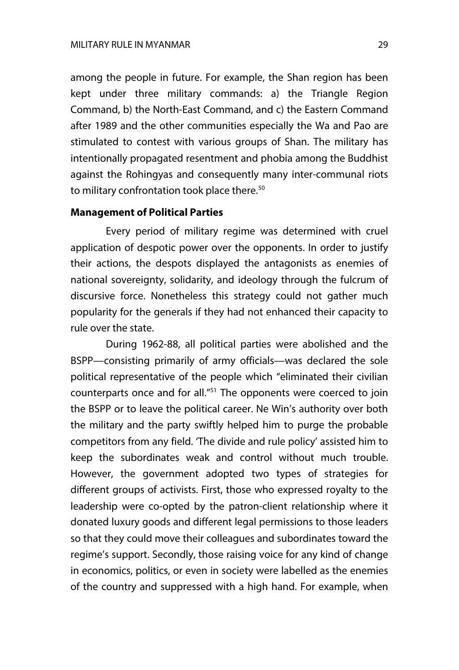among the people in future. For example, the Shan region has been kept under three military commands: a) the Triangle Region Command, b) the North-East Command, and c) the Eastern Command after 1989 and the other communities especially the Wa and Pao are stimulated to contest with various groups of Shan. The military has intentionally propagated resentment and phobia among the Buddhist against the Rohingyas and consequently many inter-communal riots to military confrontation took place there.<sup>50</sup>

#### **Management of Political Parties**

Every period of military regime was determined with cruel application of despotic power over the opponents. In order to justify their actions, the despots displayed the antagonists as enemies of national sovereignty, solidarity, and ideology through the fulcrum of discursive force. Nonetheless this strategy could not gather much popularity for the generals if they had not enhanced their capacity to rule over the state.

During 1962-88, all political parties were abolished and the BSPP—consisting primarily of army officials—was declared the sole political representative of the people which "eliminated their civilian counterparts once and for all."51 The opponents were coerced to join the BSPP or to leave the political career. Ne Win's authority over both the military and the party swiftly helped him to purge the probable competitors from any field. 'The divide and rule policy' assisted him to keep the subordinates weak and control without much trouble. However, the government adopted two types of strategies for different groups of activists. First, those who expressed royalty to the leadership were co-opted by the patron-client relationship where it donated luxury goods and different legal permissions to those leaders so that they could move their colleagues and subordinates toward the regime's support. Secondly, those raising voice for any kind of change in economics, politics, or even in society were labelled as the enemies of the country and suppressed with a high hand. For example, when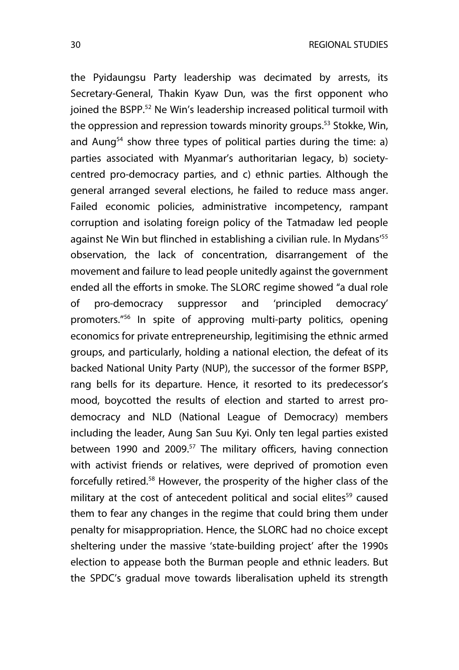the Pyidaungsu Party leadership was decimated by arrests, its Secretary-General, Thakin Kyaw Dun, was the first opponent who joined the BSPP.<sup>52</sup> Ne Win's leadership increased political turmoil with the oppression and repression towards minority groups.<sup>53</sup> Stokke, Win, and Aung<sup>54</sup> show three types of political parties during the time: a) parties associated with Myanmar's authoritarian legacy, b) societycentred pro-democracy parties, and c) ethnic parties. Although the general arranged several elections, he failed to reduce mass anger. Failed economic policies, administrative incompetency, rampant corruption and isolating foreign policy of the Tatmadaw led people against Ne Win but flinched in establishing a civilian rule. In Mydans<sup>'55</sup> observation, the lack of concentration, disarrangement of the movement and failure to lead people unitedly against the government ended all the efforts in smoke. The SLORC regime showed "a dual role of pro-democracy suppressor and 'principled democracy' promoters."56 In spite of approving multi-party politics, opening economics for private entrepreneurship, legitimising the ethnic armed groups, and particularly, holding a national election, the defeat of its backed National Unity Party (NUP), the successor of the former BSPP, rang bells for its departure. Hence, it resorted to its predecessor's mood, boycotted the results of election and started to arrest prodemocracy and NLD (National League of Democracy) members including the leader, Aung San Suu Kyi. Only ten legal parties existed between 1990 and 2009.<sup>57</sup> The military officers, having connection with activist friends or relatives, were deprived of promotion even forcefully retired.58 However, the prosperity of the higher class of the military at the cost of antecedent political and social elites<sup>59</sup> caused them to fear any changes in the regime that could bring them under penalty for misappropriation. Hence, the SLORC had no choice except sheltering under the massive 'state-building project' after the 1990s election to appease both the Burman people and ethnic leaders. But the SPDC's gradual move towards liberalisation upheld its strength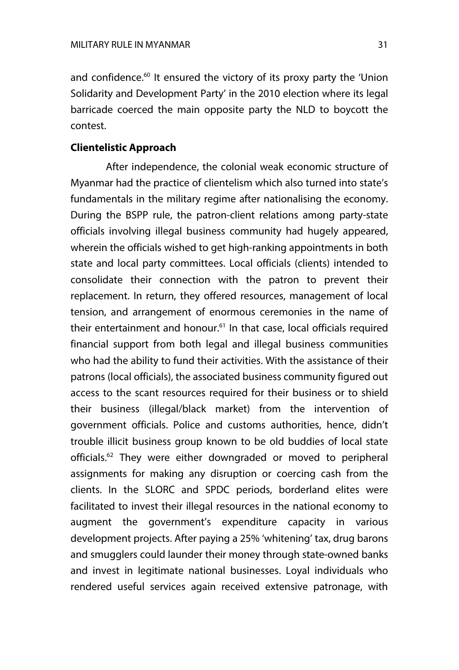and confidence.<sup>60</sup> It ensured the victory of its proxy party the 'Union Solidarity and Development Party' in the 2010 election where its legal barricade coerced the main opposite party the NLD to boycott the contest.

#### **Clientelistic Approach**

After independence, the colonial weak economic structure of Myanmar had the practice of clientelism which also turned into state's fundamentals in the military regime after nationalising the economy. During the BSPP rule, the patron-client relations among party-state officials involving illegal business community had hugely appeared, wherein the officials wished to get high-ranking appointments in both state and local party committees. Local officials (clients) intended to consolidate their connection with the patron to prevent their replacement. In return, they offered resources, management of local tension, and arrangement of enormous ceremonies in the name of their entertainment and honour.<sup>61</sup> In that case, local officials required financial support from both legal and illegal business communities who had the ability to fund their activities. With the assistance of their patrons (local officials), the associated business community figured out access to the scant resources required for their business or to shield their business (illegal/black market) from the intervention of government officials. Police and customs authorities, hence, didn't trouble illicit business group known to be old buddies of local state officials.<sup>62</sup> They were either downgraded or moved to peripheral assignments for making any disruption or coercing cash from the clients. In the SLORC and SPDC periods, borderland elites were facilitated to invest their illegal resources in the national economy to augment the government's expenditure capacity in various development projects. After paying a 25% 'whitening' tax, drug barons and smugglers could launder their money through state-owned banks and invest in legitimate national businesses. Loyal individuals who rendered useful services again received extensive patronage, with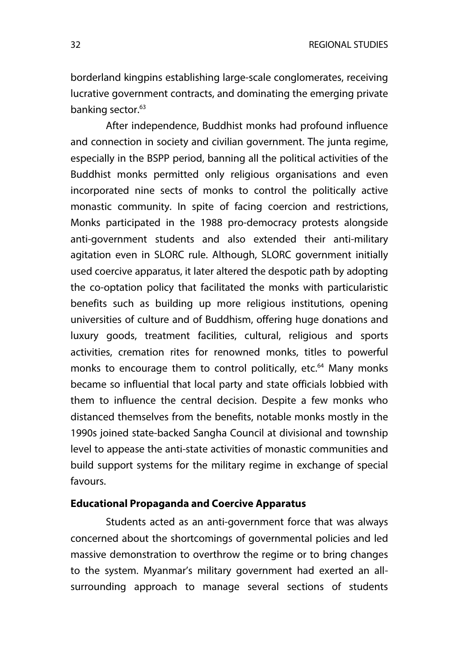borderland kingpins establishing large-scale conglomerates, receiving lucrative government contracts, and dominating the emerging private banking sector.<sup>63</sup>

After independence, Buddhist monks had profound influence and connection in society and civilian government. The junta regime, especially in the BSPP period, banning all the political activities of the Buddhist monks permitted only religious organisations and even incorporated nine sects of monks to control the politically active monastic community. In spite of facing coercion and restrictions, Monks participated in the 1988 pro-democracy protests alongside anti-government students and also extended their anti-military agitation even in SLORC rule. Although, SLORC government initially used coercive apparatus, it later altered the despotic path by adopting the co-optation policy that facilitated the monks with particularistic benefits such as building up more religious institutions, opening universities of culture and of Buddhism, offering huge donations and luxury goods, treatment facilities, cultural, religious and sports activities, cremation rites for renowned monks, titles to powerful monks to encourage them to control politically, etc.<sup>64</sup> Many monks became so influential that local party and state officials lobbied with them to influence the central decision. Despite a few monks who distanced themselves from the benefits, notable monks mostly in the 1990s joined state-backed Sangha Council at divisional and township level to appease the anti-state activities of monastic communities and build support systems for the military regime in exchange of special favours.

#### **Educational Propaganda and Coercive Apparatus**

Students acted as an anti-government force that was always concerned about the shortcomings of governmental policies and led massive demonstration to overthrow the regime or to bring changes to the system. Myanmar's military government had exerted an allsurrounding approach to manage several sections of students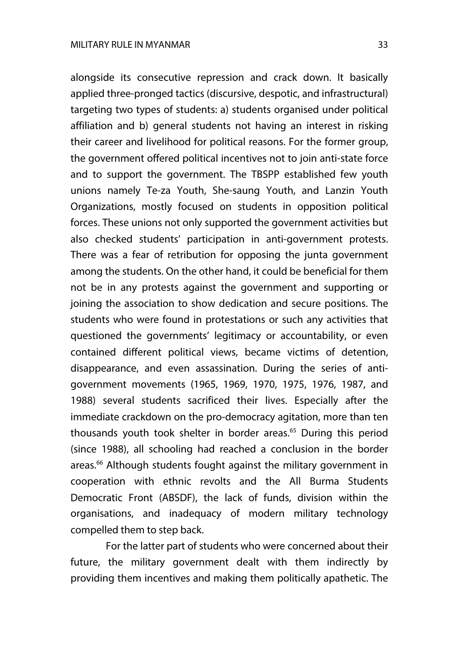alongside its consecutive repression and crack down. It basically applied three-pronged tactics (discursive, despotic, and infrastructural) targeting two types of students: a) students organised under political affiliation and b) general students not having an interest in risking their career and livelihood for political reasons. For the former group, the government offered political incentives not to join anti-state force and to support the government. The TBSPP established few youth unions namely Te-za Youth, She-saung Youth, and Lanzin Youth Organizations, mostly focused on students in opposition political forces. These unions not only supported the government activities but also checked students' participation in anti-government protests. There was a fear of retribution for opposing the junta government among the students. On the other hand, it could be beneficial for them not be in any protests against the government and supporting or joining the association to show dedication and secure positions. The students who were found in protestations or such any activities that questioned the governments' legitimacy or accountability, or even contained different political views, became victims of detention, disappearance, and even assassination. During the series of antigovernment movements (1965, 1969, 1970, 1975, 1976, 1987, and 1988) several students sacrificed their lives. Especially after the immediate crackdown on the pro-democracy agitation, more than ten thousands youth took shelter in border areas.<sup>65</sup> During this period (since 1988), all schooling had reached a conclusion in the border areas.<sup>66</sup> Although students fought against the military government in cooperation with ethnic revolts and the All Burma Students Democratic Front (ABSDF), the lack of funds, division within the organisations, and inadequacy of modern military technology compelled them to step back.

For the latter part of students who were concerned about their future, the military government dealt with them indirectly by providing them incentives and making them politically apathetic. The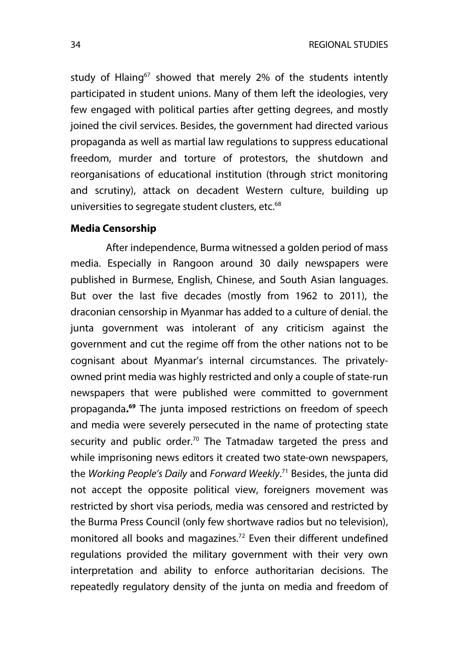study of Hlaing<sup>67</sup> showed that merely 2% of the students intently participated in student unions. Many of them left the ideologies, very few engaged with political parties after getting degrees, and mostly joined the civil services. Besides, the government had directed various propaganda as well as martial law regulations to suppress educational freedom, murder and torture of protestors, the shutdown and reorganisations of educational institution (through strict monitoring and scrutiny), attack on decadent Western culture, building up universities to segregate student clusters, etc.<sup>68</sup>

#### **Media Censorship**

After independence, Burma witnessed a golden period of mass media. Especially in Rangoon around 30 daily newspapers were published in Burmese, English, Chinese, and South Asian languages. But over the last five decades (mostly from 1962 to 2011), the draconian censorship in Myanmar has added to a culture of denial. the junta government was intolerant of any criticism against the government and cut the regime off from the other nations not to be cognisant about Myanmar's internal circumstances. The privatelyowned print media was highly restricted and only a couple of state-run newspapers that were published were committed to government propaganda**. <sup>69</sup>** The junta imposed restrictions on freedom of speech and media were severely persecuted in the name of protecting state security and public order.<sup>70</sup> The Tatmadaw targeted the press and while imprisoning news editors it created two state-own newspapers, the *Working People's Daily* and *Forward Weekly*. <sup>71</sup> Besides, the junta did not accept the opposite political view, foreigners movement was restricted by short visa periods, media was censored and restricted by the Burma Press Council (only few shortwave radios but no television), monitored all books and magazines.<sup>72</sup> Even their different undefined regulations provided the military government with their very own interpretation and ability to enforce authoritarian decisions. The repeatedly regulatory density of the junta on media and freedom of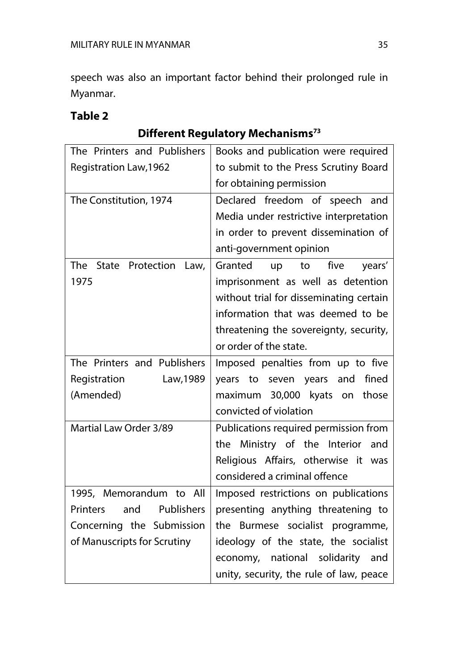speech was also an important factor behind their prolonged rule in Myanmar.

# **Table 2**

# **Different Regulatory Mechanisms73**

| The Printers and Publishers          | Books and publication were required     |
|--------------------------------------|-----------------------------------------|
| <b>Registration Law, 1962</b>        | to submit to the Press Scrutiny Board   |
|                                      | for obtaining permission                |
| The Constitution, 1974               | Declared freedom of speech and          |
|                                      | Media under restrictive interpretation  |
|                                      | in order to prevent dissemination of    |
|                                      | anti-government opinion                 |
| The<br>Protection<br>State<br>Law,   | five<br>Granted<br>up<br>to<br>years'   |
| 1975                                 | imprisonment as well as detention       |
|                                      | without trial for disseminating certain |
|                                      | information that was deemed to be       |
|                                      | threatening the sovereignty, security,  |
|                                      | or order of the state.                  |
| The Printers and Publishers          | Imposed penalties from up to five       |
| Registration<br>Law, 1989            | fined<br>years to seven years and       |
| (Amended)                            | maximum 30,000 kyats on<br>those        |
|                                      | convicted of violation                  |
| Martial Law Order 3/89               | Publications required permission from   |
|                                      | the Ministry of the Interior<br>and     |
|                                      | Religious Affairs, otherwise it was     |
|                                      | considered a criminal offence           |
| 1995, Memorandum to All              | Imposed restrictions on publications    |
| Publishers<br><b>Printers</b><br>and | presenting anything threatening to      |
| Concerning the Submission            | the Burmese socialist programme,        |
| of Manuscripts for Scrutiny          | ideology of the state, the socialist    |
|                                      | economy, national solidarity<br>and     |
|                                      | unity, security, the rule of law, peace |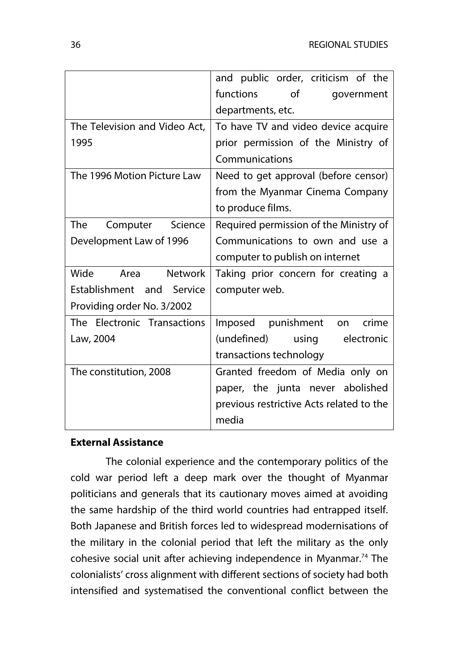|                                | and public order, criticism of the       |
|--------------------------------|------------------------------------------|
|                                | functions<br>of<br>government            |
|                                | departments, etc.                        |
| The Television and Video Act,  | To have TV and video device acquire      |
| 1995                           | prior permission of the Ministry of      |
|                                | Communications                           |
| The 1996 Motion Picture Law    | Need to get approval (before censor)     |
|                                | from the Myanmar Cinema Company          |
|                                | to produce films.                        |
| The<br>Computer<br>Science     | Required permission of the Ministry of   |
| Development Law of 1996        | Communications to own and use a          |
|                                | computer to publish on internet          |
| Wide<br><b>Network</b><br>Area | Taking prior concern for creating a      |
| Establishment and Service      | computer web.                            |
| Providing order No. 3/2002     |                                          |
| The Electronic Transactions    | Imposed punishment<br>crime<br>on        |
| Law, 2004                      | (undefined)<br>using electronic          |
|                                | transactions technology                  |
| The constitution, 2008         | Granted freedom of Media only on         |
|                                | paper, the junta never abolished         |
|                                | previous restrictive Acts related to the |
|                                | media                                    |

#### **External Assistance**

The colonial experience and the contemporary politics of the cold war period left a deep mark over the thought of Myanmar politicians and generals that its cautionary moves aimed at avoiding the same hardship of the third world countries had entrapped itself. Both Japanese and British forces led to widespread modernisations of the military in the colonial period that left the military as the only cohesive social unit after achieving independence in Myanmar.<sup>74</sup> The colonialists' cross alignment with different sections of society had both intensified and systematised the conventional conflict between the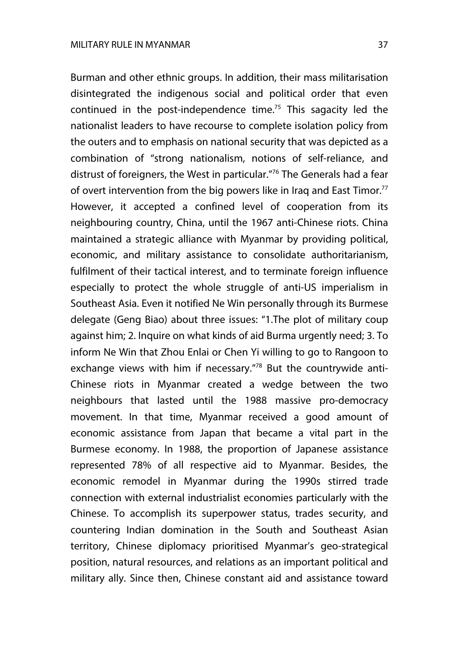Burman and other ethnic groups. In addition, their mass militarisation disintegrated the indigenous social and political order that even continued in the post-independence time.75 This sagacity led the nationalist leaders to have recourse to complete isolation policy from the outers and to emphasis on national security that was depicted as a combination of "strong nationalism, notions of self-reliance, and distrust of foreigners, the West in particular."76 The Generals had a fear of overt intervention from the big powers like in Iraq and East Timor.<sup>77</sup> However, it accepted a confined level of cooperation from its neighbouring country, China, until the 1967 anti-Chinese riots. China maintained a strategic alliance with Myanmar by providing political, economic, and military assistance to consolidate authoritarianism, fulfilment of their tactical interest, and to terminate foreign influence especially to protect the whole struggle of anti-US imperialism in Southeast Asia. Even it notified Ne Win personally through its Burmese delegate (Geng Biao) about three issues: "1.The plot of military coup against him; 2. Inquire on what kinds of aid Burma urgently need; 3. To inform Ne Win that Zhou Enlai or Chen Yi willing to go to Rangoon to exchange views with him if necessary."78 But the countrywide anti-Chinese riots in Myanmar created a wedge between the two neighbours that lasted until the 1988 massive pro-democracy movement. In that time, Myanmar received a good amount of economic assistance from Japan that became a vital part in the Burmese economy. In 1988, the proportion of Japanese assistance represented 78% of all respective aid to Myanmar. Besides, the economic remodel in Myanmar during the 1990s stirred trade connection with external industrialist economies particularly with the Chinese. To accomplish its superpower status, trades security, and countering Indian domination in the South and Southeast Asian territory, Chinese diplomacy prioritised Myanmar's geo-strategical position, natural resources, and relations as an important political and military ally. Since then, Chinese constant aid and assistance toward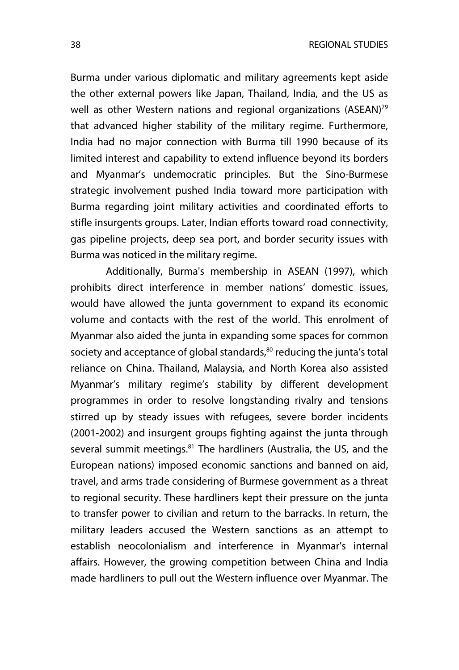Burma under various diplomatic and military agreements kept aside the other external powers like Japan, Thailand, India, and the US as well as other Western nations and regional organizations (ASEAN)<sup>79</sup> that advanced higher stability of the military regime. Furthermore, India had no major connection with Burma till 1990 because of its limited interest and capability to extend influence beyond its borders and Myanmar's undemocratic principles. But the Sino-Burmese strategic involvement pushed India toward more participation with Burma regarding joint military activities and coordinated efforts to stifle insurgents groups. Later, Indian efforts toward road connectivity, gas pipeline projects, deep sea port, and border security issues with Burma was noticed in the military regime.

Additionally, Burma's membership in ASEAN (1997), which prohibits direct interference in member nations' domestic issues, would have allowed the junta government to expand its economic volume and contacts with the rest of the world. This enrolment of Myanmar also aided the junta in expanding some spaces for common society and acceptance of global standards,<sup>80</sup> reducing the junta's total reliance on China. Thailand, Malaysia, and North Korea also assisted Myanmar's military regime's stability by different development programmes in order to resolve longstanding rivalry and tensions stirred up by steady issues with refugees, severe border incidents (2001-2002) and insurgent groups fighting against the junta through several summit meetings.<sup>81</sup> The hardliners (Australia, the US, and the European nations) imposed economic sanctions and banned on aid, travel, and arms trade considering of Burmese government as a threat to regional security. These hardliners kept their pressure on the junta to transfer power to civilian and return to the barracks. In return, the military leaders accused the Western sanctions as an attempt to establish neocolonialism and interference in Myanmar's internal affairs. However, the growing competition between China and India made hardliners to pull out the Western influence over Myanmar. The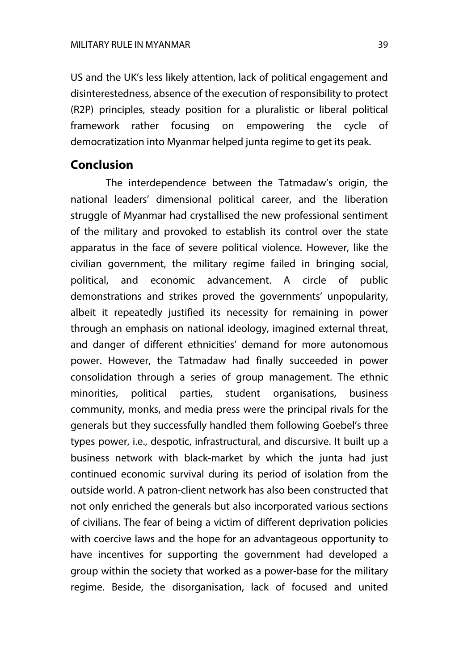US and the UK's less likely attention, lack of political engagement and disinterestedness, absence of the execution of responsibility to protect (R2P) principles, steady position for a pluralistic or liberal political framework rather focusing on empowering the cycle of democratization into Myanmar helped junta regime to get its peak.

## **Conclusion**

The interdependence between the Tatmadaw's origin, the national leaders' dimensional political career, and the liberation struggle of Myanmar had crystallised the new professional sentiment of the military and provoked to establish its control over the state apparatus in the face of severe political violence. However, like the civilian government, the military regime failed in bringing social, political, and economic advancement. A circle of public demonstrations and strikes proved the governments' unpopularity, albeit it repeatedly justified its necessity for remaining in power through an emphasis on national ideology, imagined external threat, and danger of different ethnicities' demand for more autonomous power. However, the Tatmadaw had finally succeeded in power consolidation through a series of group management. The ethnic minorities, political parties, student organisations, business community, monks, and media press were the principal rivals for the generals but they successfully handled them following Goebel's three types power, i.e., despotic, infrastructural, and discursive. It built up a business network with black-market by which the junta had just continued economic survival during its period of isolation from the outside world. A patron-client network has also been constructed that not only enriched the generals but also incorporated various sections of civilians. The fear of being a victim of different deprivation policies with coercive laws and the hope for an advantageous opportunity to have incentives for supporting the government had developed a group within the society that worked as a power-base for the military regime. Beside, the disorganisation, lack of focused and united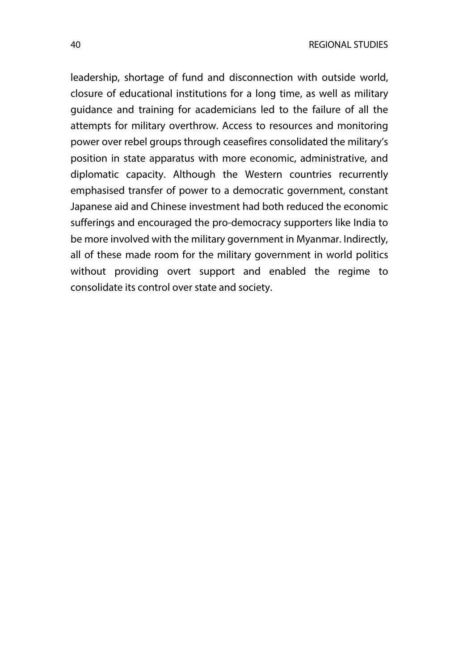leadership, shortage of fund and disconnection with outside world, closure of educational institutions for a long time, as well as military guidance and training for academicians led to the failure of all the attempts for military overthrow. Access to resources and monitoring power over rebel groups through ceasefires consolidated the military's position in state apparatus with more economic, administrative, and diplomatic capacity. Although the Western countries recurrently emphasised transfer of power to a democratic government, constant Japanese aid and Chinese investment had both reduced the economic sufferings and encouraged the pro-democracy supporters like India to be more involved with the military government in Myanmar. Indirectly, all of these made room for the military government in world politics without providing overt support and enabled the regime to consolidate its control over state and society.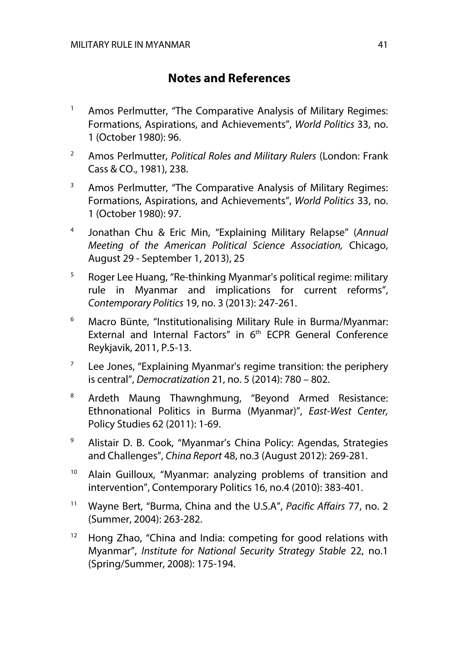# **Notes and References**

- <sup>1</sup> Amos Perlmutter, "The Comparative Analysis of Military Regimes: Formations, Aspirations, and Achievements", *World Politics* 33, no. 1 (October 1980): 96.
- <sup>2</sup> Amos Perlmutter, *Political Roles and Military Rulers* (London: Frank Cass & CO., 1981), 238.
- $3$  Amos Perlmutter, "The Comparative Analysis of Military Regimes: Formations, Aspirations, and Achievements", *World Politics* 33, no. 1 (October 1980): 97.
- <sup>4</sup> Jonathan Chu & Eric Min, "Explaining Military Relapse" (*Annual Meeting of the American Political Science Association,* Chicago, August 29 - September 1, 2013), 25
- $5$  Roger Lee Huang, "Re-thinking Myanmar's political regime: military rule in Myanmar and implications for current reforms", *Contemporary Politics* 19, no. 3 (2013): 247-261.
- <sup>6</sup> Macro Bünte, "Institutionalising Military Rule in Burma/Myanmar: External and Internal Factors" in 6<sup>th</sup> ECPR General Conference Reykjavik, 2011, P.5-13.
- $7$  Lee Jones, "Explaining Myanmar's regime transition: the periphery is central", *Democratization* 21, no. 5 (2014): 780 – 802.
- <sup>8</sup> Ardeth Maung Thawnghmung, "Beyond Armed Resistance: Ethnonational Politics in Burma (Myanmar)", *East-West Center,* Policy Studies 62 (2011): 1-69.
- <sup>9</sup> Alistair D. B. Cook, "Myanmar's China Policy: Agendas, Strategies and Challenges", *China Report* 48, no.3 (August 2012): 269-281.
- <sup>10</sup> Alain Guilloux, "Myanmar: analyzing problems of transition and intervention", Contemporary Politics 16, no.4 (2010): 383-401.
- <sup>11</sup> Wayne Bert, "Burma, China and the U.S.A", *Pacific Affairs* 77, no. 2 (Summer, 2004): 263-282.
- $12$  Hong Zhao, "China and India: competing for good relations with Myanmar", *Institute for National Security Strategy Stable* 22, no.1 (Spring/Summer, 2008): 175-194.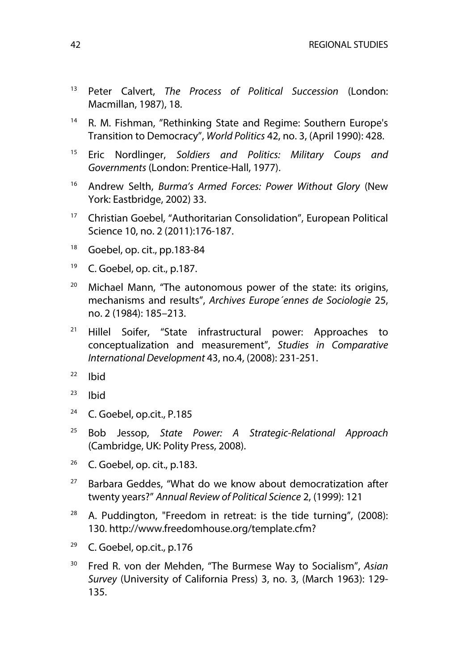- <sup>13</sup> Peter Calvert, *The Process of Political Succession* (London: Macmillan, 1987), 18.
- <sup>14</sup> R. M. Fishman, "Rethinking State and Regime: Southern Europe's Transition to Democracy", *World Politics* 42, no. 3, (April 1990): 428.
- <sup>15</sup> Eric Nordlinger, *Soldiers and Politics: Military Coups and Governments* (London: Prentice-Hall, 1977).
- <sup>16</sup> Andrew Selth, *Burma's Armed Forces: Power Without Glory* (New York: Eastbridge, 2002) 33.
- <sup>17</sup> Christian Goebel, "Authoritarian Consolidation", European Political Science 10, no. 2 (2011):176-187.
- $18$  Goebel, op. cit., pp. 183-84
- <sup>19</sup> C. Goebel, op. cit., p.187.
- $20$  Michael Mann, "The autonomous power of the state: its origins, mechanisms and results", *Archives Europe´ennes de Sociologie* 25, no. 2 (1984): 185–213.
- <sup>21</sup> Hillel Soifer, "State infrastructural power: Approaches to conceptualization and measurement", *Studies in Comparative International Development* 43, no.4, (2008): 231-251.
- $22$  Ibid
- $23$  Ibid
- $24$  C. Goebel, op.cit., P.185
- <sup>25</sup> Bob Jessop, *State Power: A Strategic-Relational Approach* (Cambridge, UK: Polity Press, 2008).
- $26$  C. Goebel, op. cit., p.183.
- $27$  Barbara Geddes, "What do we know about democratization after twenty years?" *Annual Review of Political Science* 2, (1999): 121
- $28$  A. Puddington, "Freedom in retreat: is the tide turning", (2008): 130. http://www.freedomhouse.org/template.cfm?
- $29$  C. Goebel, op.cit., p.176
- <sup>30</sup> Fred R. von der Mehden, "The Burmese Way to Socialism", *Asian Survey* (University of California Press) 3, no. 3, (March 1963): 129- 135.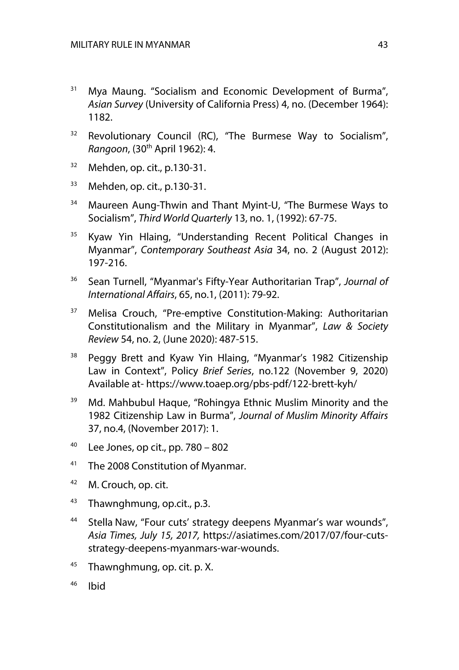- <sup>31</sup> Mya Maung. "Socialism and Economic Development of Burma", *Asian Survey* (University of California Press) 4, no. (December 1964): 1182.
- <sup>32</sup> Revolutionary Council (RC), "The Burmese Way to Socialism", *Rangoon*, (30th April 1962): 4.
- $32$  Mehden, op. cit., p.130-31.
- <sup>33</sup> Mehden, op. cit., p.130-31.
- <sup>34</sup> Maureen Aung-Thwin and Thant Myint-U, "The Burmese Ways to Socialism", *Third World Quarterly* 13, no. 1, (1992): 67-75.
- <sup>35</sup> Kyaw Yin Hlaing, "Understanding Recent Political Changes in Myanmar", *Contemporary Southeast Asia* 34, no. 2 (August 2012): 197-216.
- <sup>36</sup> Sean Turnell, "Myanmar's Fifty-Year Authoritarian Trap", *Journal of International Affairs*, 65, no.1, (2011): 79-92.
- <sup>37</sup> Melisa Crouch, "Pre-emptive Constitution-Making: Authoritarian Constitutionalism and the Military in Myanmar", *Law & Society Review* 54, no. 2, (June 2020): 487-515.
- <sup>38</sup> Peggy Brett and Kyaw Yin Hlaing, "Myanmar's 1982 Citizenship Law in Context", Policy *Brief Series*, no.122 (November 9, 2020) Available at- https://www.toaep.org/pbs-pdf/122-brett-kyh/
- <sup>39</sup> Md. Mahbubul Haque, "Rohingya Ethnic Muslim Minority and the 1982 Citizenship Law in Burma", *Journal of Muslim Minority Affairs* 37, no.4, (November 2017): 1.
- $40$  Lee Jones, op cit., pp. 780 802
- <sup>41</sup> The 2008 Constitution of Myanmar.
- 42 M. Crouch, op. cit.
- 43 Thawnghmung, op.cit., p.3.
- <sup>44</sup> Stella Naw, "Four cuts' strategy deepens Myanmar's war wounds", *Asia Times, July 15, 2017,* https://asiatimes.com/2017/07/four-cutsstrategy-deepens-myanmars-war-wounds.
- $45$  Thawnghmung, op. cit. p. X.
- <sup>46</sup> Ibid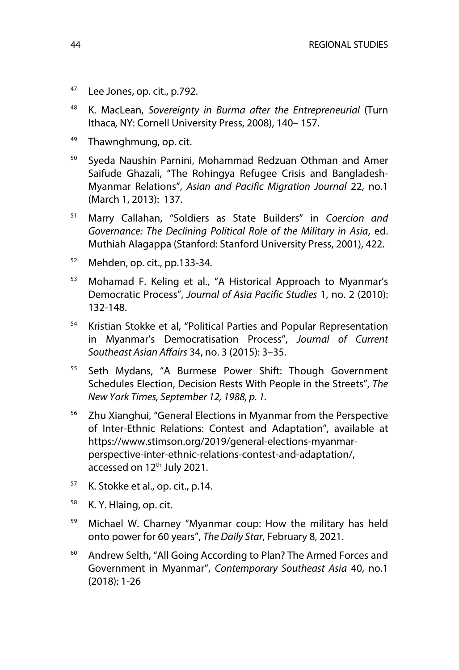- $47$  Lee Jones, op. cit., p.792.
- <sup>48</sup> K. MacLean, *Sovereignty in Burma after the Entrepreneurial* (Turn Ithaca*,* NY: Cornell University Press, 2008), 140– 157.
- <sup>49</sup> Thawnghmung, op. cit.
- <sup>50</sup> Syeda Naushin Parnini, Mohammad Redzuan Othman and Amer Saifude Ghazali, "The Rohingya Refugee Crisis and Bangladesh-Myanmar Relations", *Asian and Pacific Migration Journal* 22, no.1 (March 1, 2013): 137.
- <sup>51</sup> Marry Callahan, "Soldiers as State Builders" in *Coercion and Governance: The Declining Political Role of the Military in Asia*, ed. Muthiah Alagappa (Stanford: Stanford University Press, 2001), 422.
- $52$  Mehden, op. cit., pp. 133-34.
- <sup>53</sup> Mohamad F. Keling et al., "A Historical Approach to Myanmar's Democratic Process", *Journal of Asia Pacific Studies* 1, no. 2 (2010): 132-148.
- <sup>54</sup> Kristian Stokke et al, "Political Parties and Popular Representation in Myanmar's Democratisation Process", *Journal of Current Southeast Asian Affairs* 34, no. 3 (2015): 3–35.
- <sup>55</sup> Seth Mydans, "A Burmese Power Shift: Though Government Schedules Election, Decision Rests With People in the Streets", *The New York Times, September 12, 1988, p. 1.*
- <sup>56</sup> Zhu Xianghui, "General Elections in Myanmar from the Perspective of Inter-Ethnic Relations: Contest and Adaptation", available at https://www.stimson.org/2019/general-elections-myanmarperspective-inter-ethnic-relations-contest-and-adaptation/, accessed on 12<sup>th</sup> July 2021.
- $57$  K. Stokke et al., op. cit., p.14.
- <sup>58</sup> K. Y. Hlaing, op. cit.
- <sup>59</sup> Michael W. Charney "Myanmar coup: How the military has held onto power for 60 years", *The Daily Star*, February 8, 2021.
- <sup>60</sup> Andrew Selth, "All Going According to Plan? The Armed Forces and Government in Myanmar", *Contemporary Southeast Asia* 40, no.1 (2018): 1-26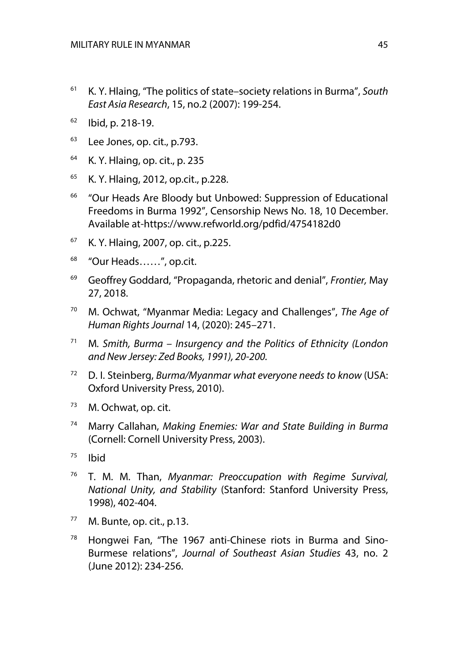- <sup>61</sup> K. Y. Hlaing, "The politics of state–society relations in Burma", *South East Asia Research*, 15, no.2 (2007): 199-254.
- $62$  Ibid, p. 218-19.
- $63$  Lee Jones, op. cit., p.793.
- <sup>64</sup> K. Y. Hlaing, op. cit., p. 235
- <sup>65</sup> K. Y. Hlaing, 2012, op.cit., p.228.
- <sup>66</sup> "Our Heads Are Bloody but Unbowed: Suppression of Educational Freedoms in Burma 1992", Censorship News No. 18, 10 December. Available at-https://www.refworld.org/pdfid/4754182d0
- <sup>67</sup> K. Y. Hlaing, 2007, op. cit., p.225.
- <sup>68</sup> "Our Heads……", op.cit.
- <sup>69</sup> Geoffrey Goddard, "Propaganda, rhetoric and denial", *Frontier,* May 27, 2018.
- <sup>70</sup> M. Ochwat, "Myanmar Media: Legacy and Challenges", *The Age of Human Rights Journal* 14, (2020): 245–271.
- <sup>71</sup> M*. Smith, Burma – Insurgency and the Politics of Ethnicity (London and New Jersey: Zed Books, 1991), 20-200.*
- <sup>72</sup> D. I. Steinberg, *Burma/Myanmar what everyone needs to know* (USA: Oxford University Press, 2010).
- <sup>73</sup> M. Ochwat, op. cit.
- <sup>74</sup> Marry Callahan, *Making Enemies: War and State Building in Burma*  (Cornell: Cornell University Press, 2003).
- $75$  Ibid
- <sup>76</sup> T. M. M. Than, *Myanmar: Preoccupation with Regime Survival, National Unity, and Stability* (Stanford: Stanford University Press, 1998), 402-404.
- $77$  M. Bunte, op. cit., p.13.
- <sup>78</sup> Hongwei Fan, "The 1967 anti-Chinese riots in Burma and Sino-Burmese relations", *Journal of Southeast Asian Studies* 43, no. 2 (June 2012): 234-256.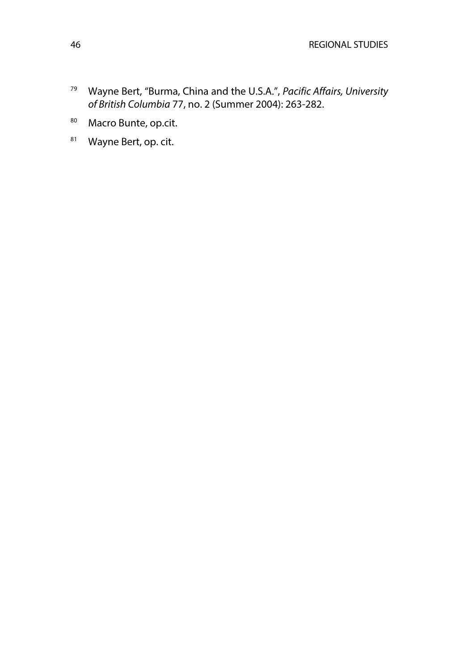- <sup>79</sup> Wayne Bert, "Burma, China and the U.S.A.", *Pacific Affairs, University of British Columbia* 77, no. 2 (Summer 2004): 263-282.
- 80 Macro Bunte, op.cit.
- 81 Wayne Bert, op. cit.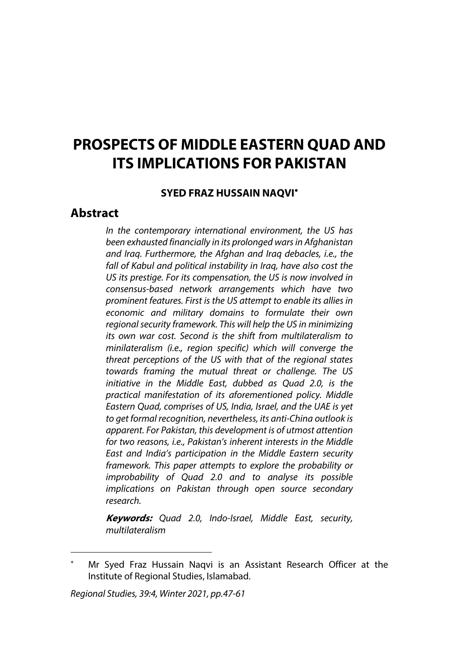# **PROSPECTS OF MIDDLE EASTERN QUAD AND ITS IMPLICATIONS FOR PAKISTAN**

#### **SYED FRAZ HUSSAIN NAQVI**\*

## **Abstract**

*In the contemporary international environment, the US has been exhausted financially in its prolonged wars in Afghanistan and Iraq. Furthermore, the Afghan and Iraq debacles, i.e., the fall of Kabul and political instability in Iraq, have also cost the US its prestige. For its compensation, the US is now involved in consensus-based network arrangements which have two prominent features. First is the US attempt to enable its allies in economic and military domains to formulate their own regional security framework. This will help the US in minimizing its own war cost. Second is the shift from multilateralism to minilateralism (i.e., region specific) which will converge the threat perceptions of the US with that of the regional states towards framing the mutual threat or challenge. The US initiative in the Middle East, dubbed as Quad 2.0, is the practical manifestation of its aforementioned policy. Middle Eastern Quad, comprises of US, India, Israel, and the UAE is yet to get formal recognition, nevertheless, its anti-China outlook is apparent. For Pakistan, this development is of utmost attention for two reasons, i.e., Pakistan's inherent interests in the Middle East and India's participation in the Middle Eastern security framework. This paper attempts to explore the probability or improbability of Quad 2.0 and to analyse its possible implications on Pakistan through open source secondary research.*

**Keywords:** *Quad 2.0, Indo-Israel, Middle East, security, multilateralism*

Mr Syed Fraz Hussain Naqvi is an Assistant Research Officer at the Institute of Regional Studies, Islamabad.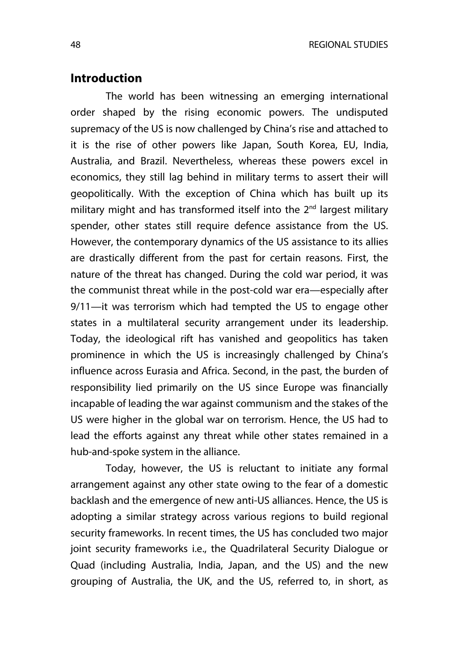## **Introduction**

The world has been witnessing an emerging international order shaped by the rising economic powers. The undisputed supremacy of the US is now challenged by China's rise and attached to it is the rise of other powers like Japan, South Korea, EU, India, Australia, and Brazil. Nevertheless, whereas these powers excel in economics, they still lag behind in military terms to assert their will geopolitically. With the exception of China which has built up its military might and has transformed itself into the 2<sup>nd</sup> largest military spender, other states still require defence assistance from the US. However, the contemporary dynamics of the US assistance to its allies are drastically different from the past for certain reasons. First, the nature of the threat has changed. During the cold war period, it was the communist threat while in the post-cold war era—especially after 9/11—it was terrorism which had tempted the US to engage other states in a multilateral security arrangement under its leadership. Today, the ideological rift has vanished and geopolitics has taken prominence in which the US is increasingly challenged by China's influence across Eurasia and Africa. Second, in the past, the burden of responsibility lied primarily on the US since Europe was financially incapable of leading the war against communism and the stakes of the US were higher in the global war on terrorism. Hence, the US had to lead the efforts against any threat while other states remained in a hub-and-spoke system in the alliance.

Today, however, the US is reluctant to initiate any formal arrangement against any other state owing to the fear of a domestic backlash and the emergence of new anti-US alliances. Hence, the US is adopting a similar strategy across various regions to build regional security frameworks. In recent times, the US has concluded two major joint security frameworks i.e., the Quadrilateral Security Dialogue or Quad (including Australia, India, Japan, and the US) and the new grouping of Australia, the UK, and the US, referred to, in short, as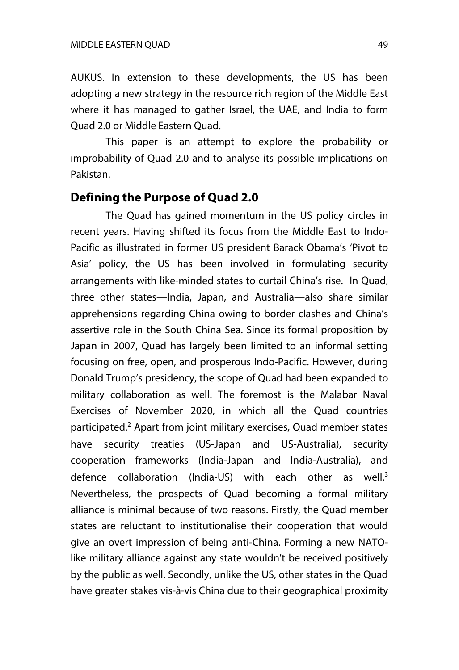AUKUS. In extension to these developments, the US has been adopting a new strategy in the resource rich region of the Middle East where it has managed to gather Israel, the UAE, and India to form Quad 2.0 or Middle Eastern Quad.

This paper is an attempt to explore the probability or improbability of Quad 2.0 and to analyse its possible implications on Pakistan.

#### **Defining the Purpose of Quad 2.0**

The Quad has gained momentum in the US policy circles in recent years. Having shifted its focus from the Middle East to Indo-Pacific as illustrated in former US president Barack Obama's 'Pivot to Asia' policy, the US has been involved in formulating security arrangements with like-minded states to curtail China's rise.<sup>1</sup> In Quad, three other states—India, Japan, and Australia—also share similar apprehensions regarding China owing to border clashes and China's assertive role in the South China Sea. Since its formal proposition by Japan in 2007, Quad has largely been limited to an informal setting focusing on free, open, and prosperous Indo-Pacific. However, during Donald Trump's presidency, the scope of Quad had been expanded to military collaboration as well. The foremost is the Malabar Naval Exercises of November 2020, in which all the Quad countries participated.2 Apart from joint military exercises, Quad member states have security treaties (US-Japan and US-Australia), security cooperation frameworks (India-Japan and India-Australia), and defence collaboration (India-US) with each other as well.<sup>3</sup> Nevertheless, the prospects of Quad becoming a formal military alliance is minimal because of two reasons. Firstly, the Quad member states are reluctant to institutionalise their cooperation that would give an overt impression of being anti-China. Forming a new NATOlike military alliance against any state wouldn't be received positively by the public as well. Secondly, unlike the US, other states in the Quad have greater stakes vis-à-vis China due to their geographical proximity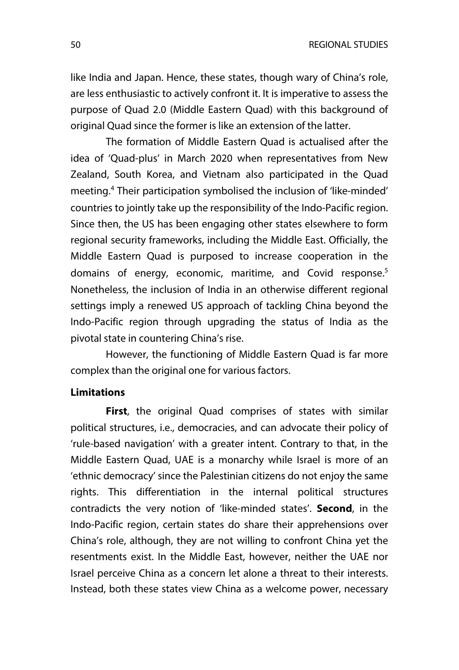like India and Japan. Hence, these states, though wary of China's role, are less enthusiastic to actively confront it. It is imperative to assess the purpose of Quad 2.0 (Middle Eastern Quad) with this background of original Quad since the former is like an extension of the latter.

The formation of Middle Eastern Quad is actualised after the idea of 'Quad-plus' in March 2020 when representatives from New Zealand, South Korea, and Vietnam also participated in the Quad meeting.4 Their participation symbolised the inclusion of 'like-minded' countries to jointly take up the responsibility of the Indo-Pacific region. Since then, the US has been engaging other states elsewhere to form regional security frameworks, including the Middle East. Officially, the Middle Eastern Quad is purposed to increase cooperation in the domains of energy, economic, maritime, and Covid response. 5 Nonetheless, the inclusion of India in an otherwise different regional settings imply a renewed US approach of tackling China beyond the Indo-Pacific region through upgrading the status of India as the pivotal state in countering China's rise.

However, the functioning of Middle Eastern Quad is far more complex than the original one for various factors.

#### **Limitations**

**First**, the original Quad comprises of states with similar political structures, i.e., democracies, and can advocate their policy of 'rule-based navigation' with a greater intent. Contrary to that, in the Middle Eastern Quad, UAE is a monarchy while Israel is more of an 'ethnic democracy' since the Palestinian citizens do not enjoy the same rights. This differentiation in the internal political structures contradicts the very notion of 'like-minded states'. **Second**, in the Indo-Pacific region, certain states do share their apprehensions over China's role, although, they are not willing to confront China yet the resentments exist. In the Middle East, however, neither the UAE nor Israel perceive China as a concern let alone a threat to their interests. Instead, both these states view China as a welcome power, necessary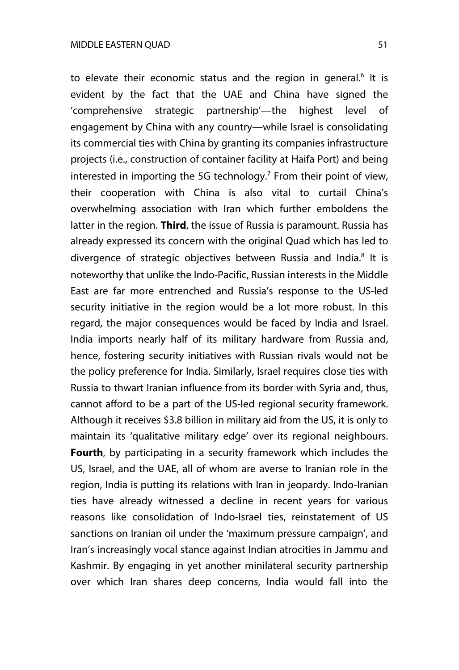to elevate their economic status and the region in general.<sup>6</sup> It is evident by the fact that the UAE and China have signed the 'comprehensive strategic partnership'—the highest level of engagement by China with any country—while Israel is consolidating its commercial ties with China by granting its companies infrastructure projects (i.e., construction of container facility at Haifa Port) and being interested in importing the 5G technology.<sup>7</sup> From their point of view, their cooperation with China is also vital to curtail China's overwhelming association with Iran which further emboldens the latter in the region. **Third**, the issue of Russia is paramount. Russia has already expressed its concern with the original Quad which has led to divergence of strategic objectives between Russia and India.<sup>8</sup> It is noteworthy that unlike the Indo-Pacific, Russian interests in the Middle East are far more entrenched and Russia's response to the US-led security initiative in the region would be a lot more robust. In this regard, the major consequences would be faced by India and Israel. India imports nearly half of its military hardware from Russia and, hence, fostering security initiatives with Russian rivals would not be the policy preference for India. Similarly, Israel requires close ties with Russia to thwart Iranian influence from its border with Syria and, thus, cannot afford to be a part of the US-led regional security framework. Although it receives \$3.8 billion in military aid from the US, it is only to maintain its 'qualitative military edge' over its regional neighbours. **Fourth**, by participating in a security framework which includes the US, Israel, and the UAE, all of whom are averse to Iranian role in the region, India is putting its relations with Iran in jeopardy. Indo-Iranian ties have already witnessed a decline in recent years for various reasons like consolidation of Indo-Israel ties, reinstatement of US sanctions on Iranian oil under the 'maximum pressure campaign', and Iran's increasingly vocal stance against Indian atrocities in Jammu and Kashmir. By engaging in yet another minilateral security partnership over which Iran shares deep concerns, India would fall into the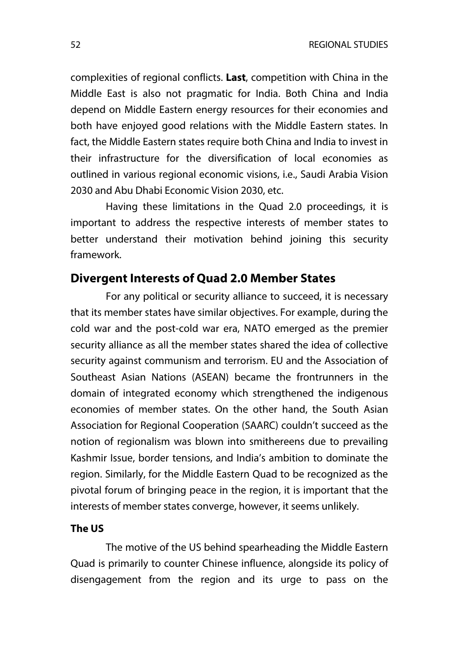complexities of regional conflicts. **Last**, competition with China in the Middle East is also not pragmatic for India. Both China and India depend on Middle Eastern energy resources for their economies and both have enjoyed good relations with the Middle Eastern states. In fact, the Middle Eastern states require both China and India to invest in their infrastructure for the diversification of local economies as outlined in various regional economic visions, i.e., Saudi Arabia Vision 2030 and Abu Dhabi Economic Vision 2030, etc.

Having these limitations in the Quad 2.0 proceedings, it is important to address the respective interests of member states to better understand their motivation behind joining this security framework.

## **Divergent Interests of Quad 2.0 Member States**

For any political or security alliance to succeed, it is necessary that its member states have similar objectives. For example, during the cold war and the post-cold war era, NATO emerged as the premier security alliance as all the member states shared the idea of collective security against communism and terrorism. EU and the Association of Southeast Asian Nations (ASEAN) became the frontrunners in the domain of integrated economy which strengthened the indigenous economies of member states. On the other hand, the South Asian Association for Regional Cooperation (SAARC) couldn't succeed as the notion of regionalism was blown into smithereens due to prevailing Kashmir Issue, border tensions, and India's ambition to dominate the region. Similarly, for the Middle Eastern Quad to be recognized as the pivotal forum of bringing peace in the region, it is important that the interests of member states converge, however, it seems unlikely.

#### **The US**

The motive of the US behind spearheading the Middle Eastern Quad is primarily to counter Chinese influence, alongside its policy of disengagement from the region and its urge to pass on the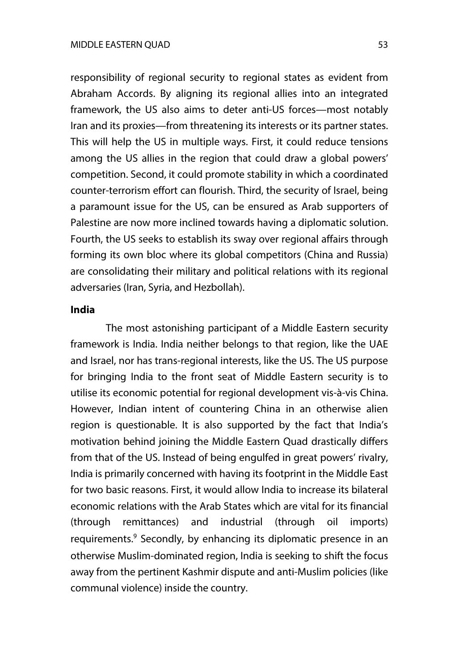responsibility of regional security to regional states as evident from Abraham Accords. By aligning its regional allies into an integrated framework, the US also aims to deter anti-US forces—most notably Iran and its proxies—from threatening its interests or its partner states. This will help the US in multiple ways. First, it could reduce tensions among the US allies in the region that could draw a global powers' competition. Second, it could promote stability in which a coordinated counter-terrorism effort can flourish. Third, the security of Israel, being a paramount issue for the US, can be ensured as Arab supporters of Palestine are now more inclined towards having a diplomatic solution. Fourth, the US seeks to establish its sway over regional affairs through forming its own bloc where its global competitors (China and Russia) are consolidating their military and political relations with its regional adversaries (Iran, Syria, and Hezbollah).

#### **India**

The most astonishing participant of a Middle Eastern security framework is India. India neither belongs to that region, like the UAE and Israel, nor has trans-regional interests, like the US. The US purpose for bringing India to the front seat of Middle Eastern security is to utilise its economic potential for regional development vis-à-vis China. However, Indian intent of countering China in an otherwise alien region is questionable. It is also supported by the fact that India's motivation behind joining the Middle Eastern Quad drastically differs from that of the US. Instead of being engulfed in great powers' rivalry, India is primarily concerned with having its footprint in the Middle East for two basic reasons. First, it would allow India to increase its bilateral economic relations with the Arab States which are vital for its financial (through remittances) and industrial (through oil imports) requirements.<sup>9</sup> Secondly, by enhancing its diplomatic presence in an otherwise Muslim-dominated region, India is seeking to shift the focus away from the pertinent Kashmir dispute and anti-Muslim policies (like communal violence) inside the country.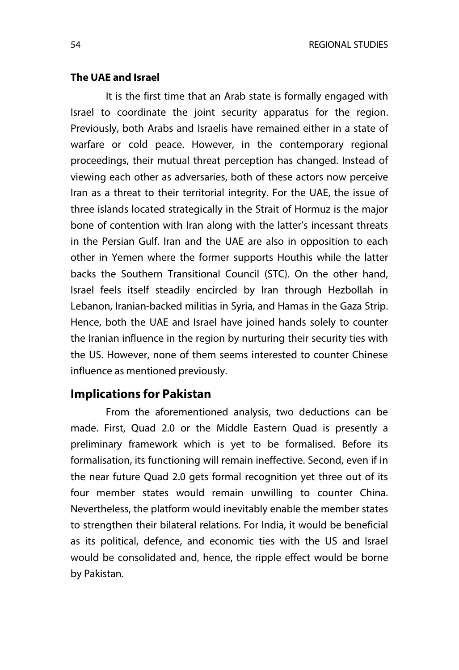#### **The UAE and Israel**

It is the first time that an Arab state is formally engaged with Israel to coordinate the joint security apparatus for the region. Previously, both Arabs and Israelis have remained either in a state of warfare or cold peace. However, in the contemporary regional proceedings, their mutual threat perception has changed. Instead of viewing each other as adversaries, both of these actors now perceive Iran as a threat to their territorial integrity. For the UAE, the issue of three islands located strategically in the Strait of Hormuz is the major bone of contention with Iran along with the latter's incessant threats in the Persian Gulf. Iran and the UAE are also in opposition to each other in Yemen where the former supports Houthis while the latter backs the Southern Transitional Council (STC). On the other hand, Israel feels itself steadily encircled by Iran through Hezbollah in Lebanon, Iranian-backed militias in Syria, and Hamas in the Gaza Strip. Hence, both the UAE and Israel have joined hands solely to counter the Iranian influence in the region by nurturing their security ties with the US. However, none of them seems interested to counter Chinese influence as mentioned previously.

## **Implications for Pakistan**

From the aforementioned analysis, two deductions can be made. First, Quad 2.0 or the Middle Eastern Quad is presently a preliminary framework which is yet to be formalised. Before its formalisation, its functioning will remain ineffective. Second, even if in the near future Quad 2.0 gets formal recognition yet three out of its four member states would remain unwilling to counter China. Nevertheless, the platform would inevitably enable the member states to strengthen their bilateral relations. For India, it would be beneficial as its political, defence, and economic ties with the US and Israel would be consolidated and, hence, the ripple effect would be borne by Pakistan.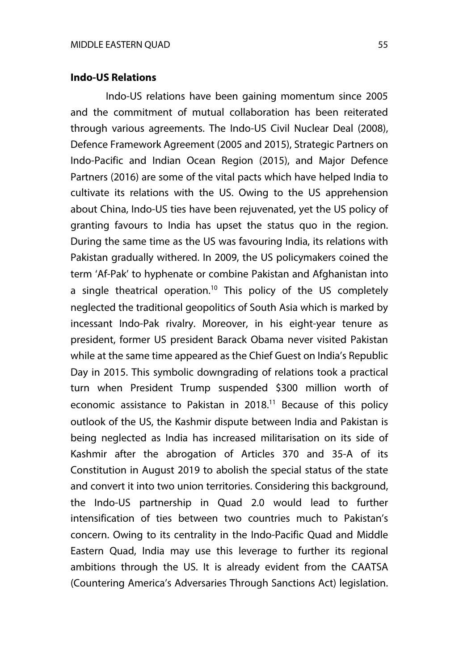#### **Indo-US Relations**

Indo-US relations have been gaining momentum since 2005 and the commitment of mutual collaboration has been reiterated through various agreements. The Indo-US Civil Nuclear Deal (2008), Defence Framework Agreement (2005 and 2015), Strategic Partners on Indo-Pacific and Indian Ocean Region (2015), and Major Defence Partners (2016) are some of the vital pacts which have helped India to cultivate its relations with the US. Owing to the US apprehension about China, Indo-US ties have been rejuvenated, yet the US policy of granting favours to India has upset the status quo in the region. During the same time as the US was favouring India, its relations with Pakistan gradually withered. In 2009, the US policymakers coined the term 'Af-Pak' to hyphenate or combine Pakistan and Afghanistan into a single theatrical operation.<sup>10</sup> This policy of the US completely neglected the traditional geopolitics of South Asia which is marked by incessant Indo-Pak rivalry. Moreover, in his eight-year tenure as president, former US president Barack Obama never visited Pakistan while at the same time appeared as the Chief Guest on India's Republic Day in 2015. This symbolic downgrading of relations took a practical turn when President Trump suspended \$300 million worth of economic assistance to Pakistan in  $2018$ .<sup>11</sup> Because of this policy outlook of the US, the Kashmir dispute between India and Pakistan is being neglected as India has increased militarisation on its side of Kashmir after the abrogation of Articles 370 and 35-A of its Constitution in August 2019 to abolish the special status of the state and convert it into two union territories. Considering this background, the Indo-US partnership in Quad 2.0 would lead to further intensification of ties between two countries much to Pakistan's concern. Owing to its centrality in the Indo-Pacific Quad and Middle Eastern Quad, India may use this leverage to further its regional ambitions through the US. It is already evident from the CAATSA (Countering America's Adversaries Through Sanctions Act) legislation.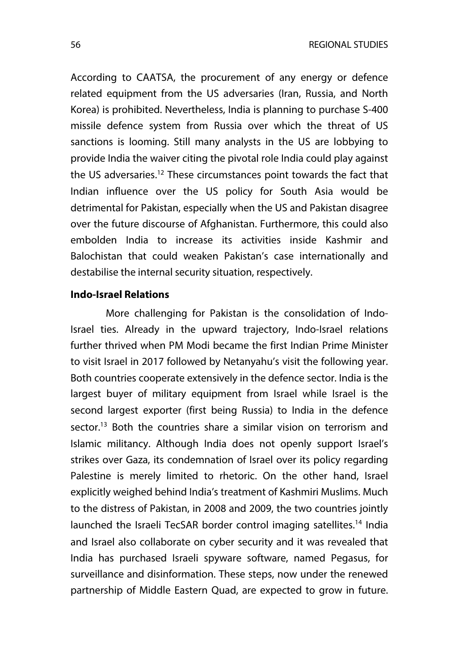According to CAATSA, the procurement of any energy or defence related equipment from the US adversaries (Iran, Russia, and North Korea) is prohibited. Nevertheless, India is planning to purchase S-400 missile defence system from Russia over which the threat of US sanctions is looming. Still many analysts in the US are lobbying to provide India the waiver citing the pivotal role India could play against the US adversaries.<sup>12</sup> These circumstances point towards the fact that Indian influence over the US policy for South Asia would be detrimental for Pakistan, especially when the US and Pakistan disagree over the future discourse of Afghanistan. Furthermore, this could also embolden India to increase its activities inside Kashmir and Balochistan that could weaken Pakistan's case internationally and destabilise the internal security situation, respectively.

#### **Indo-Israel Relations**

More challenging for Pakistan is the consolidation of Indo-Israel ties. Already in the upward trajectory, Indo-Israel relations further thrived when PM Modi became the first Indian Prime Minister to visit Israel in 2017 followed by Netanyahu's visit the following year. Both countries cooperate extensively in the defence sector. India is the largest buyer of military equipment from Israel while Israel is the second largest exporter (first being Russia) to India in the defence sector.13 Both the countries share a similar vision on terrorism and Islamic militancy. Although India does not openly support Israel's strikes over Gaza, its condemnation of Israel over its policy regarding Palestine is merely limited to rhetoric. On the other hand, Israel explicitly weighed behind India's treatment of Kashmiri Muslims. Much to the distress of Pakistan, in 2008 and 2009, the two countries jointly launched the Israeli TecSAR border control imaging satellites.<sup>14</sup> India and Israel also collaborate on cyber security and it was revealed that India has purchased Israeli spyware software, named Pegasus, for surveillance and disinformation. These steps, now under the renewed partnership of Middle Eastern Quad, are expected to grow in future.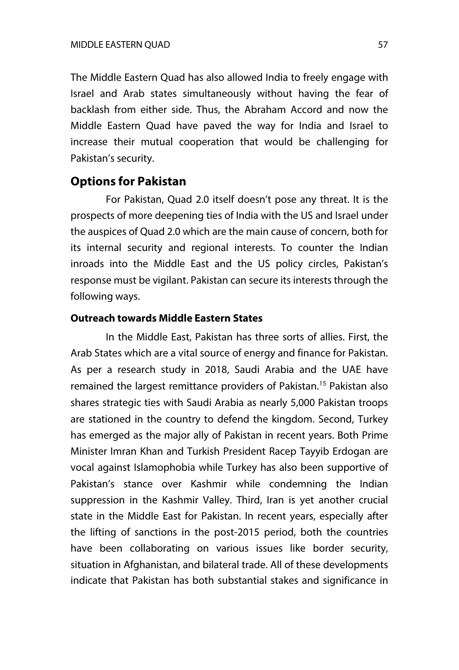The Middle Eastern Quad has also allowed India to freely engage with Israel and Arab states simultaneously without having the fear of backlash from either side. Thus, the Abraham Accord and now the Middle Eastern Quad have paved the way for India and Israel to increase their mutual cooperation that would be challenging for Pakistan's security.

## **Options for Pakistan**

For Pakistan, Quad 2.0 itself doesn't pose any threat. It is the prospects of more deepening ties of India with the US and Israel under the auspices of Quad 2.0 which are the main cause of concern, both for its internal security and regional interests. To counter the Indian inroads into the Middle East and the US policy circles, Pakistan's response must be vigilant. Pakistan can secure its interests through the following ways.

#### **Outreach towards Middle Eastern States**

In the Middle East, Pakistan has three sorts of allies. First, the Arab States which are a vital source of energy and finance for Pakistan. As per a research study in 2018, Saudi Arabia and the UAE have remained the largest remittance providers of Pakistan.<sup>15</sup> Pakistan also shares strategic ties with Saudi Arabia as nearly 5,000 Pakistan troops are stationed in the country to defend the kingdom. Second, Turkey has emerged as the major ally of Pakistan in recent years. Both Prime Minister Imran Khan and Turkish President Racep Tayyib Erdogan are vocal against Islamophobia while Turkey has also been supportive of Pakistan's stance over Kashmir while condemning the Indian suppression in the Kashmir Valley. Third, Iran is yet another crucial state in the Middle East for Pakistan. In recent years, especially after the lifting of sanctions in the post-2015 period, both the countries have been collaborating on various issues like border security, situation in Afghanistan, and bilateral trade. All of these developments indicate that Pakistan has both substantial stakes and significance in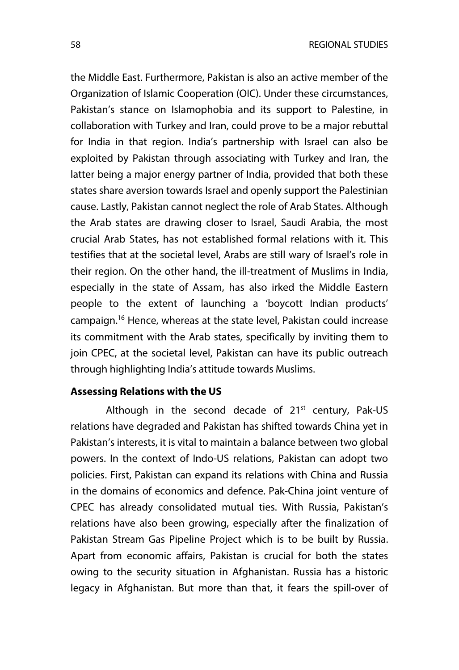the Middle East. Furthermore, Pakistan is also an active member of the Organization of Islamic Cooperation (OIC). Under these circumstances, Pakistan's stance on Islamophobia and its support to Palestine, in collaboration with Turkey and Iran, could prove to be a major rebuttal for India in that region. India's partnership with Israel can also be exploited by Pakistan through associating with Turkey and Iran, the latter being a major energy partner of India, provided that both these states share aversion towards Israel and openly support the Palestinian cause. Lastly, Pakistan cannot neglect the role of Arab States. Although the Arab states are drawing closer to Israel, Saudi Arabia, the most crucial Arab States, has not established formal relations with it. This testifies that at the societal level, Arabs are still wary of Israel's role in their region. On the other hand, the ill-treatment of Muslims in India, especially in the state of Assam, has also irked the Middle Eastern people to the extent of launching a 'boycott Indian products' campaign.16 Hence, whereas at the state level, Pakistan could increase its commitment with the Arab states, specifically by inviting them to join CPEC, at the societal level, Pakistan can have its public outreach through highlighting India's attitude towards Muslims.

#### **Assessing Relations with the US**

Although in the second decade of  $21<sup>st</sup>$  century, Pak-US relations have degraded and Pakistan has shifted towards China yet in Pakistan's interests, it is vital to maintain a balance between two global powers. In the context of Indo-US relations, Pakistan can adopt two policies. First, Pakistan can expand its relations with China and Russia in the domains of economics and defence. Pak-China joint venture of CPEC has already consolidated mutual ties. With Russia, Pakistan's relations have also been growing, especially after the finalization of Pakistan Stream Gas Pipeline Project which is to be built by Russia. Apart from economic affairs, Pakistan is crucial for both the states owing to the security situation in Afghanistan. Russia has a historic legacy in Afghanistan. But more than that, it fears the spill-over of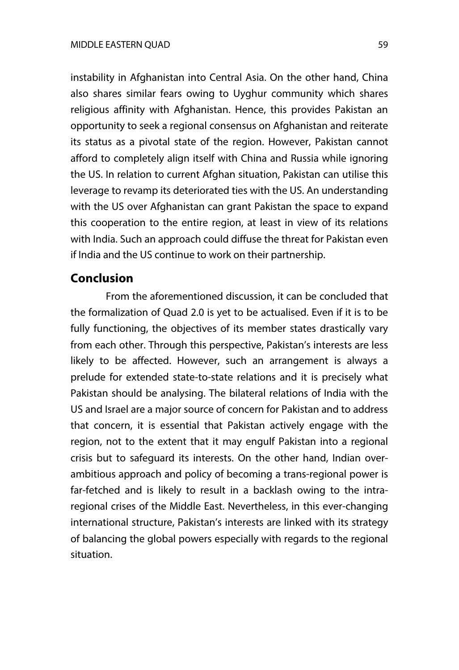instability in Afghanistan into Central Asia. On the other hand, China also shares similar fears owing to Uyghur community which shares religious affinity with Afghanistan. Hence, this provides Pakistan an opportunity to seek a regional consensus on Afghanistan and reiterate its status as a pivotal state of the region. However, Pakistan cannot afford to completely align itself with China and Russia while ignoring the US. In relation to current Afghan situation, Pakistan can utilise this leverage to revamp its deteriorated ties with the US. An understanding with the US over Afghanistan can grant Pakistan the space to expand this cooperation to the entire region, at least in view of its relations with India. Such an approach could diffuse the threat for Pakistan even if India and the US continue to work on their partnership.

# **Conclusion**

From the aforementioned discussion, it can be concluded that the formalization of Quad 2.0 is yet to be actualised. Even if it is to be fully functioning, the objectives of its member states drastically vary from each other. Through this perspective, Pakistan's interests are less likely to be affected. However, such an arrangement is always a prelude for extended state-to-state relations and it is precisely what Pakistan should be analysing. The bilateral relations of India with the US and Israel are a major source of concern for Pakistan and to address that concern, it is essential that Pakistan actively engage with the region, not to the extent that it may engulf Pakistan into a regional crisis but to safeguard its interests. On the other hand, Indian overambitious approach and policy of becoming a trans-regional power is far-fetched and is likely to result in a backlash owing to the intraregional crises of the Middle East. Nevertheless, in this ever-changing international structure, Pakistan's interests are linked with its strategy of balancing the global powers especially with regards to the regional situation.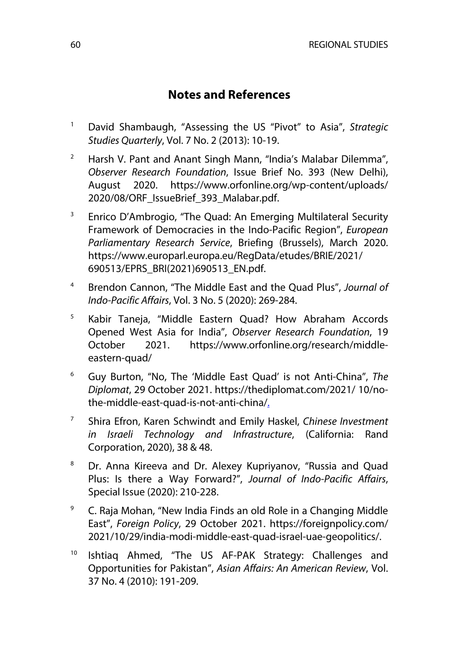# **Notes and References**

- <sup>1</sup> David Shambaugh, "Assessing the US "Pivot" to Asia", *Strategic Studies Quarterly*, Vol. 7 No. 2 (2013): 10-19.
- <sup>2</sup> Harsh V. Pant and Anant Singh Mann, "India's Malabar Dilemma", *Observer Research Foundation*, Issue Brief No. 393 (New Delhi), August 2020. https://www.orfonline.org/wp-content/uploads/ 2020/08/ORF\_IssueBrief\_393\_Malabar.pdf.
- <sup>3</sup> Enrico D'Ambrogio, "The Quad: An Emerging Multilateral Security Framework of Democracies in the Indo-Pacific Region", *European Parliamentary Research Service*, Briefing (Brussels), March 2020. https://www.europarl.europa.eu/RegData/etudes/BRIE/2021/ 690513/EPRS\_BRI(2021)690513\_EN.pdf.
- <sup>4</sup> Brendon Cannon, "The Middle East and the Quad Plus", *Journal of Indo-Pacific Affairs*, Vol. 3 No. 5 (2020): 269-284.
- <sup>5</sup> Kabir Taneja, "Middle Eastern Quad? How Abraham Accords Opened West Asia for India", *Observer Research Foundation*, 19 October 2021. https://www.orfonline.org/research/middleeastern-quad/
- <sup>6</sup> Guy Burton, "No, The 'Middle East Quad' is not Anti-China", *The Diplomat*, 29 October 2021. https://thediplomat.com/2021/ 10/nothe-middle-east-quad-is-not-anti-china/.
- <sup>7</sup> Shira Efron, Karen Schwindt and Emily Haskel, *Chinese Investment in Israeli Technology and Infrastructure*, (California: Rand Corporation, 2020), 38 & 48.
- <sup>8</sup> Dr. Anna Kireeva and Dr. Alexey Kupriyanov, "Russia and Quad Plus: Is there a Way Forward?", *Journal of Indo-Pacific Affairs*, Special Issue (2020): 210-228.
- <sup>9</sup> C. Raja Mohan, "New India Finds an old Role in a Changing Middle East", *Foreign Policy*, 29 October 2021. https://foreignpolicy.com/ 2021/10/29/india-modi-middle-east-quad-israel-uae-geopolitics/.
- <sup>10</sup> Ishtiaq Ahmed, "The US AF-PAK Strategy: Challenges and Opportunities for Pakistan", *Asian Affairs: An American Review*, Vol. 37 No. 4 (2010): 191-209.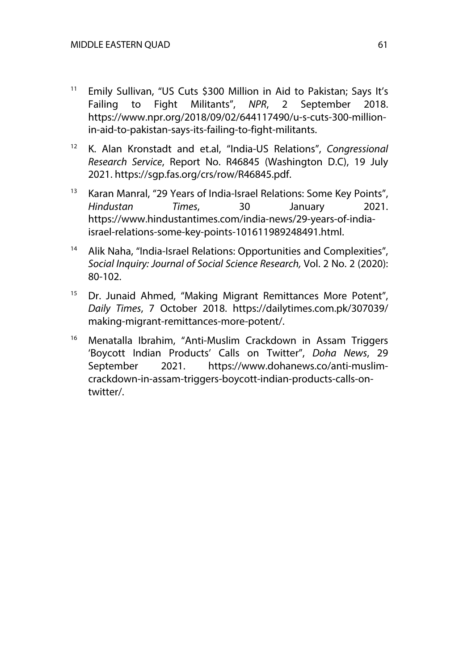- <sup>11</sup> Emily Sullivan, "US Cuts \$300 Million in Aid to Pakistan; Says It's Failing to Fight Militants", *NPR*, 2 September 2018. https://www.npr.org/2018/09/02/644117490/u-s-cuts-300-millionin-aid-to-pakistan-says-its-failing-to-fight-militants.
- <sup>12</sup> K. Alan Kronstadt and et.al, "India-US Relations", *Congressional Research Service*, Report No. R46845 (Washington D.C), 19 July 2021. https://sgp.fas.org/crs/row/R46845.pdf.
- <sup>13</sup> Karan Manral, "29 Years of India-Israel Relations: Some Key Points", *Hindustan Times*, 30 January 2021. https://www.hindustantimes.com/india-news/29-years-of-indiaisrael-relations-some-key-points-101611989248491.html.
- <sup>14</sup> Alik Naha, "India-Israel Relations: Opportunities and Complexities", *Social Inquiry: Journal of Social Science Research,* Vol. 2 No. 2 (2020): 80-102.
- <sup>15</sup> Dr. Junaid Ahmed, "Making Migrant Remittances More Potent", *Daily Times*, 7 October 2018. https://dailytimes.com.pk/307039/ making-migrant-remittances-more-potent/.
- <sup>16</sup> Menatalla Ibrahim, "Anti-Muslim Crackdown in Assam Triggers 'Boycott Indian Products' Calls on Twitter", *Doha News*, 29 September 2021. https://www.dohanews.co/anti-muslimcrackdown-in-assam-triggers-boycott-indian-products-calls-ontwitter/.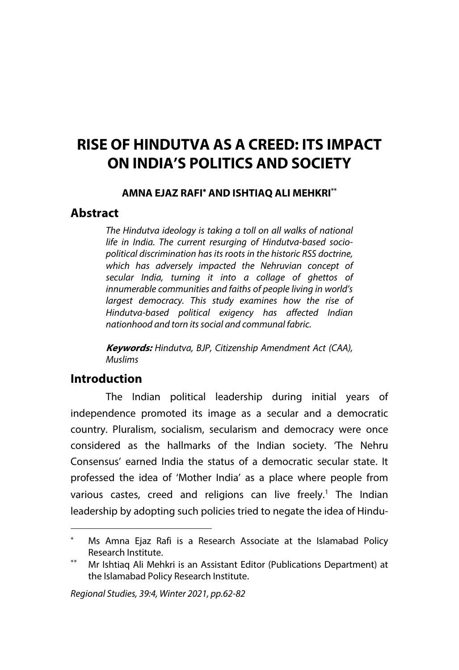# **RISE OF HINDUTVA AS A CREED: ITS IMPACT ON INDIA'S POLITICS AND SOCIETY**

## **AMNA EJAZ RAFI**\* **AND ISHTIAQ ALI MEHKRI\*\***

# **Abstract**

*The Hindutva ideology is taking a toll on all walks of national life in India. The current resurging of Hindutva-based sociopolitical discrimination has its roots in the historic RSS doctrine, which has adversely impacted the Nehruvian concept of secular India, turning it into a collage of ghettos of innumerable communities and faiths of people living in world's largest democracy. This study examines how the rise of Hindutva-based political exigency has affected Indian nationhood and torn its social and communal fabric.* 

**Keywords:** *Hindutva, BJP, Citizenship Amendment Act (CAA), Muslims*

# **Introduction**

The Indian political leadership during initial years of independence promoted its image as a secular and a democratic country. Pluralism, socialism, secularism and democracy were once considered as the hallmarks of the Indian society. 'The Nehru Consensus' earned India the status of a democratic secular state. It professed the idea of 'Mother India' as a place where people from various castes, creed and religions can live freely.<sup>1</sup> The Indian leadership by adopting such policies tried to negate the idea of Hindu-

Ms Amna Ejaz Rafi is a Research Associate at the Islamabad Policy Research Institute.

Mr Ishtiag Ali Mehkri is an Assistant Editor (Publications Department) at the Islamabad Policy Research Institute.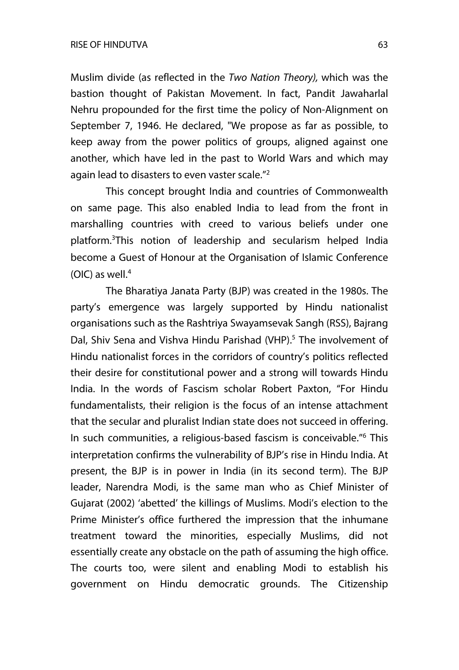Muslim divide (as reflected in the *Two Nation Theory),* which was the bastion thought of Pakistan Movement. In fact, Pandit Jawaharlal Nehru propounded for the first time the policy of Non-Alignment on September 7, 1946. He declared, "We propose as far as possible, to keep away from the power politics of groups, aligned against one another, which have led in the past to World Wars and which may again lead to disasters to even vaster scale."2

This concept brought India and countries of Commonwealth on same page. This also enabled India to lead from the front in marshalling countries with creed to various beliefs under one platform.<sup>3</sup>This notion of leadership and secularism helped India become a Guest of Honour at the Organisation of Islamic Conference  $(OIC)$  as well.<sup>4</sup>

The Bharatiya Janata Party (BJP) was created in the 1980s. The party's emergence was largely supported by Hindu nationalist organisations such as the Rashtriya Swayamsevak Sangh (RSS), Bajrang Dal, Shiy Sena and Vishva Hindu Parishad (VHP).<sup>5</sup> The involvement of Hindu nationalist forces in the corridors of country's politics reflected their desire for constitutional power and a strong will towards Hindu India. In the words of Fascism scholar Robert Paxton, "For Hindu fundamentalists, their religion is the focus of an intense attachment that the secular and pluralist Indian state does not succeed in offering. In such communities, a religious-based fascism is conceivable."<sup>6</sup> This interpretation confirms the vulnerability of BJP's rise in Hindu India. At present, the BJP is in power in India (in its second term). The BJP leader, Narendra Modi, is the same man who as Chief Minister of Gujarat (2002) 'abetted' the killings of Muslims. Modi's election to the Prime Minister's office furthered the impression that the inhumane treatment toward the minorities, especially Muslims, did not essentially create any obstacle on the path of assuming the high office. The courts too, were silent and enabling Modi to establish his government on Hindu democratic grounds. The Citizenship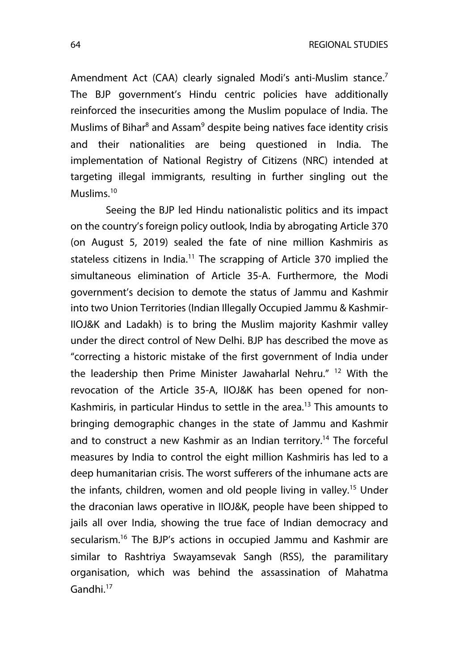64 REGIONAL STUDIES

Amendment Act (CAA) clearly signaled Modi's anti-Muslim stance.<sup>7</sup> The BJP government's Hindu centric policies have additionally reinforced the insecurities among the Muslim populace of India. The Muslims of Bihar $8$  and Assam $9$  despite being natives face identity crisis and their nationalities are being questioned in India. The implementation of National Registry of Citizens (NRC) intended at targeting illegal immigrants, resulting in further singling out the Muslims.10

Seeing the BJP led Hindu nationalistic politics and its impact on the country's foreign policy outlook, India by abrogating Article 370 (on August 5, 2019) sealed the fate of nine million Kashmiris as stateless citizens in India.<sup>11</sup> The scrapping of Article 370 implied the simultaneous elimination of Article 35-A. Furthermore, the Modi government's decision to demote the status of Jammu and Kashmir into two Union Territories (Indian Illegally Occupied Jammu & Kashmir-IIOJ&K and Ladakh) is to bring the Muslim majority Kashmir valley under the direct control of New Delhi. BJP has described the move as "correcting a historic mistake of the first government of India under the leadership then Prime Minister Jawaharlal Nehru."<sup>12</sup> With the revocation of the Article 35-A, IIOJ&K has been opened for non-Kashmiris, in particular Hindus to settle in the area.<sup>13</sup> This amounts to bringing demographic changes in the state of Jammu and Kashmir and to construct a new Kashmir as an Indian territory.<sup>14</sup> The forceful measures by India to control the eight million Kashmiris has led to a deep humanitarian crisis. The worst sufferers of the inhumane acts are the infants, children, women and old people living in valley.<sup>15</sup> Under the draconian laws operative in IIOJ&K, people have been shipped to jails all over India, showing the true face of Indian democracy and secularism.<sup>16</sup> The BJP's actions in occupied Jammu and Kashmir are similar to Rashtriya Swayamsevak Sangh (RSS), the paramilitary organisation, which was behind the assassination of Mahatma Gandhi.17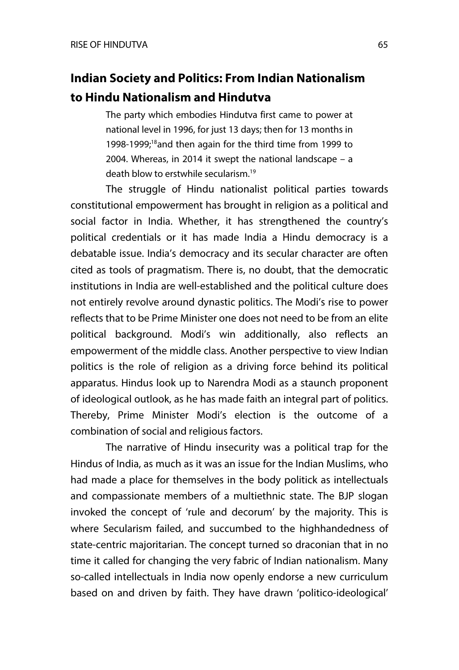# **Indian Society and Politics: From Indian Nationalism to Hindu Nationalism and Hindutva**

The party which embodies Hindutva first came to power at national level in 1996, for just 13 days; then for 13 months in 1998-1999;<sup>18</sup>and then again for the third time from 1999 to 2004. Whereas, in 2014 it swept the national landscape – a death blow to erstwhile secularism.19

The struggle of Hindu nationalist political parties towards constitutional empowerment has brought in religion as a political and social factor in India. Whether, it has strengthened the country's political credentials or it has made India a Hindu democracy is a debatable issue. India's democracy and its secular character are often cited as tools of pragmatism. There is, no doubt, that the democratic institutions in India are well-established and the political culture does not entirely revolve around dynastic politics. The Modi's rise to power reflects that to be Prime Minister one does not need to be from an elite political background. Modi's win additionally, also reflects an empowerment of the middle class. Another perspective to view Indian politics is the role of religion as a driving force behind its political apparatus. Hindus look up to Narendra Modi as a staunch proponent of ideological outlook, as he has made faith an integral part of politics. Thereby, Prime Minister Modi's election is the outcome of a combination of social and religious factors.

The narrative of Hindu insecurity was a political trap for the Hindus of India, as much as it was an issue for the Indian Muslims, who had made a place for themselves in the body politick as intellectuals and compassionate members of a multiethnic state. The BJP slogan invoked the concept of 'rule and decorum' by the majority. This is where Secularism failed, and succumbed to the highhandedness of state-centric majoritarian. The concept turned so draconian that in no time it called for changing the very fabric of Indian nationalism. Many so-called intellectuals in India now openly endorse a new curriculum based on and driven by faith. They have drawn 'politico-ideological'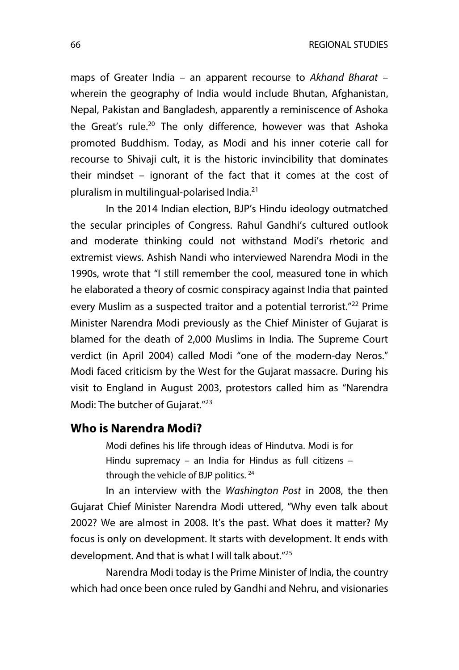maps of Greater India – an apparent recourse to *Akhand Bharat* – wherein the geography of India would include Bhutan, Afghanistan, Nepal, Pakistan and Bangladesh, apparently a reminiscence of Ashoka the Great's rule.<sup>20</sup> The only difference, however was that Ashoka promoted Buddhism. Today, as Modi and his inner coterie call for recourse to Shivaji cult, it is the historic invincibility that dominates their mindset – ignorant of the fact that it comes at the cost of pluralism in multilingual-polarised India.21

In the 2014 Indian election, BJP's Hindu ideology outmatched the secular principles of Congress. Rahul Gandhi's cultured outlook and moderate thinking could not withstand Modi's rhetoric and extremist views. Ashish Nandi who interviewed Narendra Modi in the 1990s, wrote that "I still remember the cool, measured tone in which he elaborated a theory of cosmic conspiracy against India that painted every Muslim as a suspected traitor and a potential terrorist."<sup>22</sup> Prime Minister Narendra Modi previously as the Chief Minister of Gujarat is blamed for the death of 2,000 Muslims in India. The Supreme Court verdict (in April 2004) called Modi "one of the modern-day Neros." Modi faced criticism by the West for the Gujarat massacre. During his visit to England in August 2003, protestors called him as "Narendra Modi: The butcher of Gujarat."<sup>23</sup>

## **Who is Narendra Modi?**

Modi defines his life through ideas of Hindutva. Modi is for Hindu supremacy – an India for Hindus as full citizens – through the vehicle of BJP politics. <sup>24</sup>

In an interview with the *Washington Post* in 2008, the then Gujarat Chief Minister Narendra Modi uttered, "Why even talk about 2002? We are almost in 2008. It's the past. What does it matter? My focus is only on development. It starts with development. It ends with development. And that is what I will talk about."25

Narendra Modi today is the Prime Minister of India, the country which had once been once ruled by Gandhi and Nehru, and visionaries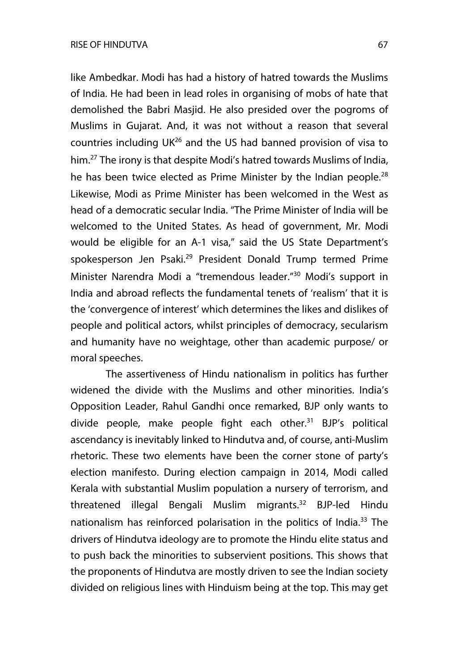like Ambedkar. Modi has had a history of hatred towards the Muslims of India. He had been in lead roles in organising of mobs of hate that demolished the Babri Masjid. He also presided over the pogroms of Muslims in Gujarat. And, it was not without a reason that several countries including UK26 and the US had banned provision of visa to him.27 The irony is that despite Modi's hatred towards Muslims of India, he has been twice elected as Prime Minister by the Indian people. $^{28}$ Likewise, Modi as Prime Minister has been welcomed in the West as head of a democratic secular India. "The Prime Minister of India will be welcomed to the United States. As head of government, Mr. Modi would be eligible for an A-1 visa," said the US State Department's spokesperson Jen Psaki.<sup>29</sup> President Donald Trump termed Prime Minister Narendra Modi a "tremendous leader." <sup>30</sup> Modi's support in India and abroad reflects the fundamental tenets of 'realism' that it is the 'convergence of interest' which determines the likes and dislikes of people and political actors, whilst principles of democracy, secularism and humanity have no weightage, other than academic purpose/ or moral speeches.

The assertiveness of Hindu nationalism in politics has further widened the divide with the Muslims and other minorities. India's Opposition Leader, Rahul Gandhi once remarked, BJP only wants to divide people, make people fight each other.<sup>31</sup> BJP's political ascendancy is inevitably linked to Hindutva and, of course, anti-Muslim rhetoric. These two elements have been the corner stone of party's election manifesto. During election campaign in 2014, Modi called Kerala with substantial Muslim population a nursery of terrorism, and threatened illegal Bengali Muslim migrants.<sup>32</sup> BJP-led Hindu nationalism has reinforced polarisation in the politics of India.<sup>33</sup> The drivers of Hindutva ideology are to promote the Hindu elite status and to push back the minorities to subservient positions. This shows that the proponents of Hindutva are mostly driven to see the Indian society divided on religious lines with Hinduism being at the top. This may get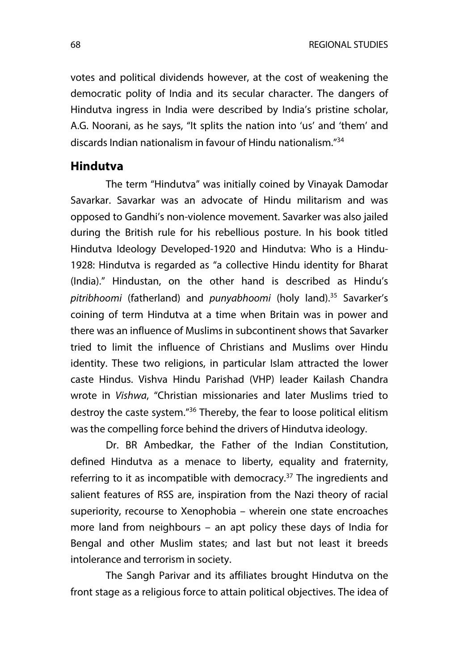votes and political dividends however, at the cost of weakening the democratic polity of India and its secular character. The dangers of Hindutva ingress in India were described by India's pristine scholar, A.G. Noorani, as he says, "It splits the nation into 'us' and 'them' and discards Indian nationalism in favour of Hindu nationalism."34

## **Hindutva**

The term "Hindutva" was initially coined by Vinayak Damodar Savarkar. Savarkar was an advocate of Hindu militarism and was opposed to Gandhi's non-violence movement. Savarker was also jailed during the British rule for his rebellious posture. In his book titled Hindutva Ideology Developed-1920 and Hindutva: Who is a Hindu-1928: Hindutva is regarded as "a collective Hindu identity for Bharat (India)." Hindustan, on the other hand is described as Hindu's *pitribhoomi* (fatherland) and *punyabhoomi* (holy land).35 Savarker's coining of term Hindutva at a time when Britain was in power and there was an influence of Muslims in subcontinent shows that Savarker tried to limit the influence of Christians and Muslims over Hindu identity. These two religions, in particular Islam attracted the lower caste Hindus. Vishva Hindu Parishad (VHP) leader Kailash Chandra wrote in *Vishwa*, "Christian missionaries and later Muslims tried to destroy the caste system."36 Thereby, the fear to loose political elitism was the compelling force behind the drivers of Hindutva ideology.

Dr. BR Ambedkar, the Father of the Indian Constitution, defined Hindutva as a menace to liberty, equality and fraternity, referring to it as incompatible with democracy. $37$  The ingredients and salient features of RSS are, inspiration from the Nazi theory of racial superiority, recourse to Xenophobia – wherein one state encroaches more land from neighbours – an apt policy these days of India for Bengal and other Muslim states; and last but not least it breeds intolerance and terrorism in society.

The Sangh Parivar and its affiliates brought Hindutva on the front stage as a religious force to attain political objectives. The idea of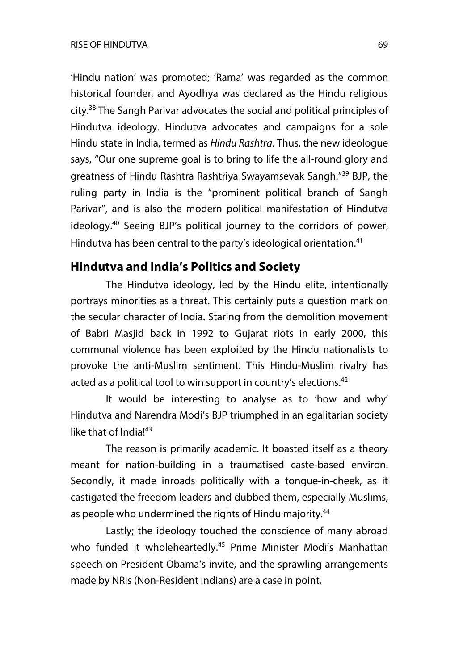'Hindu nation' was promoted; 'Rama' was regarded as the common historical founder, and Ayodhya was declared as the Hindu religious city.38 The Sangh Parivar advocates the social and political principles of Hindutva ideology. Hindutva advocates and campaigns for a sole Hindu state in India, termed as *Hindu Rashtra*. Thus, the new ideologue says, "Our one supreme goal is to bring to life the all-round glory and greatness of Hindu Rashtra Rashtriya Swayamsevak Sangh."39 BJP, the ruling party in India is the "prominent political branch of Sangh Parivar", and is also the modern political manifestation of Hindutva ideology.40 Seeing BJP's political journey to the corridors of power, Hindutva has been central to the party's ideological orientation.<sup>41</sup>

## **Hindutva and India's Politics and Society**

The Hindutva ideology, led by the Hindu elite, intentionally portrays minorities as a threat. This certainly puts a question mark on the secular character of India. Staring from the demolition movement of Babri Masjid back in 1992 to Gujarat riots in early 2000, this communal violence has been exploited by the Hindu nationalists to provoke the anti-Muslim sentiment. This Hindu-Muslim rivalry has acted as a political tool to win support in country's elections. $42$ 

It would be interesting to analyse as to 'how and why' Hindutva and Narendra Modi's BJP triumphed in an egalitarian society like that of India! $43$ 

The reason is primarily academic. It boasted itself as a theory meant for nation-building in a traumatised caste-based environ. Secondly, it made inroads politically with a tongue-in-cheek, as it castigated the freedom leaders and dubbed them, especially Muslims, as people who undermined the rights of Hindu majority.<sup>44</sup>

Lastly; the ideology touched the conscience of many abroad who funded it wholeheartedly.<sup>45</sup> Prime Minister Modi's Manhattan speech on President Obama's invite, and the sprawling arrangements made by NRIs (Non-Resident Indians) are a case in point.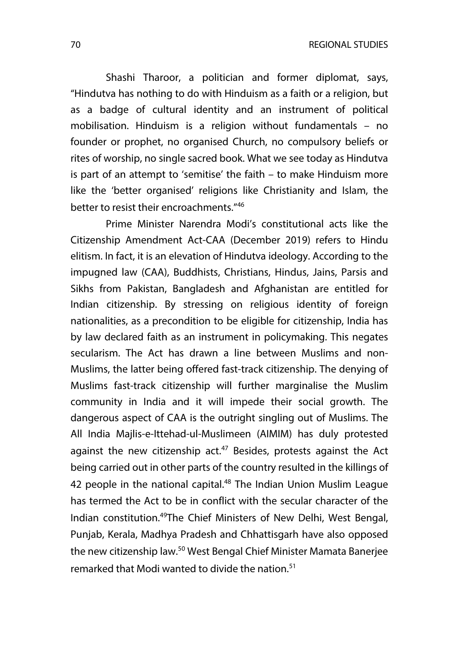70 REGIONAL STUDIES

Shashi Tharoor, a politician and former diplomat, says, "Hindutva has nothing to do with Hinduism as a faith or a religion, but as a badge of cultural identity and an instrument of political mobilisation. Hinduism is a religion without fundamentals – no founder or prophet, no organised Church, no compulsory beliefs or rites of worship, no single sacred book. What we see today as Hindutva is part of an attempt to 'semitise' the faith – to make Hinduism more like the 'better organised' religions like Christianity and Islam, the better to resist their encroachments." 46

Prime Minister Narendra Modi's constitutional acts like the Citizenship Amendment Act-CAA (December 2019) refers to Hindu elitism. In fact, it is an elevation of Hindutva ideology. According to the impugned law (CAA), Buddhists, Christians, Hindus, Jains, Parsis and Sikhs from Pakistan, Bangladesh and Afghanistan are entitled for Indian citizenship. By stressing on religious identity of foreign nationalities, as a precondition to be eligible for citizenship, India has by law declared faith as an instrument in policymaking. This negates secularism. The Act has drawn a line between Muslims and non-Muslims, the latter being offered fast-track citizenship. The denying of Muslims fast-track citizenship will further marginalise the Muslim community in India and it will impede their social growth. The dangerous aspect of CAA is the outright singling out of Muslims. The All India Majlis-e-Ittehad-ul-Muslimeen (AIMIM) has duly protested against the new citizenship act.<sup>47</sup> Besides, protests against the Act being carried out in other parts of the country resulted in the killings of 42 people in the national capital.<sup>48</sup> The Indian Union Muslim League has termed the Act to be in conflict with the secular character of the Indian constitution.49The Chief Ministers of New Delhi, West Bengal, Punjab, Kerala, Madhya Pradesh and Chhattisgarh have also opposed the new citizenship law.<sup>50</sup> West Bengal Chief Minister Mamata Banerjee remarked that Modi wanted to divide the nation.<sup>51</sup>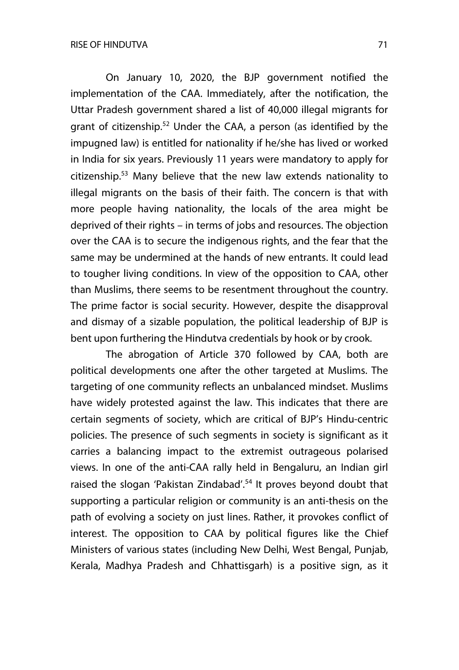On January 10, 2020, the BJP government notified the implementation of the CAA. Immediately, after the notification, the Uttar Pradesh government shared a list of 40,000 illegal migrants for grant of citizenship.<sup>52</sup> Under the CAA, a person (as identified by the impugned law) is entitled for nationality if he/she has lived or worked in India for six years. Previously 11 years were mandatory to apply for citizenship.53 Many believe that the new law extends nationality to illegal migrants on the basis of their faith. The concern is that with more people having nationality, the locals of the area might be deprived of their rights – in terms of jobs and resources. The objection over the CAA is to secure the indigenous rights, and the fear that the same may be undermined at the hands of new entrants. It could lead to tougher living conditions. In view of the opposition to CAA, other than Muslims, there seems to be resentment throughout the country. The prime factor is social security. However, despite the disapproval and dismay of a sizable population, the political leadership of BJP is bent upon furthering the Hindutva credentials by hook or by crook.

The abrogation of Article 370 followed by CAA, both are political developments one after the other targeted at Muslims. The targeting of one community reflects an unbalanced mindset. Muslims have widely protested against the law. This indicates that there are certain segments of society, which are critical of BJP's Hindu-centric policies. The presence of such segments in society is significant as it carries a balancing impact to the extremist outrageous polarised views. In one of the anti-CAA rally held in Bengaluru, an Indian girl raised the slogan 'Pakistan Zindabad'.<sup>54</sup> It proves beyond doubt that supporting a particular religion or community is an anti-thesis on the path of evolving a society on just lines. Rather, it provokes conflict of interest. The opposition to CAA by political figures like the Chief Ministers of various states (including New Delhi, West Bengal, Punjab, Kerala, Madhya Pradesh and Chhattisgarh) is a positive sign, as it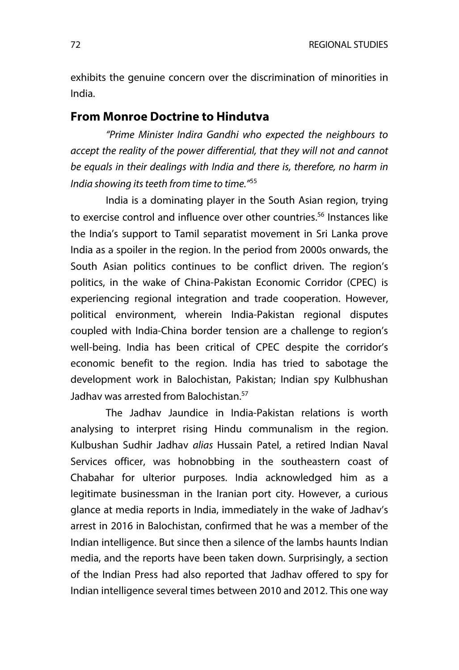exhibits the genuine concern over the discrimination of minorities in India.

#### **From Monroe Doctrine to Hindutva**

*"Prime Minister Indira Gandhi who expected the neighbours to accept the reality of the power differential, that they will not and cannot be equals in their dealings with India and there is, therefore, no harm in India showing its teeth from time to time."*<sup>55</sup>

India is a dominating player in the South Asian region, trying to exercise control and influence over other countries.<sup>56</sup> Instances like the India's support to Tamil separatist movement in Sri Lanka prove India as a spoiler in the region. In the period from 2000s onwards, the South Asian politics continues to be conflict driven. The region's politics, in the wake of China-Pakistan Economic Corridor (CPEC) is experiencing regional integration and trade cooperation. However, political environment, wherein India-Pakistan regional disputes coupled with India-China border tension are a challenge to region's well-being. India has been critical of CPEC despite the corridor's economic benefit to the region. India has tried to sabotage the development work in Balochistan, Pakistan; Indian spy Kulbhushan Jadhav was arrested from Balochistan.<sup>57</sup>

The Jadhav Jaundice in India-Pakistan relations is worth analysing to interpret rising Hindu communalism in the region. Kulbushan Sudhir Jadhav *alias* Hussain Patel, a retired Indian Naval Services officer, was hobnobbing in the southeastern coast of Chabahar for ulterior purposes. India acknowledged him as a legitimate businessman in the Iranian port city. However, a curious glance at media reports in India, immediately in the wake of Jadhav's arrest in 2016 in Balochistan, confirmed that he was a member of the Indian intelligence. But since then a silence of the lambs haunts Indian media, and the reports have been taken down. Surprisingly, a section of the Indian Press had also reported that Jadhav offered to spy for Indian intelligence several times between 2010 and 2012. This one way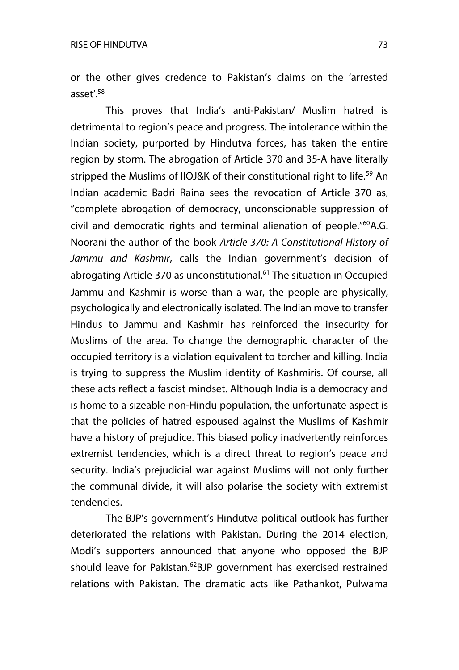or the other gives credence to Pakistan's claims on the 'arrested asset'.58

This proves that India's anti-Pakistan/ Muslim hatred is detrimental to region's peace and progress. The intolerance within the Indian society, purported by Hindutva forces, has taken the entire region by storm. The abrogation of Article 370 and 35-A have literally stripped the Muslims of IIOJ&K of their constitutional right to life.<sup>59</sup> An Indian academic Badri Raina sees the revocation of Article 370 as, "complete abrogation of democracy, unconscionable suppression of civil and democratic rights and terminal alienation of people."<sup>60</sup>A.G. Noorani the author of the book *Article 370: A Constitutional History of Jammu and Kashmir*, calls the Indian government's decision of abrogating Article 370 as unconstitutional.<sup>61</sup> The situation in Occupied Jammu and Kashmir is worse than a war, the people are physically, psychologically and electronically isolated. The Indian move to transfer Hindus to Jammu and Kashmir has reinforced the insecurity for Muslims of the area. To change the demographic character of the occupied territory is a violation equivalent to torcher and killing. India is trying to suppress the Muslim identity of Kashmiris. Of course, all these acts reflect a fascist mindset. Although India is a democracy and is home to a sizeable non-Hindu population, the unfortunate aspect is that the policies of hatred espoused against the Muslims of Kashmir have a history of prejudice. This biased policy inadvertently reinforces extremist tendencies, which is a direct threat to region's peace and security. India's prejudicial war against Muslims will not only further the communal divide, it will also polarise the society with extremist tendencies.

The BJP's government's Hindutva political outlook has further deteriorated the relations with Pakistan. During the 2014 election, Modi's supporters announced that anyone who opposed the BJP should leave for Pakistan.<sup>62</sup>BJP government has exercised restrained relations with Pakistan. The dramatic acts like Pathankot, Pulwama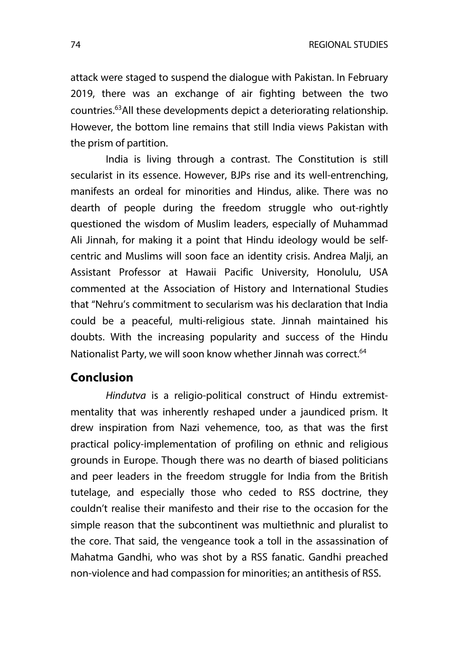attack were staged to suspend the dialogue with Pakistan. In February 2019, there was an exchange of air fighting between the two countries.63All these developments depict a deteriorating relationship. However, the bottom line remains that still India views Pakistan with the prism of partition.

India is living through a contrast. The Constitution is still secularist in its essence. However, BJPs rise and its well-entrenching, manifests an ordeal for minorities and Hindus, alike. There was no dearth of people during the freedom struggle who out-rightly questioned the wisdom of Muslim leaders, especially of Muhammad Ali Jinnah, for making it a point that Hindu ideology would be selfcentric and Muslims will soon face an identity crisis. Andrea Malji, an Assistant Professor at Hawaii Pacific University, Honolulu, USA commented at the Association of History and International Studies that "Nehru's commitment to secularism was his declaration that India could be a peaceful, multi-religious state. Jinnah maintained his doubts. With the increasing popularity and success of the Hindu Nationalist Party, we will soon know whether Jinnah was correct.<sup>64</sup>

# **Conclusion**

*Hindutva* is a religio-political construct of Hindu extremistmentality that was inherently reshaped under a jaundiced prism. It drew inspiration from Nazi vehemence, too, as that was the first practical policy-implementation of profiling on ethnic and religious grounds in Europe. Though there was no dearth of biased politicians and peer leaders in the freedom struggle for India from the British tutelage, and especially those who ceded to RSS doctrine, they couldn't realise their manifesto and their rise to the occasion for the simple reason that the subcontinent was multiethnic and pluralist to the core. That said, the vengeance took a toll in the assassination of Mahatma Gandhi, who was shot by a RSS fanatic. Gandhi preached non-violence and had compassion for minorities; an antithesis of RSS.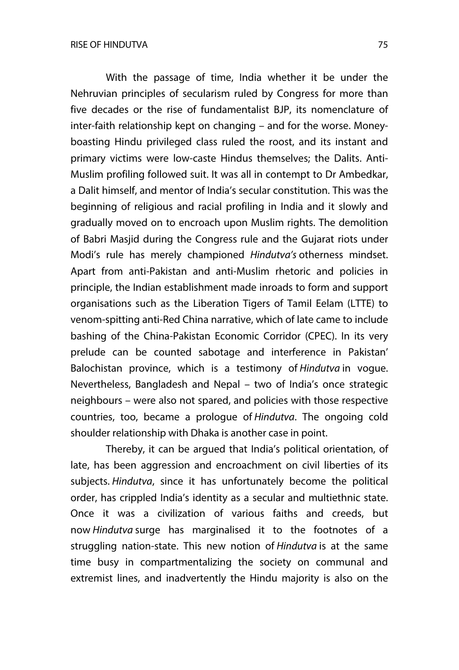With the passage of time, India whether it be under the Nehruvian principles of secularism ruled by Congress for more than five decades or the rise of fundamentalist BJP, its nomenclature of inter-faith relationship kept on changing – and for the worse. Moneyboasting Hindu privileged class ruled the roost, and its instant and primary victims were low-caste Hindus themselves; the Dalits. Anti-Muslim profiling followed suit. It was all in contempt to Dr Ambedkar, a Dalit himself, and mentor of India's secular constitution. This was the beginning of religious and racial profiling in India and it slowly and gradually moved on to encroach upon Muslim rights. The demolition of Babri Masjid during the Congress rule and the Gujarat riots under Modi's rule has merely championed *Hindutva's* otherness mindset. Apart from anti-Pakistan and anti-Muslim rhetoric and policies in principle, the Indian establishment made inroads to form and support organisations such as the Liberation Tigers of Tamil Eelam (LTTE) to venom-spitting anti-Red China narrative, which of late came to include bashing of the China-Pakistan Economic Corridor (CPEC). In its very prelude can be counted sabotage and interference in Pakistan' Balochistan province, which is a testimony of *Hindutva* in vogue. Nevertheless, Bangladesh and Nepal – two of India's once strategic neighbours – were also not spared, and policies with those respective countries, too, became a prologue of *Hindutva*. The ongoing cold shoulder relationship with Dhaka is another case in point.

Thereby, it can be argued that India's political orientation, of late, has been aggression and encroachment on civil liberties of its subjects. *Hindutva*, since it has unfortunately become the political order, has crippled India's identity as a secular and multiethnic state. Once it was a civilization of various faiths and creeds, but now *Hindutva* surge has marginalised it to the footnotes of a struggling nation-state. This new notion of *Hindutva* is at the same time busy in compartmentalizing the society on communal and extremist lines, and inadvertently the Hindu majority is also on the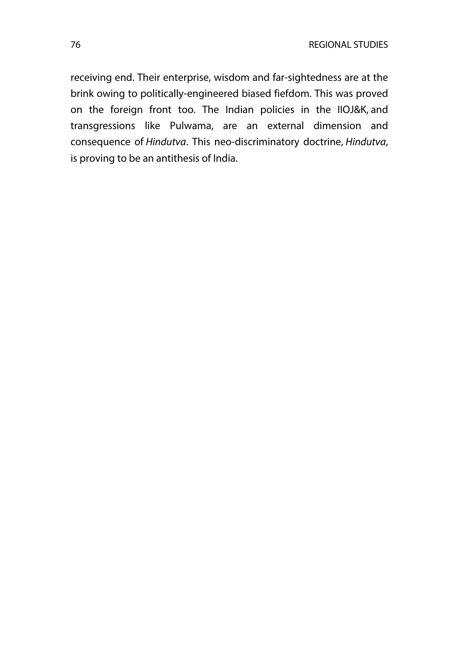receiving end. Their enterprise, wisdom and far-sightedness are at the brink owing to politically-engineered biased fiefdom. This was proved on the foreign front too. The Indian policies in the IIOJ&K, and transgressions like Pulwama, are an external dimension and consequence of *Hindutva*. This neo-discriminatory doctrine, *Hindutva*, is proving to be an antithesis of India.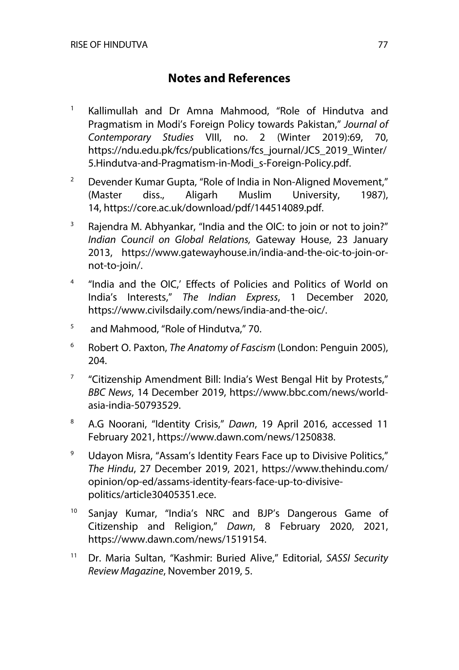# **Notes and References**

- <sup>1</sup> Kallimullah and Dr Amna Mahmood, "Role of Hindutva and Pragmatism in Modi's Foreign Policy towards Pakistan," *Journal of Contemporary Studies* VIII, no. 2 (Winter 2019):69, 70, https://ndu.edu.pk/fcs/publications/fcs\_journal/JCS\_2019\_Winter/ 5.Hindutva-and-Pragmatism-in-Modi\_s-Foreign-Policy.pdf.
- <sup>2</sup> Devender Kumar Gupta, "Role of India in Non-Aligned Movement," (Master diss., Aligarh Muslim University, 1987), 14, https://core.ac.uk/download/pdf/144514089.pdf.
- <sup>3</sup> Rajendra M. Abhyankar, "India and the OIC: to join or not to join?" *Indian Council on Global Relations,* Gateway House, 23 January 2013, https://www.gatewayhouse.in/india-and-the-oic-to-join-ornot-to-join/.
- <sup>4</sup> "India and the OIC,' Effects of Policies and Politics of World on India's Interests," *The Indian Express*, 1 December 2020, https://www.civilsdaily.com/news/india-and-the-oic/.
- <sup>5</sup> and Mahmood, "Role of Hindutva," 70.
- <sup>6</sup> Robert O. Paxton, *The Anatomy of Fascism* (London: Penguin 2005), 204.
- $7$  "Citizenship Amendment Bill: India's West Bengal Hit by Protests," *BBC News*, 14 December 2019, https://www.bbc.com/news/worldasia-india-50793529.
- <sup>8</sup> A.G Noorani, "Identity Crisis," *Dawn*, 19 April 2016, accessed 11 February 2021, https://www.dawn.com/news/1250838.
- <sup>9</sup> Udayon Misra, "Assam's Identity Fears Face up to Divisive Politics," *The Hindu*, 27 December 2019, 2021, https://www.thehindu.com/ opinion/op-ed/assams-identity-fears-face-up-to-divisivepolitics/article30405351.ece.
- <sup>10</sup> Sanjay Kumar, "India's NRC and BJP's Dangerous Game of Citizenship and Religion," *Dawn*, 8 February 2020, 2021, https://www.dawn.com/news/1519154.
- <sup>11</sup> Dr. Maria Sultan, "Kashmir: Buried Alive," Editorial, *SASSI Security Review Magazine*, November 2019, 5.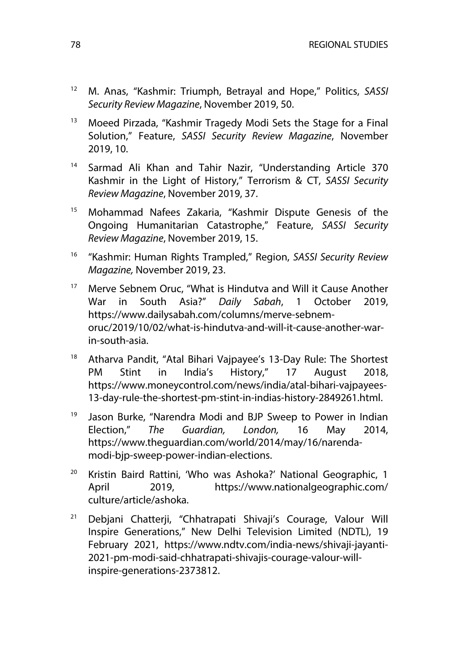- <sup>12</sup> M. Anas, "Kashmir: Triumph, Betrayal and Hope," Politics, *SASSI Security Review Magazine*, November 2019, 50.
- <sup>13</sup> Moeed Pirzada, "Kashmir Tragedy Modi Sets the Stage for a Final Solution," Feature, *SASSI Security Review Magazine*, November 2019, 10.
- <sup>14</sup> Sarmad Ali Khan and Tahir Nazir, "Understanding Article 370 Kashmir in the Light of History," Terrorism & CT, *SASSI Security Review Magazine*, November 2019, 37.
- <sup>15</sup> Mohammad Nafees Zakaria, "Kashmir Dispute Genesis of the Ongoing Humanitarian Catastrophe," Feature, *SASSI Security Review Magazine*, November 2019, 15.
- <sup>16</sup> "Kashmir: Human Rights Trampled," Region, *SASSI Security Review Magazine,* November 2019, 23.
- <sup>17</sup> Merve Sebnem Oruc, "What is Hindutva and Will it Cause Another War in South Asia?" *Daily Sabah*, 1 October 2019, https://www.dailysabah.com/columns/merve-sebnemoruc/2019/10/02/what-is-hindutva-and-will-it-cause-another-warin-south-asia.
- <sup>18</sup> Atharva Pandit, "Atal Bihari Vajpayee's 13-Day Rule: The Shortest PM Stint in India's History," 17 August 2018, https://www.moneycontrol.com/news/india/atal-bihari-vajpayees-13-day-rule-the-shortest-pm-stint-in-indias-history-2849261.html.
- <sup>19</sup> Jason Burke, "Narendra Modi and BJP Sweep to Power in Indian Election," *The Guardian, London,* 16 May 2014, https://www.theguardian.com/world/2014/may/16/narendamodi-bjp-sweep-power-indian-elections.
- <sup>20</sup> Kristin Baird Rattini, 'Who was Ashoka?' National Geographic, 1 April 2019, https://www.nationalgeographic.com/ culture/article/ashoka.
- <sup>21</sup> Debjani Chatterji, "Chhatrapati Shivaji's Courage, Valour Will Inspire Generations," New Delhi Television Limited (NDTL), 19 February 2021, https://www.ndtv.com/india-news/shivaji-jayanti-2021-pm-modi-said-chhatrapati-shivajis-courage-valour-willinspire-generations-2373812.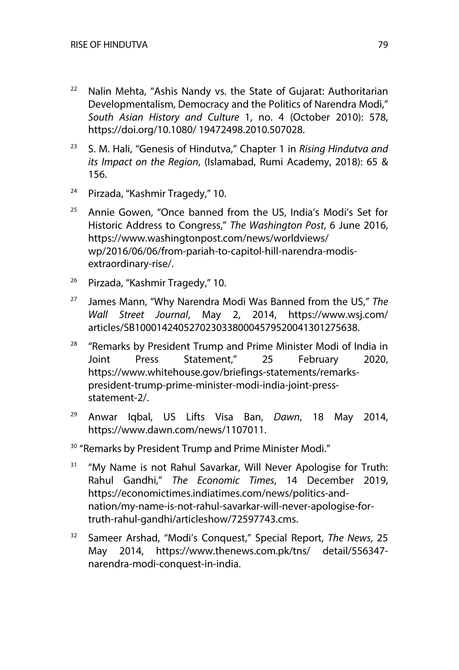- $22$  Nalin Mehta, "Ashis Nandy vs. the State of Gujarat: Authoritarian Developmentalism, Democracy and the Politics of Narendra Modi," *South Asian History and Culture* 1, no. 4 (October 2010): 578, https://doi.org/10.1080/ 19472498.2010.507028.
- <sup>23</sup> S. M. Hali, "Genesis of Hindutva," Chapter 1 in *Rising Hindutva and its Impact on the Region*, (Islamabad, Rumi Academy, 2018): 65 & 156.
- $24$  Pirzada, "Kashmir Tragedy," 10.
- $25$  Annie Gowen, "Once banned from the US, India's Modi's Set for Historic Address to Congress," *The Washington Post*, 6 June 2016, https://www.washingtonpost.com/news/worldviews/ wp/2016/06/06/from-pariah-to-capitol-hill-narendra-modisextraordinary-rise/.
- <sup>26</sup> Pirzada, "Kashmir Tragedy," 10.
- <sup>27</sup> James Mann, "Why Narendra Modi Was Banned from the US," *The Wall Street Journal*, May 2, 2014, https://www.wsj.com/ articles/SB10001424052702303380004579520041301275638.
- <sup>28</sup> "Remarks by President Trump and Prime Minister Modi of India in Joint Press Statement," 25 February 2020, https://www.whitehouse.gov/briefings-statements/remarkspresident-trump-prime-minister-modi-india-joint-pressstatement-2/.
- <sup>29</sup> Anwar Iqbal, US Lifts Visa Ban, *Dawn*, 18 May 2014, https://www.dawn.com/news/1107011.
- <sup>30</sup> "Remarks by President Trump and Prime Minister Modi."
- <sup>31</sup> "My Name is not Rahul Savarkar, Will Never Apologise for Truth: Rahul Gandhi," *The Economic Times*, 14 December 2019, https://economictimes.indiatimes.com/news/politics-andnation/my-name-is-not-rahul-savarkar-will-never-apologise-fortruth-rahul-gandhi/articleshow/72597743.cms.
- <sup>32</sup> Sameer Arshad, "Modi's Conquest," Special Report, *The News*, 25 May 2014, https://www.thenews.com.pk/tns/ detail/556347 narendra-modi-conquest-in-india.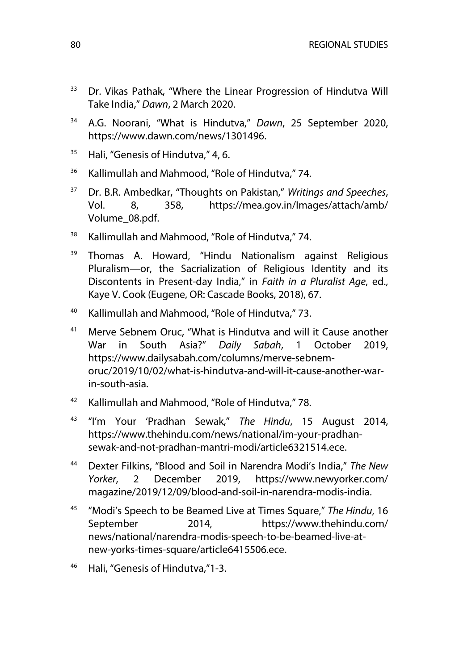- <sup>33</sup> Dr. Vikas Pathak, "Where the Linear Progression of Hindutva Will Take India," *Dawn*, 2 March 2020.
- <sup>34</sup> A.G. Noorani, "What is Hindutva," *Dawn*, 25 September 2020, https://www.dawn.com/news/1301496.
- <sup>35</sup> Hali, "Genesis of Hindutva," 4, 6.
- <sup>36</sup> Kallimullah and Mahmood, "Role of Hindutva," 74.
- <sup>37</sup> Dr. B.R. Ambedkar, "Thoughts on Pakistan," *Writings and Speeches*, Vol. 8, 358, https://mea.gov.in/Images/attach/amb/ Volume\_08.pdf.
- <sup>38</sup> Kallimullah and Mahmood, "Role of Hindutva," 74.
- <sup>39</sup> Thomas A. Howard, "Hindu Nationalism against Religious Pluralism—or, the Sacrialization of Religious Identity and its Discontents in Present-day India," in *Faith in a Pluralist Age*, ed., Kaye V. Cook (Eugene, OR: Cascade Books, 2018), 67.
- <sup>40</sup> Kallimullah and Mahmood, "Role of Hindutva," 73.
- $41$  Merve Sebnem Oruc, "What is Hindutva and will it Cause another War in South Asia?" *Daily Sabah*, 1 October 2019, https://www.dailysabah.com/columns/merve-sebnemoruc/2019/10/02/what-is-hindutva-and-will-it-cause-another-warin-south-asia.
- <sup>42</sup> Kallimullah and Mahmood, "Role of Hindutva," 78.
- <sup>43</sup> "I'm Your 'Pradhan Sewak," *The Hindu*, 15 August 2014, https://www.thehindu.com/news/national/im-your-pradhansewak-and-not-pradhan-mantri-modi/article6321514.ece.
- <sup>44</sup> Dexter Filkins, "Blood and Soil in Narendra Modi's India," *The New Yorker*, 2 December 2019, https://www.newyorker.com/ magazine/2019/12/09/blood-and-soil-in-narendra-modis-india.
- <sup>45</sup> "Modi's Speech to be Beamed Live at Times Square," *The Hindu*, 16 September 2014, https://www.thehindu.com/ news/national/narendra-modis-speech-to-be-beamed-live-atnew-yorks-times-square/article6415506.ece.
- <sup>46</sup> Hali, "Genesis of Hindutva,"1-3.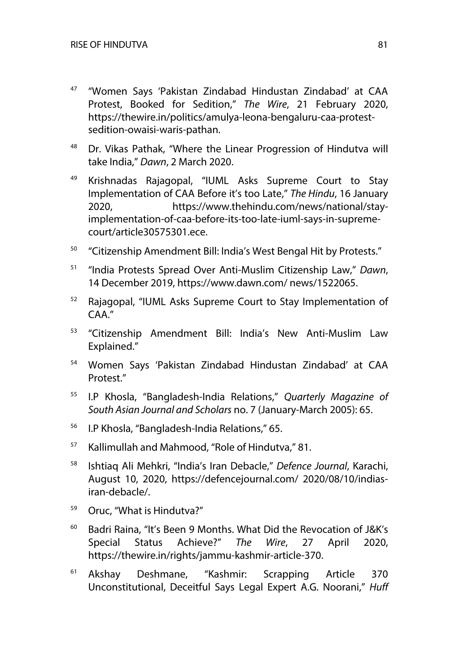- <sup>47</sup> "Women Says 'Pakistan Zindabad Hindustan Zindabad' at CAA Protest, Booked for Sedition," *The Wire*, 21 February 2020, https://thewire.in/politics/amulya-leona-bengaluru-caa-protestsedition-owaisi-waris-pathan.
- <sup>48</sup> Dr. Vikas Pathak, "Where the Linear Progression of Hindutva will take India," *Dawn*, 2 March 2020.
- <sup>49</sup> Krishnadas Rajagopal, "IUML Asks Supreme Court to Stay Implementation of CAA Before it's too Late," *The Hindu*, 16 January 2020, https://www.thehindu.com/news/national/stayimplementation-of-caa-before-its-too-late-iuml-says-in-supremecourt/article30575301.ece.
- <sup>50</sup> "Citizenship Amendment Bill: India's West Bengal Hit by Protests."
- <sup>51</sup> "India Protests Spread Over Anti-Muslim Citizenship Law," *Dawn*, 14 December 2019, https://www.dawn.com/ news/1522065.
- <sup>52</sup> Rajagopal, "IUML Asks Supreme Court to Stay Implementation of CAA."
- <sup>53</sup> "Citizenship Amendment Bill: India's New Anti-Muslim Law Explained."
- <sup>54</sup> Women Says 'Pakistan Zindabad Hindustan Zindabad' at CAA Protest."
- <sup>55</sup> I.P Khosla, "Bangladesh-India Relations," *Quarterly Magazine of South Asian Journal and Scholars* no. 7 (January-March 2005): 65.
- <sup>56</sup> I.P Khosla, "Bangladesh-India Relations," 65.
- <sup>57</sup> Kallimullah and Mahmood, "Role of Hindutva," 81.
- <sup>58</sup> Ishtiaq Ali Mehkri, "India's Iran Debacle," *Defence Journal*, Karachi, August 10, 2020, https://defencejournal.com/ 2020/08/10/indiasiran-debacle/.
- <sup>59</sup> Oruc, "What is Hindutva?"
- $60$  Badri Raina, "It's Been 9 Months. What Did the Revocation of J&K's Special Status Achieve?" *The Wire*, 27 April 2020, https://thewire.in/rights/jammu-kashmir-article-370.
- <sup>61</sup> Akshay Deshmane, "Kashmir: Scrapping Article 370 Unconstitutional, Deceitful Says Legal Expert A.G. Noorani," *Huff*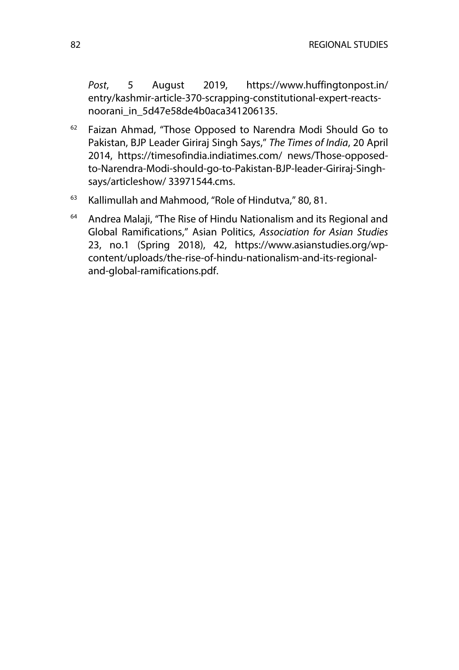*Post*, 5 August 2019, https://www.huffingtonpost.in/ entry/kashmir-article-370-scrapping-constitutional-expert-reactsnoorani in 5d47e58de4b0aca341206135.

- $62$  Faizan Ahmad, "Those Opposed to Narendra Modi Should Go to Pakistan, BJP Leader Giriraj Singh Says," *The Times of India*, 20 April 2014, https://timesofindia.indiatimes.com/ news/Those-opposedto-Narendra-Modi-should-go-to-Pakistan-BJP-leader-Giriraj-Singhsays/articleshow/ 33971544.cms.
- <sup>63</sup> Kallimullah and Mahmood, "Role of Hindutva," 80, 81.
- <sup>64</sup> Andrea Malaji, "The Rise of Hindu Nationalism and its Regional and Global Ramifications," Asian Politics, *Association for Asian Studies*  23, no.1 (Spring 2018), 42, https://www.asianstudies.org/wpcontent/uploads/the-rise-of-hindu-nationalism-and-its-regionaland-global-ramifications.pdf.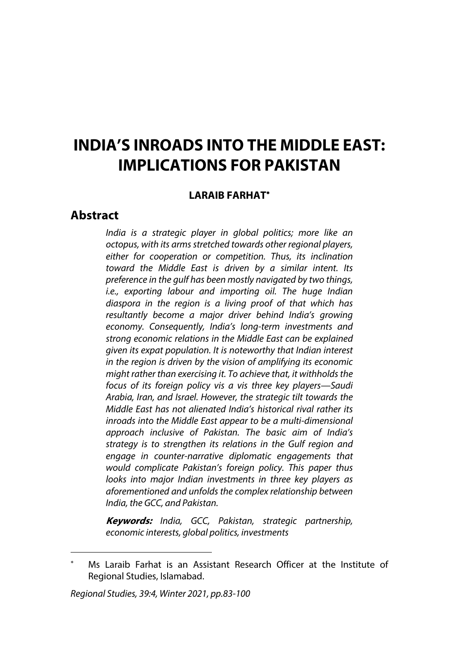# **INDIA'S INROADS INTO THE MIDDLE EAST: IMPLICATIONS FOR PAKISTAN**

#### **LARAIB FARHAT**\*

#### **Abstract**

*India is a strategic player in global politics; more like an octopus, with its arms stretched towards other regional players, either for cooperation or competition. Thus, its inclination toward the Middle East is driven by a similar intent. Its preference in the gulf has been mostly navigated by two things, i.e., exporting labour and importing oil. The huge Indian diaspora in the region is a living proof of that which has resultantly become a major driver behind India's growing economy. Consequently, India's long-term investments and strong economic relations in the Middle East can be explained given its expat population. It is noteworthy that Indian interest in the region is driven by the vision of amplifying its economic might rather than exercising it. To achieve that, it withholds the focus of its foreign policy vis a vis three key players—Saudi Arabia, Iran, and Israel. However, the strategic tilt towards the Middle East has not alienated India's historical rival rather its inroads into the Middle East appear to be a multi-dimensional approach inclusive of Pakistan. The basic aim of India's strategy is to strengthen its relations in the Gulf region and engage in counter-narrative diplomatic engagements that would complicate Pakistan's foreign policy. This paper thus looks into major Indian investments in three key players as aforementioned and unfolds the complex relationship between India, the GCC, and Pakistan.*

**Keywords:** *India, GCC, Pakistan, strategic partnership, economic interests, global politics, investments*

Ms Laraib Farhat is an Assistant Research Officer at the Institute of Regional Studies, Islamabad.

*Regional Studies, 39:4, Winter 2021, pp.83-100*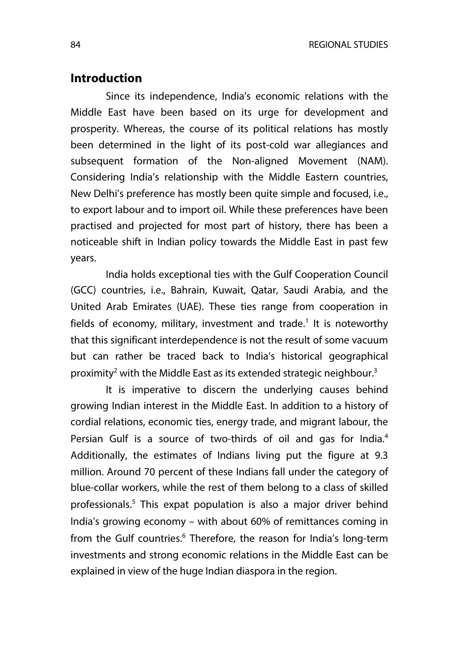#### **Introduction**

Since its independence, India's economic relations with the Middle East have been based on its urge for development and prosperity. Whereas, the course of its political relations has mostly been determined in the light of its post-cold war allegiances and subsequent formation of the Non-aligned Movement (NAM). Considering India's relationship with the Middle Eastern countries, New Delhi's preference has mostly been quite simple and focused, i.e., to export labour and to import oil. While these preferences have been practised and projected for most part of history, there has been a noticeable shift in Indian policy towards the Middle East in past few years.

India holds exceptional ties with the Gulf Cooperation Council (GCC) countries, i.e., Bahrain, Kuwait, Qatar, Saudi Arabia, and the United Arab Emirates (UAE). These ties range from cooperation in fields of economy, military, investment and trade.<sup>1</sup> It is noteworthy that this significant interdependence is not the result of some vacuum but can rather be traced back to India's historical geographical proximity<sup>2</sup> with the Middle East as its extended strategic neighbour.<sup>3</sup>

It is imperative to discern the underlying causes behind growing Indian interest in the Middle East. In addition to a history of cordial relations, economic ties, energy trade, and migrant labour, the Persian Gulf is a source of two-thirds of oil and gas for India.<sup>4</sup> Additionally, the estimates of Indians living put the figure at 9.3 million. Around 70 percent of these Indians fall under the category of blue-collar workers, while the rest of them belong to a class of skilled professionals.<sup>5</sup> This expat population is also a major driver behind India's growing economy – with about 60% of remittances coming in from the Gulf countries.<sup>6</sup> Therefore, the reason for India's long-term investments and strong economic relations in the Middle East can be explained in view of the huge Indian diaspora in the region.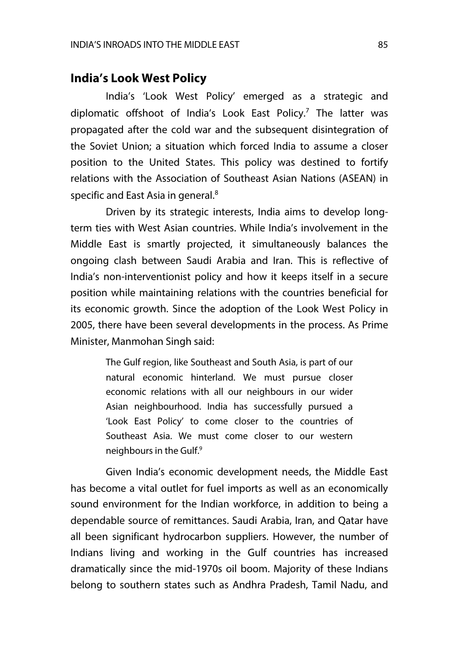# **India's Look West Policy**

India's 'Look West Policy' emerged as a strategic and diplomatic offshoot of India's Look East Policy.<sup>7</sup> The latter was propagated after the cold war and the subsequent disintegration of the Soviet Union; a situation which forced India to assume a closer position to the United States. This policy was destined to fortify relations with the Association of Southeast Asian Nations (ASEAN) in specific and East Asia in general.<sup>8</sup>

Driven by its strategic interests, India aims to develop longterm ties with West Asian countries. While India's involvement in the Middle East is smartly projected, it simultaneously balances the ongoing clash between Saudi Arabia and Iran. This is reflective of India's non-interventionist policy and how it keeps itself in a secure position while maintaining relations with the countries beneficial for its economic growth. Since the adoption of the Look West Policy in 2005, there have been several developments in the process. As Prime Minister, Manmohan Singh said:

> The Gulf region, like Southeast and South Asia, is part of our natural economic hinterland. We must pursue closer economic relations with all our neighbours in our wider Asian neighbourhood. India has successfully pursued a 'Look East Policy' to come closer to the countries of Southeast Asia. We must come closer to our western neighbours in the Gulf.<sup>9</sup>

Given India's economic development needs, the Middle East has become a vital outlet for fuel imports as well as an economically sound environment for the Indian workforce, in addition to being a dependable source of remittances. Saudi Arabia, Iran, and Qatar have all been significant hydrocarbon suppliers. However, the number of Indians living and working in the Gulf countries has increased dramatically since the mid-1970s oil boom. Majority of these Indians belong to southern states such as Andhra Pradesh, Tamil Nadu, and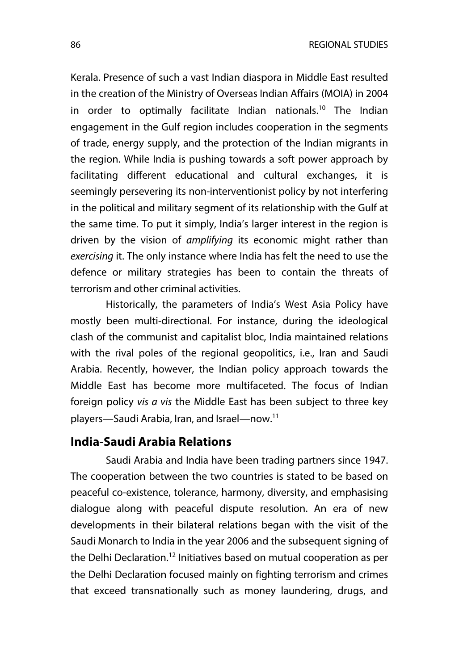Kerala. Presence of such a vast Indian diaspora in Middle East resulted in the creation of the Ministry of Overseas Indian Affairs (MOIA) in 2004 in order to optimally facilitate Indian nationals.<sup>10</sup> The Indian engagement in the Gulf region includes cooperation in the segments of trade, energy supply, and the protection of the Indian migrants in the region. While India is pushing towards a soft power approach by facilitating different educational and cultural exchanges, it is seemingly persevering its non-interventionist policy by not interfering in the political and military segment of its relationship with the Gulf at the same time. To put it simply, India's larger interest in the region is driven by the vision of *amplifying* its economic might rather than *exercising* it. The only instance where India has felt the need to use the defence or military strategies has been to contain the threats of terrorism and other criminal activities.

Historically, the parameters of India's West Asia Policy have mostly been multi-directional. For instance, during the ideological clash of the communist and capitalist bloc, India maintained relations with the rival poles of the regional geopolitics, i.e., Iran and Saudi Arabia. Recently, however, the Indian policy approach towards the Middle East has become more multifaceted. The focus of Indian foreign policy *vis a vis* the Middle East has been subject to three key players—Saudi Arabia, Iran, and Israel—now.11

#### **India-Saudi Arabia Relations**

Saudi Arabia and India have been trading partners since 1947. The cooperation between the two countries is stated to be based on peaceful co-existence, tolerance, harmony, diversity, and emphasising dialogue along with peaceful dispute resolution. An era of new developments in their bilateral relations began with the visit of the Saudi Monarch to India in the year 2006 and the subsequent signing of the Delhi Declaration.<sup>12</sup> Initiatives based on mutual cooperation as per the Delhi Declaration focused mainly on fighting terrorism and crimes that exceed transnationally such as money laundering, drugs, and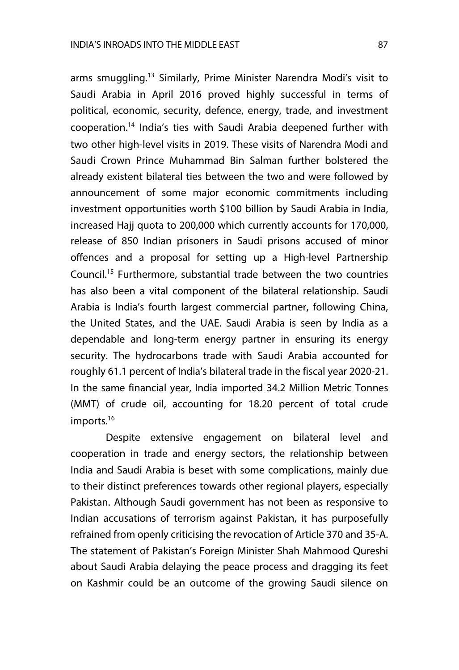arms smuggling.<sup>13</sup> Similarly, Prime Minister Narendra Modi's visit to Saudi Arabia in April 2016 proved highly successful in terms of political, economic, security, defence, energy, trade, and investment cooperation.14 India's ties with Saudi Arabia deepened further with two other high-level visits in 2019. These visits of Narendra Modi and Saudi Crown Prince Muhammad Bin Salman further bolstered the already existent bilateral ties between the two and were followed by announcement of some major economic commitments including investment opportunities worth \$100 billion by Saudi Arabia in India, increased Hajj quota to 200,000 which currently accounts for 170,000, release of 850 Indian prisoners in Saudi prisons accused of minor offences and a proposal for setting up a High-level Partnership Council.15 Furthermore, substantial trade between the two countries has also been a vital component of the bilateral relationship. Saudi Arabia is India's fourth largest commercial partner, following China, the United States, and the UAE. Saudi Arabia is seen by India as a dependable and long-term energy partner in ensuring its energy security. The hydrocarbons trade with Saudi Arabia accounted for roughly 61.1 percent of India's bilateral trade in the fiscal year 2020-21. In the same financial year, India imported 34.2 Million Metric Tonnes (MMT) of crude oil, accounting for 18.20 percent of total crude imports.<sup>16</sup>

Despite extensive engagement on bilateral level and cooperation in trade and energy sectors, the relationship between India and Saudi Arabia is beset with some complications, mainly due to their distinct preferences towards other regional players, especially Pakistan. Although Saudi government has not been as responsive to Indian accusations of terrorism against Pakistan, it has purposefully refrained from openly criticising the revocation of Article 370 and 35-A. The statement of Pakistan's Foreign Minister Shah Mahmood Qureshi about Saudi Arabia delaying the peace process and dragging its feet on Kashmir could be an outcome of the growing Saudi silence on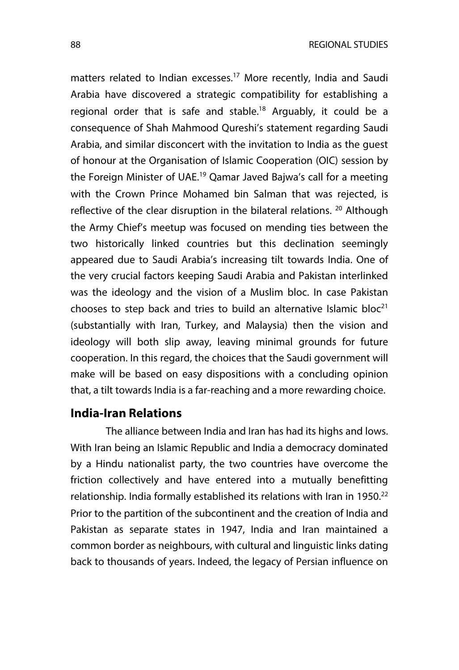matters related to Indian excesses.<sup>17</sup> More recently, India and Saudi Arabia have discovered a strategic compatibility for establishing a regional order that is safe and stable.<sup>18</sup> Arguably, it could be a consequence of Shah Mahmood Qureshi's statement regarding Saudi Arabia, and similar disconcert with the invitation to India as the guest of honour at the Organisation of Islamic Cooperation (OIC) session by the Foreign Minister of UAE.<sup>19</sup> Qamar Javed Bajwa's call for a meeting with the Crown Prince Mohamed bin Salman that was rejected, is reflective of the clear disruption in the bilateral relations.  $20$  Although the Army Chief's meetup was focused on mending ties between the two historically linked countries but this declination seemingly appeared due to Saudi Arabia's increasing tilt towards India. One of the very crucial factors keeping Saudi Arabia and Pakistan interlinked was the ideology and the vision of a Muslim bloc. In case Pakistan chooses to step back and tries to build an alternative Islamic bloc<sup>21</sup> (substantially with Iran, Turkey, and Malaysia) then the vision and ideology will both slip away, leaving minimal grounds for future cooperation. In this regard, the choices that the Saudi government will make will be based on easy dispositions with a concluding opinion that, a tilt towards India is a far-reaching and a more rewarding choice.

#### **India-Iran Relations**

The alliance between India and Iran has had its highs and lows. With Iran being an Islamic Republic and India a democracy dominated by a Hindu nationalist party, the two countries have overcome the friction collectively and have entered into a mutually benefitting relationship. India formally established its relations with Iran in 1950.<sup>22</sup> Prior to the partition of the subcontinent and the creation of India and Pakistan as separate states in 1947, India and Iran maintained a common border as neighbours, with cultural and linguistic links dating back to thousands of years. Indeed, the legacy of Persian influence on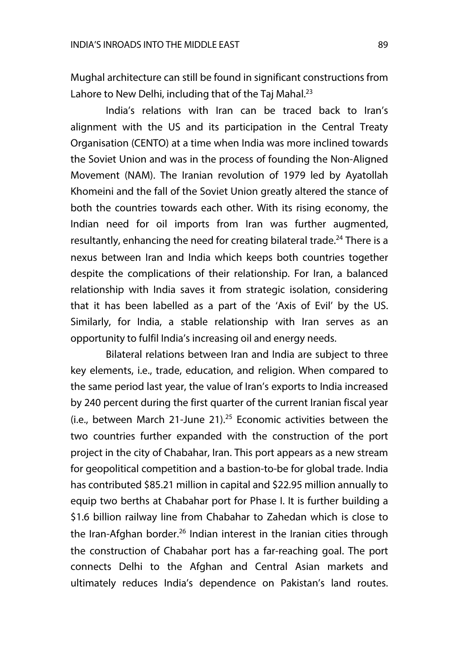Mughal architecture can still be found in significant constructions from Lahore to New Delhi, including that of the Taj Mahal. $^{23}$ 

India's relations with Iran can be traced back to Iran's alignment with the US and its participation in the Central Treaty Organisation (CENTO) at a time when India was more inclined towards the Soviet Union and was in the process of founding the Non-Aligned Movement (NAM). The Iranian revolution of 1979 led by Ayatollah Khomeini and the fall of the Soviet Union greatly altered the stance of both the countries towards each other. With its rising economy, the Indian need for oil imports from Iran was further augmented, resultantly, enhancing the need for creating bilateral trade.<sup>24</sup> There is a nexus between Iran and India which keeps both countries together despite the complications of their relationship. For Iran, a balanced relationship with India saves it from strategic isolation, considering that it has been labelled as a part of the 'Axis of Evil' by the US. Similarly, for India, a stable relationship with Iran serves as an opportunity to fulfil India's increasing oil and energy needs.

Bilateral relations between Iran and India are subject to three key elements, i.e., trade, education, and religion. When compared to the same period last year, the value of Iran's exports to India increased by 240 percent during the first quarter of the current Iranian fiscal year (i.e., between March 21-June 21). $^{25}$  Economic activities between the two countries further expanded with the construction of the port project in the city of Chabahar, Iran. This port appears as a new stream for geopolitical competition and a bastion-to-be for global trade. India has contributed \$85.21 million in capital and \$22.95 million annually to equip two berths at Chabahar port for Phase I. It is further building a \$1.6 billion railway line from Chabahar to Zahedan which is close to the Iran-Afghan border.<sup>26</sup> Indian interest in the Iranian cities through the construction of Chabahar port has a far-reaching goal. The port connects Delhi to the Afghan and Central Asian markets and ultimately reduces India's dependence on Pakistan's land routes.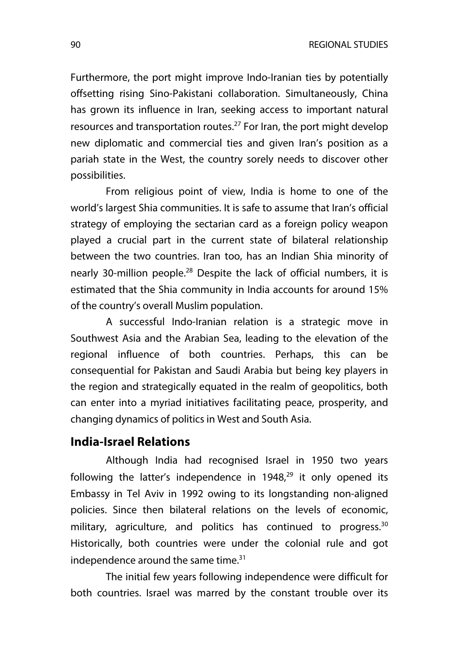Furthermore, the port might improve Indo-Iranian ties by potentially offsetting rising Sino-Pakistani collaboration. Simultaneously, China has grown its influence in Iran, seeking access to important natural resources and transportation routes.<sup>27</sup> For Iran, the port might develop new diplomatic and commercial ties and given Iran's position as a pariah state in the West, the country sorely needs to discover other possibilities.

From religious point of view, India is home to one of the world's largest Shia communities. It is safe to assume that Iran's official strategy of employing the sectarian card as a foreign policy weapon played a crucial part in the current state of bilateral relationship between the two countries. Iran too, has an Indian Shia minority of nearly 30-million people.<sup>28</sup> Despite the lack of official numbers, it is estimated that the Shia community in India accounts for around 15% of the country's overall Muslim population.

A successful Indo-Iranian relation is a strategic move in Southwest Asia and the Arabian Sea, leading to the elevation of the regional influence of both countries. Perhaps, this can be consequential for Pakistan and Saudi Arabia but being key players in the region and strategically equated in the realm of geopolitics, both can enter into a myriad initiatives facilitating peace, prosperity, and changing dynamics of politics in West and South Asia.

#### **India-Israel Relations**

Although India had recognised Israel in 1950 two years following the latter's independence in  $1948<sup>29</sup>$  it only opened its Embassy in Tel Aviv in 1992 owing to its longstanding non-aligned policies. Since then bilateral relations on the levels of economic, military, agriculture, and politics has continued to progress.<sup>30</sup> Historically, both countries were under the colonial rule and got independence around the same time. $31$ 

The initial few years following independence were difficult for both countries. Israel was marred by the constant trouble over its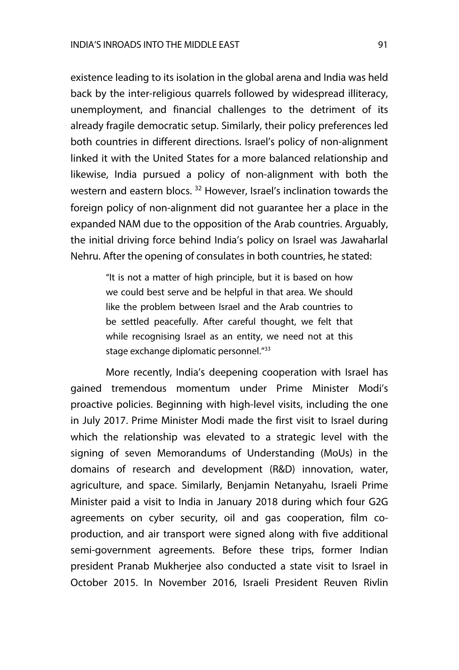existence leading to its isolation in the global arena and India was held back by the inter-religious quarrels followed by widespread illiteracy, unemployment, and financial challenges to the detriment of its already fragile democratic setup. Similarly, their policy preferences led both countries in different directions. Israel's policy of non-alignment linked it with the United States for a more balanced relationship and likewise, India pursued a policy of non-alignment with both the western and eastern blocs.<sup>32</sup> However, Israel's inclination towards the foreign policy of non-alignment did not guarantee her a place in the expanded NAM due to the opposition of the Arab countries. Arguably, the initial driving force behind India's policy on Israel was Jawaharlal Nehru. After the opening of consulates in both countries, he stated:

> "It is not a matter of high principle, but it is based on how we could best serve and be helpful in that area. We should like the problem between Israel and the Arab countries to be settled peacefully. After careful thought, we felt that while recognising Israel as an entity, we need not at this stage exchange diplomatic personnel."<sup>33</sup>

More recently, India's deepening cooperation with Israel has gained tremendous momentum under Prime Minister Modi's proactive policies. Beginning with high-level visits, including the one in July 2017. Prime Minister Modi made the first visit to Israel during which the relationship was elevated to a strategic level with the signing of seven Memorandums of Understanding (MoUs) in the domains of research and development (R&D) innovation, water, agriculture, and space. Similarly, Benjamin Netanyahu, Israeli Prime Minister paid a visit to India in January 2018 during which four G2G agreements on cyber security, oil and gas cooperation, film coproduction, and air transport were signed along with five additional semi-government agreements. Before these trips, former Indian president Pranab Mukherjee also conducted a state visit to Israel in October 2015. In November 2016, Israeli President Reuven Rivlin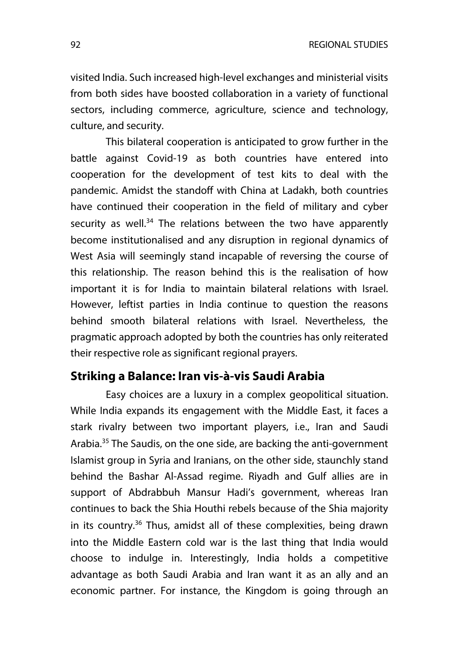visited India. Such increased high-level exchanges and ministerial visits from both sides have boosted collaboration in a variety of functional sectors, including commerce, agriculture, science and technology, culture, and security.

This bilateral cooperation is anticipated to grow further in the battle against Covid-19 as both countries have entered into cooperation for the development of test kits to deal with the pandemic. Amidst the standoff with China at Ladakh, both countries have continued their cooperation in the field of military and cyber security as well. $34$  The relations between the two have apparently become institutionalised and any disruption in regional dynamics of West Asia will seemingly stand incapable of reversing the course of this relationship. The reason behind this is the realisation of how important it is for India to maintain bilateral relations with Israel. However, leftist parties in India continue to question the reasons behind smooth bilateral relations with Israel. Nevertheless, the pragmatic approach adopted by both the countries has only reiterated their respective role as significant regional prayers.

#### **Striking a Balance: Iran vis-à-vis Saudi Arabia**

Easy choices are a luxury in a complex geopolitical situation. While India expands its engagement with the Middle East, it faces a stark rivalry between two important players, i.e., Iran and Saudi Arabia.<sup>35</sup> The Saudis, on the one side, are backing the anti-government Islamist group in Syria and Iranians, on the other side, staunchly stand behind the Bashar Al-Assad regime. Riyadh and Gulf allies are in support of Abdrabbuh Mansur Hadi's government, whereas Iran continues to back the Shia Houthi rebels because of the Shia majority in its country.<sup>36</sup> Thus, amidst all of these complexities, being drawn into the Middle Eastern cold war is the last thing that India would choose to indulge in. Interestingly, India holds a competitive advantage as both Saudi Arabia and Iran want it as an ally and an economic partner. For instance, the Kingdom is going through an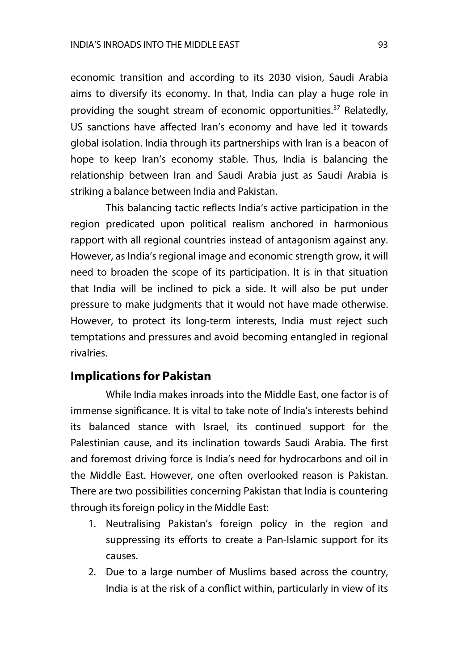economic transition and according to its 2030 vision, Saudi Arabia aims to diversify its economy. In that, India can play a huge role in providing the sought stream of economic opportunities.<sup>37</sup> Relatedly, US sanctions have affected Iran's economy and have led it towards global isolation. India through its partnerships with Iran is a beacon of hope to keep Iran's economy stable. Thus, India is balancing the relationship between Iran and Saudi Arabia just as Saudi Arabia is striking a balance between India and Pakistan.

This balancing tactic reflects India's active participation in the region predicated upon political realism anchored in harmonious rapport with all regional countries instead of antagonism against any. However, as India's regional image and economic strength grow, it will need to broaden the scope of its participation. It is in that situation that India will be inclined to pick a side. It will also be put under pressure to make judgments that it would not have made otherwise. However, to protect its long-term interests, India must reject such temptations and pressures and avoid becoming entangled in regional rivalries.

#### **Implications for Pakistan**

While India makes inroads into the Middle East, one factor is of immense significance. It is vital to take note of India's interests behind its balanced stance with Israel, its continued support for the Palestinian cause, and its inclination towards Saudi Arabia. The first and foremost driving force is India's need for hydrocarbons and oil in the Middle East. However, one often overlooked reason is Pakistan. There are two possibilities concerning Pakistan that India is countering through its foreign policy in the Middle East:

- 1. Neutralising Pakistan's foreign policy in the region and suppressing its efforts to create a Pan-Islamic support for its causes.
- 2. Due to a large number of Muslims based across the country, India is at the risk of a conflict within, particularly in view of its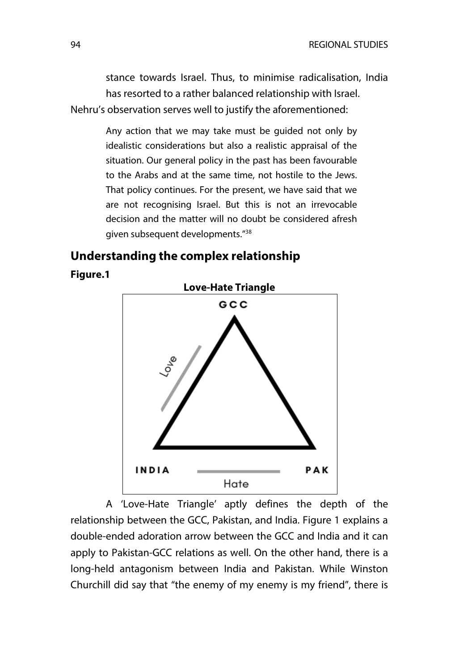stance towards Israel. Thus, to minimise radicalisation, India has resorted to a rather balanced relationship with Israel. Nehru's observation serves well to justify the aforementioned:

> Any action that we may take must be guided not only by idealistic considerations but also a realistic appraisal of the situation. Our general policy in the past has been favourable to the Arabs and at the same time, not hostile to the Jews. That policy continues. For the present, we have said that we are not recognising Israel. But this is not an irrevocable decision and the matter will no doubt be considered afresh given subsequent developments."38

# **Understanding the complex relationship**

**Figure.1**



A 'Love-Hate Triangle' aptly defines the depth of the relationship between the GCC, Pakistan, and India. Figure 1 explains a double-ended adoration arrow between the GCC and India and it can apply to Pakistan-GCC relations as well. On the other hand, there is a long-held antagonism between India and Pakistan. While Winston Churchill did say that "the enemy of my enemy is my friend", there is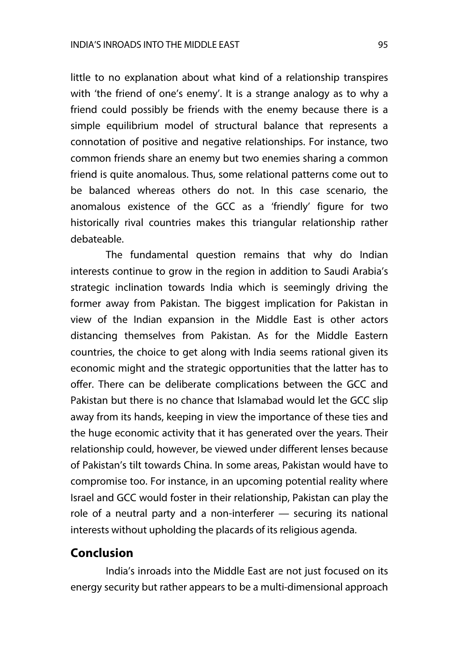little to no explanation about what kind of a relationship transpires with 'the friend of one's enemy'. It is a strange analogy as to why a friend could possibly be friends with the enemy because there is a simple equilibrium model of structural balance that represents a connotation of positive and negative relationships. For instance, two common friends share an enemy but two enemies sharing a common friend is quite anomalous. Thus, some relational patterns come out to be balanced whereas others do not. In this case scenario, the anomalous existence of the GCC as a 'friendly' figure for two historically rival countries makes this triangular relationship rather debateable.

The fundamental question remains that why do Indian interests continue to grow in the region in addition to Saudi Arabia's strategic inclination towards India which is seemingly driving the former away from Pakistan. The biggest implication for Pakistan in view of the Indian expansion in the Middle East is other actors distancing themselves from Pakistan. As for the Middle Eastern countries, the choice to get along with India seems rational given its economic might and the strategic opportunities that the latter has to offer. There can be deliberate complications between the GCC and Pakistan but there is no chance that Islamabad would let the GCC slip away from its hands, keeping in view the importance of these ties and the huge economic activity that it has generated over the years. Their relationship could, however, be viewed under different lenses because of Pakistan's tilt towards China. In some areas, Pakistan would have to compromise too. For instance, in an upcoming potential reality where Israel and GCC would foster in their relationship, Pakistan can play the role of a neutral party and a non-interferer — securing its national interests without upholding the placards of its religious agenda.

#### **Conclusion**

India's inroads into the Middle East are not just focused on its energy security but rather appears to be a multi-dimensional approach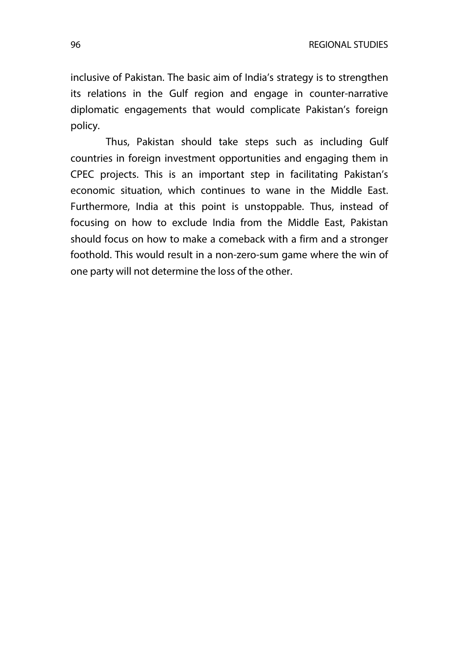inclusive of Pakistan. The basic aim of India's strategy is to strengthen its relations in the Gulf region and engage in counter-narrative diplomatic engagements that would complicate Pakistan's foreign policy.

Thus, Pakistan should take steps such as including Gulf countries in foreign investment opportunities and engaging them in CPEC projects. This is an important step in facilitating Pakistan's economic situation, which continues to wane in the Middle East. Furthermore, India at this point is unstoppable. Thus, instead of focusing on how to exclude India from the Middle East, Pakistan should focus on how to make a comeback with a firm and a stronger foothold. This would result in a non-zero-sum game where the win of one party will not determine the loss of the other.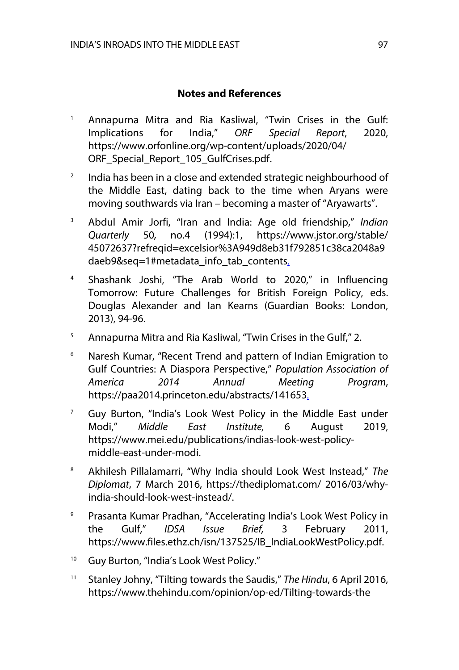#### **Notes and References**

- <sup>1</sup> Annapurna Mitra and Ria Kasliwal, "Twin Crises in the Gulf: Implications for India," *ORF Special Report*, 2020, https://www.orfonline.org/wp-content/uploads/2020/04/ ORF Special Report 105 GulfCrises.pdf.
- $2$  India has been in a close and extended strategic neighbourhood of the Middle East, dating back to the time when Aryans were moving southwards via Iran – becoming a master of "Aryawarts".
- <sup>3</sup> Abdul Amir Jorfi, "Iran and India: Age old friendship," *Indian Quarterly* 50*,* no.4 (1994):1, https://www.jstor.org/stable/ 45072637?refreqid=excelsior%3A949d8eb31f792851c38ca2048a9 daeb9&seq=1#metadata\_info\_tab\_contents.
- <sup>4</sup> Shashank Joshi, "The Arab World to 2020," in Influencing Tomorrow: Future Challenges for British Foreign Policy, eds. Douglas Alexander and Ian Kearns (Guardian Books: London, 2013), 94-96.
- <sup>5</sup> Annapurna Mitra and Ria Kasliwal, "Twin Crises in the Gulf," 2.
- <sup>6</sup> Naresh Kumar, "Recent Trend and pattern of Indian Emigration to Gulf Countries: A Diaspora Perspective," *Population Association of America 2014 Annual Meeting Program*, https://paa2014.princeton.edu/abstracts/141653.
- $7$  Guy Burton, "India's Look West Policy in the Middle East under Modi," *Middle East Institute,* 6 August 2019, https://www.mei.edu/publications/indias-look-west-policymiddle-east-under-modi.
- <sup>8</sup> Akhilesh Pillalamarri, "Why India should Look West Instead," *The Diplomat*, 7 March 2016, https://thediplomat.com/ 2016/03/whyindia-should-look-west-instead/.
- <sup>9</sup> Prasanta Kumar Pradhan, "Accelerating India's Look West Policy in the Gulf," *IDSA Issue Brief,* 3 February 2011, https://www.files.ethz.ch/isn/137525/IB\_IndiaLookWestPolicy.pdf.
- <sup>10</sup> Guy Burton, "India's Look West Policy."
- <sup>11</sup> Stanley Johny, "Tilting towards the Saudis," *The Hindu*, 6 April 2016, https://www.thehindu.com/opinion/op-ed/Tilting-towards-the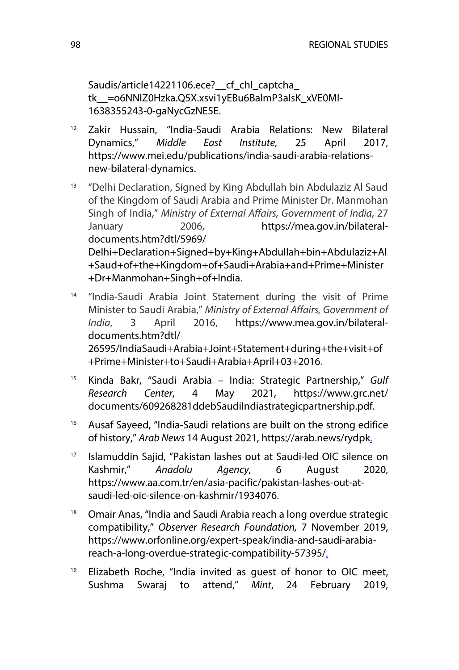Saudis/article14221106.ece? cf chl captcha tk\_\_=o6NNlZ0Hzka.Q5X.xsvi1yEBu6BalmP3aIsK\_xVE0MI-1638355243-0-gaNycGzNE5E.

- <sup>12</sup> Zakir Hussain, "India-Saudi Arabia Relations: New Bilateral Dynamics," *Middle East Institute*, 25 April 2017, https://www.mei.edu/publications/india-saudi-arabia-relationsnew-bilateral-dynamics.
- <sup>13</sup> "Delhi Declaration, Signed by King Abdullah bin Abdulaziz Al Saud of the Kingdom of Saudi Arabia and Prime Minister Dr. Manmohan Singh of India," *Ministry of External Affairs, Government of India*, 27 January 2006, https://mea.gov.in/bilateraldocuments.htm?dtl/5969/ Delhi+Declaration+Signed+by+King+Abdullah+bin+Abdulaziz+Al +Saud+of+the+Kingdom+of+Saudi+Arabia+and+Prime+Minister +Dr+Manmohan+Singh+of+India.
- <sup>14</sup> "India-Saudi Arabia Joint Statement during the visit of Prime Minister to Saudi Arabia," *Ministry of External Affairs, Government of India*, 3 April 2016, https://www.mea.gov.in/bilateraldocuments.htm?dtl/ 26595/IndiaSaudi+Arabia+Joint+Statement+during+the+visit+of +Prime+Minister+to+Saudi+Arabia+April+03+2016.
- <sup>15</sup> Kinda Bakr, "Saudi Arabia India: Strategic Partnership," *Gulf Research Center*, 4 May 2021, https://www.grc.net/ documents/609268281ddebSaudiIndiastrategicpartnership.pdf.
- <sup>16</sup> Ausaf Sayeed, "India-Saudi relations are built on the strong edifice of history," *Arab News* 14 August 2021, https://arab.news/rydpk.
- <sup>17</sup> Islamuddin Sajid, "Pakistan lashes out at Saudi-led OIC silence on Kashmir," *Anadolu Agency*, 6 August 2020, https://www.aa.com.tr/en/asia-pacific/pakistan-lashes-out-atsaudi-led-oic-silence-on-kashmir/1934076.
- <sup>18</sup> Omair Anas, "India and Saudi Arabia reach a long overdue strategic compatibility," *Observer Research Foundation,* 7 November 2019, https://www.orfonline.org/expert-speak/india-and-saudi-arabiareach-a-long-overdue-strategic-compatibility-57395/.
- $19$  Elizabeth Roche, "India invited as quest of honor to OIC meet, Sushma Swaraj to attend," *Mint*, 24 February 2019,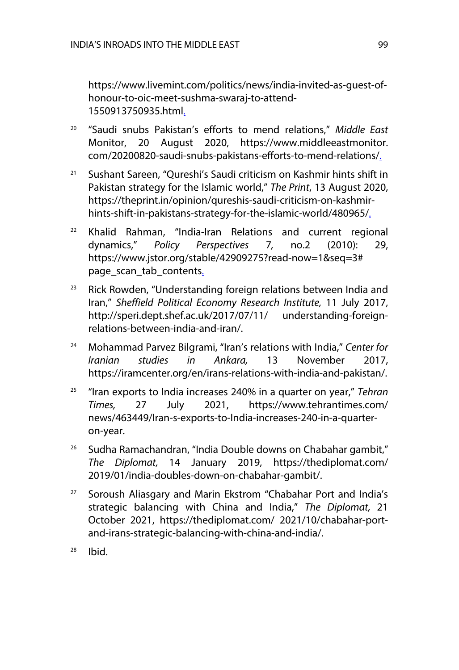https://www.livemint.com/politics/news/india-invited-as-guest-ofhonour-to-oic-meet-sushma-swaraj-to-attend-1550913750935.html.

- <sup>20</sup> "Saudi snubs Pakistan's efforts to mend relations," *Middle East*  Monitor, 20 August 2020, https://www.middleeastmonitor. com/20200820-saudi-snubs-pakistans-efforts-to-mend-relations/.
- <sup>21</sup> Sushant Sareen, "Qureshi's Saudi criticism on Kashmir hints shift in Pakistan strategy for the Islamic world," *The Print*, 13 August 2020, https://theprint.in/opinion/qureshis-saudi-criticism-on-kashmirhints-shift-in-pakistans-strategy-for-the-islamic-world/480965/.
- $22$  Khalid Rahman, "India-Iran Relations and current regional dynamics," *Policy Perspectives* 7*,* no.2 (2010): 29, https://www.jstor.org/stable/42909275?read-now=1&seq=3# page\_scan\_tab\_contents.
- $23$  Rick Rowden, "Understanding foreign relations between India and Iran," *Sheffield Political Economy Research Institute,* 11 July 2017, http://speri.dept.shef.ac.uk/2017/07/11/ understanding-foreignrelations-between-india-and-iran/.
- <sup>24</sup> Mohammad Parvez Bilgrami, "Iran's relations with India," *Center for Iranian studies in Ankara,* 13 November 2017, https://iramcenter.org/en/irans-relations-with-india-and-pakistan/.
- <sup>25</sup> "Iran exports to India increases 240% in a quarter on year," *Tehran Times,* 27 July 2021, https://www.tehrantimes.com/ news/463449/Iran-s-exports-to-India-increases-240-in-a-quarteron-year.
- <sup>26</sup> Sudha Ramachandran, "India Double downs on Chabahar gambit," *The Diplomat,* 14 January 2019, https://thediplomat.com/ 2019/01/india-doubles-down-on-chabahar-gambit/.
- <sup>27</sup> Soroush Aliasgary and Marin Ekstrom "Chabahar Port and India's strategic balancing with China and India," *The Diplomat,* 21 October 2021, https://thediplomat.com/ 2021/10/chabahar-portand-irans-strategic-balancing-with-china-and-india/.
- $28$  Ibid.